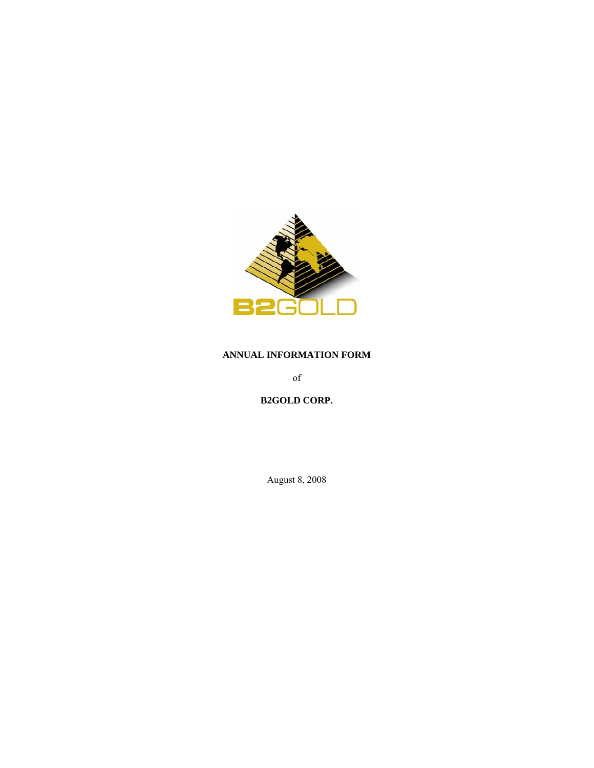

# **ANNUAL INFORMATION FORM**

of

# **B2GOLD CORP.**

August 8, 2008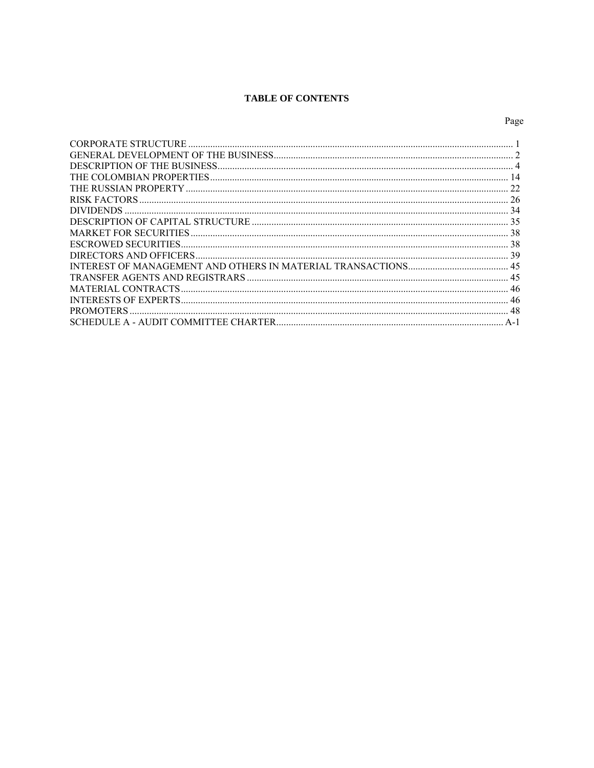# **TABLE OF CONTENTS**

# Page

|                  | 26  |
|------------------|-----|
| <b>DIVIDENDS</b> | -34 |
|                  |     |
|                  |     |
|                  |     |
|                  |     |
|                  |     |
|                  |     |
|                  | -46 |
|                  |     |
| <b>PROMOTERS</b> |     |
|                  |     |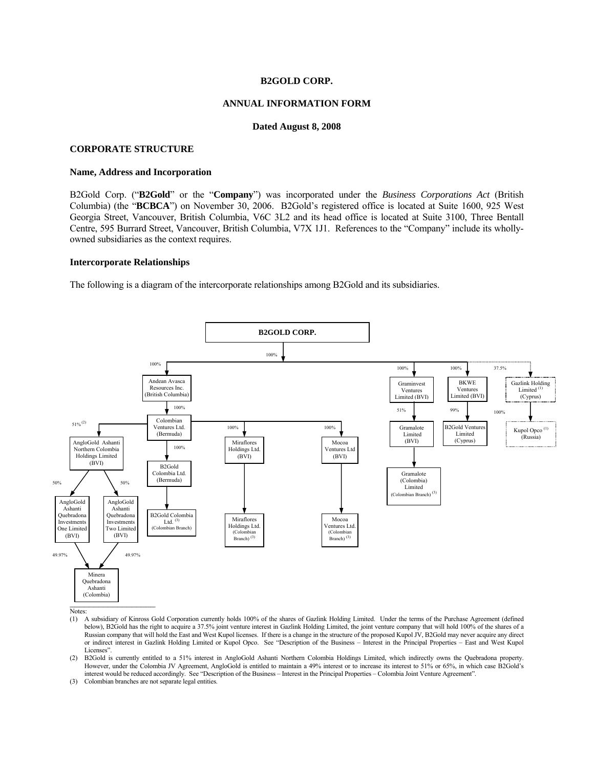#### **B2GOLD CORP.**

### **ANNUAL INFORMATION FORM**

#### **Dated August 8, 2008**

### <span id="page-2-0"></span>**CORPORATE STRUCTURE**

#### **Name, Address and Incorporation**

B2Gold Corp. ("**B2Gold**" or the "**Company**") was incorporated under the *Business Corporations Act* (British Columbia) (the "**BCBCA**") on November 30, 2006. B2Gold's registered office is located at Suite 1600, 925 West Georgia Street, Vancouver, British Columbia, V6C 3L2 and its head office is located at Suite 3100, Three Bentall Centre, 595 Burrard Street, Vancouver, British Columbia, V7X 1J1. References to the "Company" include its whollyowned subsidiaries as the context requires.

#### **Intercorporate Relationships**

The following is a diagram of the intercorporate relationships among B2Gold and its subsidiaries.



Notes:

(1) A subsidiary of Kinross Gold Corporation currently holds 100% of the shares of Gazlink Holding Limited. Under the terms of the Purchase Agreement (defined below), B2Gold has the right to acquire a 37.5% joint venture interest in Gazlink Holding Limited, the joint venture company that will hold 100% of the shares of a Russian company that will hold the East and West Kupol licenses. If there is a change in the structure of the proposed Kupol JV, B2Gold may never acquire any direct or indirect interest in Gazlink Holding Limited or Kupol Opco. See "Description of the Business – Interest in the Principal Properties – East and West Kupol Licenses

(2) B2Gold is currently entitled to a 51% interest in AngloGold Ashanti Northern Colombia Holdings Limited, which indirectly owns the Quebradona property. However, under the Colombia JV Agreement, AngloGold is entitled to maintain a 49% interest or to increase its interest to 51% or 65%, in which case B2Gold's interest would be reduced accordingly. See "Description of the Business – Interest in the Principal Properties – Colombia Joint Venture Agreement".

(3) Colombian branches are not separate legal entities.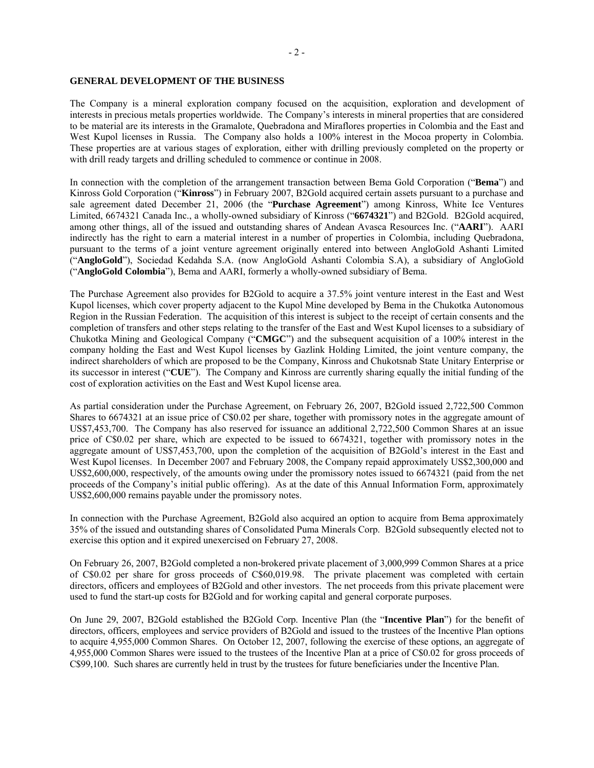#### <span id="page-3-0"></span>**GENERAL DEVELOPMENT OF THE BUSINESS**

The Company is a mineral exploration company focused on the acquisition, exploration and development of interests in precious metals properties worldwide. The Company's interests in mineral properties that are considered to be material are its interests in the Gramalote, Quebradona and Miraflores properties in Colombia and the East and West Kupol licenses in Russia. The Company also holds a 100% interest in the Mocoa property in Colombia. These properties are at various stages of exploration, either with drilling previously completed on the property or with drill ready targets and drilling scheduled to commence or continue in 2008.

In connection with the completion of the arrangement transaction between Bema Gold Corporation ("**Bema**") and Kinross Gold Corporation ("**Kinross**") in February 2007, B2Gold acquired certain assets pursuant to a purchase and sale agreement dated December 21, 2006 (the "**Purchase Agreement**") among Kinross, White Ice Ventures Limited, 6674321 Canada Inc., a wholly-owned subsidiary of Kinross ("**6674321**") and B2Gold. B2Gold acquired, among other things, all of the issued and outstanding shares of Andean Avasca Resources Inc. ("**AARI**"). AARI indirectly has the right to earn a material interest in a number of properties in Colombia, including Quebradona, pursuant to the terms of a joint venture agreement originally entered into between AngloGold Ashanti Limited ("**AngloGold**"), Sociedad Kedahda S.A. (now AngloGold Ashanti Colombia S.A), a subsidiary of AngloGold ("**AngloGold Colombia**"), Bema and AARI, formerly a wholly-owned subsidiary of Bema.

The Purchase Agreement also provides for B2Gold to acquire a 37.5% joint venture interest in the East and West Kupol licenses, which cover property adjacent to the Kupol Mine developed by Bema in the Chukotka Autonomous Region in the Russian Federation. The acquisition of this interest is subject to the receipt of certain consents and the completion of transfers and other steps relating to the transfer of the East and West Kupol licenses to a subsidiary of Chukotka Mining and Geological Company ("**CMGC**") and the subsequent acquisition of a 100% interest in the company holding the East and West Kupol licenses by Gazlink Holding Limited, the joint venture company, the indirect shareholders of which are proposed to be the Company, Kinross and Chukotsnab State Unitary Enterprise or its successor in interest ("**CUE**"). The Company and Kinross are currently sharing equally the initial funding of the cost of exploration activities on the East and West Kupol license area.

As partial consideration under the Purchase Agreement, on February 26, 2007, B2Gold issued 2,722,500 Common Shares to 6674321 at an issue price of C\$0.02 per share, together with promissory notes in the aggregate amount of US\$7,453,700. The Company has also reserved for issuance an additional 2,722,500 Common Shares at an issue price of C\$0.02 per share, which are expected to be issued to 6674321, together with promissory notes in the aggregate amount of US\$7,453,700, upon the completion of the acquisition of B2Gold's interest in the East and West Kupol licenses. In December 2007 and February 2008, the Company repaid approximately US\$2,300,000 and US\$2,600,000, respectively, of the amounts owing under the promissory notes issued to 6674321 (paid from the net proceeds of the Company's initial public offering). As at the date of this Annual Information Form, approximately US\$2,600,000 remains payable under the promissory notes.

In connection with the Purchase Agreement, B2Gold also acquired an option to acquire from Bema approximately 35% of the issued and outstanding shares of Consolidated Puma Minerals Corp. B2Gold subsequently elected not to exercise this option and it expired unexercised on February 27, 2008.

On February 26, 2007, B2Gold completed a non-brokered private placement of 3,000,999 Common Shares at a price of C\$0.02 per share for gross proceeds of C\$60,019.98. The private placement was completed with certain directors, officers and employees of B2Gold and other investors. The net proceeds from this private placement were used to fund the start-up costs for B2Gold and for working capital and general corporate purposes.

On June 29, 2007, B2Gold established the B2Gold Corp. Incentive Plan (the "**Incentive Plan**") for the benefit of directors, officers, employees and service providers of B2Gold and issued to the trustees of the Incentive Plan options to acquire 4,955,000 Common Shares. On October 12, 2007, following the exercise of these options, an aggregate of 4,955,000 Common Shares were issued to the trustees of the Incentive Plan at a price of C\$0.02 for gross proceeds of C\$99,100. Such shares are currently held in trust by the trustees for future beneficiaries under the Incentive Plan.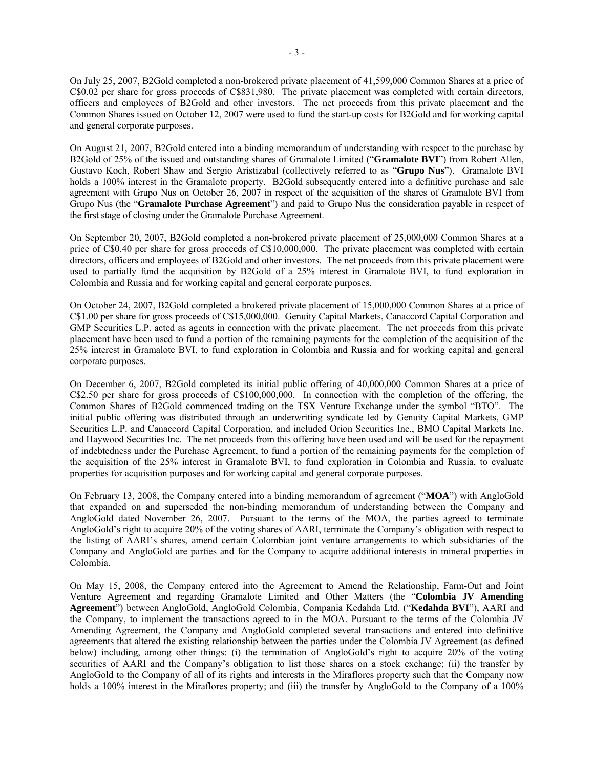On July 25, 2007, B2Gold completed a non-brokered private placement of 41,599,000 Common Shares at a price of C\$0.02 per share for gross proceeds of C\$831,980. The private placement was completed with certain directors, officers and employees of B2Gold and other investors. The net proceeds from this private placement and the Common Shares issued on October 12, 2007 were used to fund the start-up costs for B2Gold and for working capital and general corporate purposes.

On August 21, 2007, B2Gold entered into a binding memorandum of understanding with respect to the purchase by B2Gold of 25% of the issued and outstanding shares of Gramalote Limited ("**Gramalote BVI**") from Robert Allen, Gustavo Koch, Robert Shaw and Sergio Aristizabal (collectively referred to as "**Grupo Nus**"). Gramalote BVI holds a 100% interest in the Gramalote property. B2Gold subsequently entered into a definitive purchase and sale agreement with Grupo Nus on October 26, 2007 in respect of the acquisition of the shares of Gramalote BVI from Grupo Nus (the "**Gramalote Purchase Agreement**") and paid to Grupo Nus the consideration payable in respect of the first stage of closing under the Gramalote Purchase Agreement.

On September 20, 2007, B2Gold completed a non-brokered private placement of 25,000,000 Common Shares at a price of C\$0.40 per share for gross proceeds of C\$10,000,000. The private placement was completed with certain directors, officers and employees of B2Gold and other investors. The net proceeds from this private placement were used to partially fund the acquisition by B2Gold of a 25% interest in Gramalote BVI, to fund exploration in Colombia and Russia and for working capital and general corporate purposes.

On October 24, 2007, B2Gold completed a brokered private placement of 15,000,000 Common Shares at a price of C\$1.00 per share for gross proceeds of C\$15,000,000. Genuity Capital Markets, Canaccord Capital Corporation and GMP Securities L.P. acted as agents in connection with the private placement. The net proceeds from this private placement have been used to fund a portion of the remaining payments for the completion of the acquisition of the 25% interest in Gramalote BVI, to fund exploration in Colombia and Russia and for working capital and general corporate purposes.

On December 6, 2007, B2Gold completed its initial public offering of 40,000,000 Common Shares at a price of C\$2.50 per share for gross proceeds of C\$100,000,000. In connection with the completion of the offering, the Common Shares of B2Gold commenced trading on the TSX Venture Exchange under the symbol "BTO". The initial public offering was distributed through an underwriting syndicate led by Genuity Capital Markets, GMP Securities L.P. and Canaccord Capital Corporation, and included Orion Securities Inc., BMO Capital Markets Inc. and Haywood Securities Inc. The net proceeds from this offering have been used and will be used for the repayment of indebtedness under the Purchase Agreement, to fund a portion of the remaining payments for the completion of the acquisition of the 25% interest in Gramalote BVI, to fund exploration in Colombia and Russia, to evaluate properties for acquisition purposes and for working capital and general corporate purposes.

On February 13, 2008, the Company entered into a binding memorandum of agreement ("**MOA**") with AngloGold that expanded on and superseded the non-binding memorandum of understanding between the Company and AngloGold dated November 26, 2007. Pursuant to the terms of the MOA, the parties agreed to terminate AngloGold's right to acquire 20% of the voting shares of AARI, terminate the Company's obligation with respect to the listing of AARI's shares, amend certain Colombian joint venture arrangements to which subsidiaries of the Company and AngloGold are parties and for the Company to acquire additional interests in mineral properties in Colombia.

On May 15, 2008, the Company entered into the Agreement to Amend the Relationship, Farm-Out and Joint Venture Agreement and regarding Gramalote Limited and Other Matters (the "**Colombia JV Amending Agreement**") between AngloGold, AngloGold Colombia, Compania Kedahda Ltd. ("**Kedahda BVI**"), AARI and the Company, to implement the transactions agreed to in the MOA. Pursuant to the terms of the Colombia JV Amending Agreement, the Company and AngloGold completed several transactions and entered into definitive agreements that altered the existing relationship between the parties under the Colombia JV Agreement (as defined below) including, among other things: (i) the termination of AngloGold's right to acquire 20% of the voting securities of AARI and the Company's obligation to list those shares on a stock exchange; (ii) the transfer by AngloGold to the Company of all of its rights and interests in the Miraflores property such that the Company now holds a 100% interest in the Miraflores property; and (iii) the transfer by AngloGold to the Company of a 100%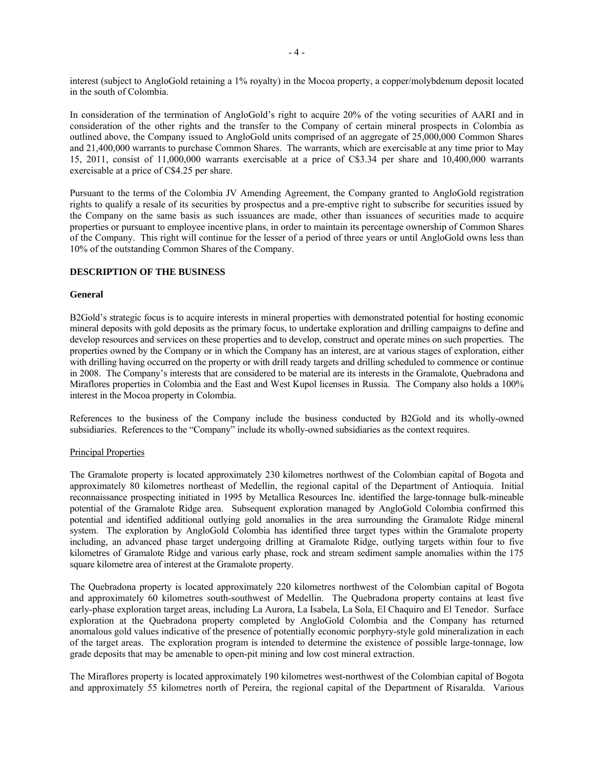<span id="page-5-0"></span>interest (subject to AngloGold retaining a 1% royalty) in the Mocoa property, a copper/molybdenum deposit located in the south of Colombia.

In consideration of the termination of AngloGold's right to acquire 20% of the voting securities of AARI and in consideration of the other rights and the transfer to the Company of certain mineral prospects in Colombia as outlined above, the Company issued to AngloGold units comprised of an aggregate of 25,000,000 Common Shares and 21,400,000 warrants to purchase Common Shares. The warrants, which are exercisable at any time prior to May 15, 2011, consist of 11,000,000 warrants exercisable at a price of C\$3.34 per share and 10,400,000 warrants exercisable at a price of C\$4.25 per share.

Pursuant to the terms of the Colombia JV Amending Agreement, the Company granted to AngloGold registration rights to qualify a resale of its securities by prospectus and a pre-emptive right to subscribe for securities issued by the Company on the same basis as such issuances are made, other than issuances of securities made to acquire properties or pursuant to employee incentive plans, in order to maintain its percentage ownership of Common Shares of the Company. This right will continue for the lesser of a period of three years or until AngloGold owns less than 10% of the outstanding Common Shares of the Company.

#### **DESCRIPTION OF THE BUSINESS**

#### **General**

B2Gold's strategic focus is to acquire interests in mineral properties with demonstrated potential for hosting economic mineral deposits with gold deposits as the primary focus, to undertake exploration and drilling campaigns to define and develop resources and services on these properties and to develop, construct and operate mines on such properties. The properties owned by the Company or in which the Company has an interest, are at various stages of exploration, either with drilling having occurred on the property or with drill ready targets and drilling scheduled to commence or continue in 2008. The Company's interests that are considered to be material are its interests in the Gramalote, Quebradona and Miraflores properties in Colombia and the East and West Kupol licenses in Russia. The Company also holds a 100% interest in the Mocoa property in Colombia.

References to the business of the Company include the business conducted by B2Gold and its wholly-owned subsidiaries. References to the "Company" include its wholly-owned subsidiaries as the context requires.

#### Principal Properties

The Gramalote property is located approximately 230 kilometres northwest of the Colombian capital of Bogota and approximately 80 kilometres northeast of Medellin, the regional capital of the Department of Antioquia. Initial reconnaissance prospecting initiated in 1995 by Metallica Resources Inc. identified the large-tonnage bulk-mineable potential of the Gramalote Ridge area. Subsequent exploration managed by AngloGold Colombia confirmed this potential and identified additional outlying gold anomalies in the area surrounding the Gramalote Ridge mineral system. The exploration by AngloGold Colombia has identified three target types within the Gramalote property including, an advanced phase target undergoing drilling at Gramalote Ridge, outlying targets within four to five kilometres of Gramalote Ridge and various early phase, rock and stream sediment sample anomalies within the 175 square kilometre area of interest at the Gramalote property.

The Quebradona property is located approximately 220 kilometres northwest of the Colombian capital of Bogota and approximately 60 kilometres south-southwest of Medellin. The Quebradona property contains at least five early-phase exploration target areas, including La Aurora, La Isabela, La Sola, El Chaquiro and El Tenedor. Surface exploration at the Quebradona property completed by AngloGold Colombia and the Company has returned anomalous gold values indicative of the presence of potentially economic porphyry-style gold mineralization in each of the target areas. The exploration program is intended to determine the existence of possible large-tonnage, low grade deposits that may be amenable to open-pit mining and low cost mineral extraction.

The Miraflores property is located approximately 190 kilometres west-northwest of the Colombian capital of Bogota and approximately 55 kilometres north of Pereira, the regional capital of the Department of Risaralda. Various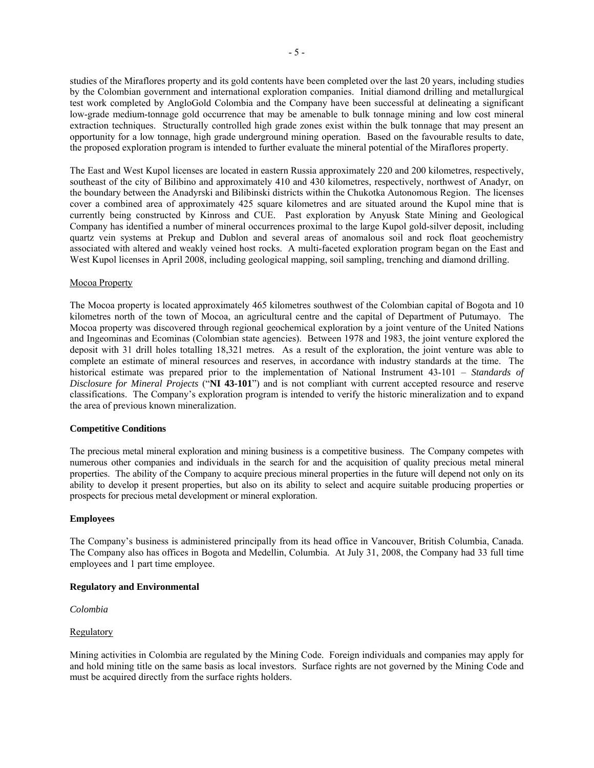studies of the Miraflores property and its gold contents have been completed over the last 20 years, including studies by the Colombian government and international exploration companies. Initial diamond drilling and metallurgical test work completed by AngloGold Colombia and the Company have been successful at delineating a significant low-grade medium-tonnage gold occurrence that may be amenable to bulk tonnage mining and low cost mineral extraction techniques. Structurally controlled high grade zones exist within the bulk tonnage that may present an opportunity for a low tonnage, high grade underground mining operation. Based on the favourable results to date, the proposed exploration program is intended to further evaluate the mineral potential of the Miraflores property.

The East and West Kupol licenses are located in eastern Russia approximately 220 and 200 kilometres, respectively, southeast of the city of Bilibino and approximately 410 and 430 kilometres, respectively, northwest of Anadyr, on the boundary between the Anadyrski and Bilibinski districts within the Chukotka Autonomous Region. The licenses cover a combined area of approximately 425 square kilometres and are situated around the Kupol mine that is currently being constructed by Kinross and CUE. Past exploration by Anyusk State Mining and Geological Company has identified a number of mineral occurrences proximal to the large Kupol gold-silver deposit, including quartz vein systems at Prekup and Dublon and several areas of anomalous soil and rock float geochemistry associated with altered and weakly veined host rocks. A multi-faceted exploration program began on the East and West Kupol licenses in April 2008, including geological mapping, soil sampling, trenching and diamond drilling.

## Mocoa Property

The Mocoa property is located approximately 465 kilometres southwest of the Colombian capital of Bogota and 10 kilometres north of the town of Mocoa, an agricultural centre and the capital of Department of Putumayo. The Mocoa property was discovered through regional geochemical exploration by a joint venture of the United Nations and Ingeominas and Ecominas (Colombian state agencies). Between 1978 and 1983, the joint venture explored the deposit with 31 drill holes totalling 18,321 metres. As a result of the exploration, the joint venture was able to complete an estimate of mineral resources and reserves, in accordance with industry standards at the time. The historical estimate was prepared prior to the implementation of National Instrument 43-101 – *Standards of Disclosure for Mineral Projects* ("**NI 43-101**") and is not compliant with current accepted resource and reserve classifications. The Company's exploration program is intended to verify the historic mineralization and to expand the area of previous known mineralization.

### **Competitive Conditions**

The precious metal mineral exploration and mining business is a competitive business. The Company competes with numerous other companies and individuals in the search for and the acquisition of quality precious metal mineral properties. The ability of the Company to acquire precious mineral properties in the future will depend not only on its ability to develop it present properties, but also on its ability to select and acquire suitable producing properties or prospects for precious metal development or mineral exploration.

### **Employees**

The Company's business is administered principally from its head office in Vancouver, British Columbia, Canada. The Company also has offices in Bogota and Medellin, Columbia. At July 31, 2008, the Company had 33 full time employees and 1 part time employee.

### **Regulatory and Environmental**

*Colombia* 

### Regulatory

Mining activities in Colombia are regulated by the Mining Code. Foreign individuals and companies may apply for and hold mining title on the same basis as local investors. Surface rights are not governed by the Mining Code and must be acquired directly from the surface rights holders.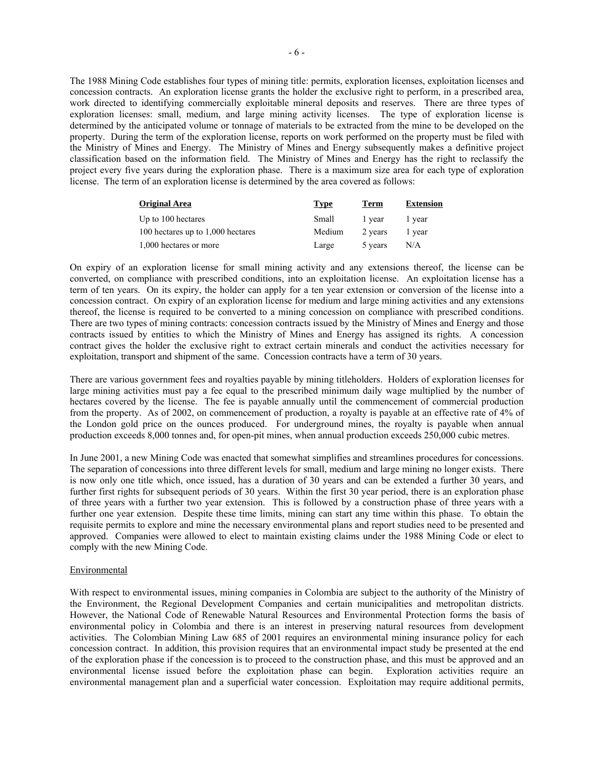The 1988 Mining Code establishes four types of mining title: permits, exploration licenses, exploitation licenses and concession contracts. An exploration license grants the holder the exclusive right to perform, in a prescribed area, work directed to identifying commercially exploitable mineral deposits and reserves. There are three types of exploration licenses: small, medium, and large mining activity licenses. The type of exploration license is determined by the anticipated volume or tonnage of materials to be extracted from the mine to be developed on the property. During the term of the exploration license, reports on work performed on the property must be filed with the Ministry of Mines and Energy. The Ministry of Mines and Energy subsequently makes a definitive project classification based on the information field. The Ministry of Mines and Energy has the right to reclassify the project every five years during the exploration phase. There is a maximum size area for each type of exploration license. The term of an exploration license is determined by the area covered as follows:

| <b>Original Area</b>              | <b>Type</b> | Term    | <b>Extension</b> |
|-----------------------------------|-------------|---------|------------------|
| Up to 100 hectares                | Small       | 1 vear  | 1 vear           |
| 100 hectares up to 1,000 hectares | Medium      | 2 years | 1 vear           |
| 1,000 hectares or more            | Large       | 5 years | N/A              |

On expiry of an exploration license for small mining activity and any extensions thereof, the license can be converted, on compliance with prescribed conditions, into an exploitation license. An exploitation license has a term of ten years. On its expiry, the holder can apply for a ten year extension or conversion of the license into a concession contract. On expiry of an exploration license for medium and large mining activities and any extensions thereof, the license is required to be converted to a mining concession on compliance with prescribed conditions. There are two types of mining contracts: concession contracts issued by the Ministry of Mines and Energy and those contracts issued by entities to which the Ministry of Mines and Energy has assigned its rights. A concession contract gives the holder the exclusive right to extract certain minerals and conduct the activities necessary for exploitation, transport and shipment of the same. Concession contracts have a term of 30 years.

There are various government fees and royalties payable by mining titleholders. Holders of exploration licenses for large mining activities must pay a fee equal to the prescribed minimum daily wage multiplied by the number of hectares covered by the license. The fee is payable annually until the commencement of commercial production from the property. As of 2002, on commencement of production, a royalty is payable at an effective rate of 4% of the London gold price on the ounces produced. For underground mines, the royalty is payable when annual production exceeds 8,000 tonnes and, for open-pit mines, when annual production exceeds 250,000 cubic metres.

In June 2001, a new Mining Code was enacted that somewhat simplifies and streamlines procedures for concessions. The separation of concessions into three different levels for small, medium and large mining no longer exists. There is now only one title which, once issued, has a duration of 30 years and can be extended a further 30 years, and further first rights for subsequent periods of 30 years. Within the first 30 year period, there is an exploration phase of three years with a further two year extension. This is followed by a construction phase of three years with a further one year extension. Despite these time limits, mining can start any time within this phase. To obtain the requisite permits to explore and mine the necessary environmental plans and report studies need to be presented and approved. Companies were allowed to elect to maintain existing claims under the 1988 Mining Code or elect to comply with the new Mining Code.

### Environmental

With respect to environmental issues, mining companies in Colombia are subject to the authority of the Ministry of the Environment, the Regional Development Companies and certain municipalities and metropolitan districts. However, the National Code of Renewable Natural Resources and Environmental Protection forms the basis of environmental policy in Colombia and there is an interest in preserving natural resources from development activities. The Colombian Mining Law 685 of 2001 requires an environmental mining insurance policy for each concession contract. In addition, this provision requires that an environmental impact study be presented at the end of the exploration phase if the concession is to proceed to the construction phase, and this must be approved and an environmental license issued before the exploitation phase can begin. Exploration activities require an environmental management plan and a superficial water concession. Exploitation may require additional permits,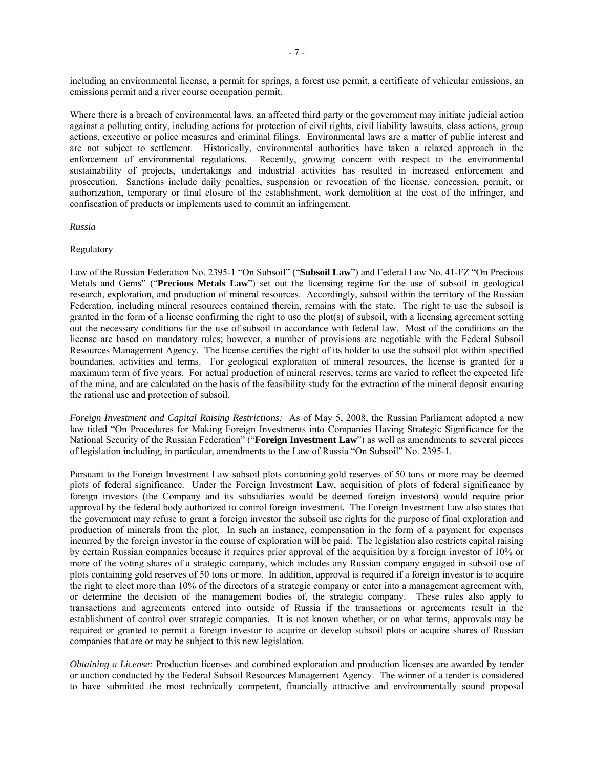including an environmental license, a permit for springs, a forest use permit, a certificate of vehicular emissions, an emissions permit and a river course occupation permit.

Where there is a breach of environmental laws, an affected third party or the government may initiate judicial action against a polluting entity, including actions for protection of civil rights, civil liability lawsuits, class actions, group actions, executive or police measures and criminal filings. Environmental laws are a matter of public interest and are not subject to settlement. Historically, environmental authorities have taken a relaxed approach in the enforcement of environmental regulations. Recently, growing concern with respect to the environmental sustainability of projects, undertakings and industrial activities has resulted in increased enforcement and prosecution. Sanctions include daily penalties, suspension or revocation of the license, concession, permit, or authorization, temporary or final closure of the establishment, work demolition at the cost of the infringer, and confiscation of products or implements used to commit an infringement.

#### *Russia*

## **Regulatory**

Law of the Russian Federation No. 2395-1 "On Subsoil" ("**Subsoil Law**") and Federal Law No. 41-FZ "On Precious Metals and Gems" ("**Precious Metals Law**") set out the licensing regime for the use of subsoil in geological research, exploration, and production of mineral resources. Accordingly, subsoil within the territory of the Russian Federation, including mineral resources contained therein, remains with the state. The right to use the subsoil is granted in the form of a license confirming the right to use the plot(s) of subsoil, with a licensing agreement setting out the necessary conditions for the use of subsoil in accordance with federal law. Most of the conditions on the license are based on mandatory rules; however, a number of provisions are negotiable with the Federal Subsoil Resources Management Agency. The license certifies the right of its holder to use the subsoil plot within specified boundaries, activities and terms. For geological exploration of mineral resources, the license is granted for a maximum term of five years. For actual production of mineral reserves, terms are varied to reflect the expected life of the mine, and are calculated on the basis of the feasibility study for the extraction of the mineral deposit ensuring the rational use and protection of subsoil.

*Foreign Investment and Capital Raising Restrictions:* As of May 5, 2008, the Russian Parliament adopted a new law titled "On Procedures for Making Foreign Investments into Companies Having Strategic Significance for the National Security of the Russian Federation" ("**Foreign Investment Law**") as well as amendments to several pieces of legislation including, in particular, amendments to the Law of Russia "On Subsoil" No. 2395-1.

Pursuant to the Foreign Investment Law subsoil plots containing gold reserves of 50 tons or more may be deemed plots of federal significance. Under the Foreign Investment Law, acquisition of plots of federal significance by foreign investors (the Company and its subsidiaries would be deemed foreign investors) would require prior approval by the federal body authorized to control foreign investment. The Foreign Investment Law also states that the government may refuse to grant a foreign investor the subsoil use rights for the purpose of final exploration and production of minerals from the plot. In such an instance, compensation in the form of a payment for expenses incurred by the foreign investor in the course of exploration will be paid. The legislation also restricts capital raising by certain Russian companies because it requires prior approval of the acquisition by a foreign investor of 10% or more of the voting shares of a strategic company, which includes any Russian company engaged in subsoil use of plots containing gold reserves of 50 tons or more. In addition, approval is required if a foreign investor is to acquire the right to elect more than 10% of the directors of a strategic company or enter into a management agreement with, or determine the decision of the management bodies of, the strategic company. These rules also apply to transactions and agreements entered into outside of Russia if the transactions or agreements result in the establishment of control over strategic companies. It is not known whether, or on what terms, approvals may be required or granted to permit a foreign investor to acquire or develop subsoil plots or acquire shares of Russian companies that are or may be subject to this new legislation.

*Obtaining a License:* Production licenses and combined exploration and production licenses are awarded by tender or auction conducted by the Federal Subsoil Resources Management Agency. The winner of a tender is considered to have submitted the most technically competent, financially attractive and environmentally sound proposal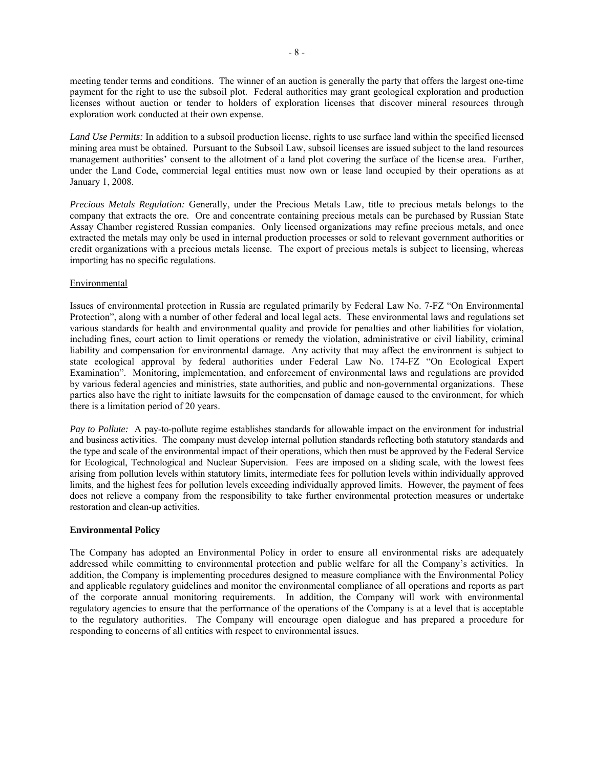meeting tender terms and conditions. The winner of an auction is generally the party that offers the largest one-time payment for the right to use the subsoil plot. Federal authorities may grant geological exploration and production licenses without auction or tender to holders of exploration licenses that discover mineral resources through exploration work conducted at their own expense.

Land Use Permits: In addition to a subsoil production license, rights to use surface land within the specified licensed mining area must be obtained. Pursuant to the Subsoil Law, subsoil licenses are issued subject to the land resources management authorities' consent to the allotment of a land plot covering the surface of the license area. Further, under the Land Code, commercial legal entities must now own or lease land occupied by their operations as at January 1, 2008.

*Precious Metals Regulation:* Generally, under the Precious Metals Law, title to precious metals belongs to the company that extracts the ore. Ore and concentrate containing precious metals can be purchased by Russian State Assay Chamber registered Russian companies. Only licensed organizations may refine precious metals, and once extracted the metals may only be used in internal production processes or sold to relevant government authorities or credit organizations with a precious metals license. The export of precious metals is subject to licensing, whereas importing has no specific regulations.

### **Environmental**

Issues of environmental protection in Russia are regulated primarily by Federal Law No. 7-FZ "On Environmental Protection", along with a number of other federal and local legal acts. These environmental laws and regulations set various standards for health and environmental quality and provide for penalties and other liabilities for violation, including fines, court action to limit operations or remedy the violation, administrative or civil liability, criminal liability and compensation for environmental damage. Any activity that may affect the environment is subject to state ecological approval by federal authorities under Federal Law No. 174-FZ "On Ecological Expert Examination". Monitoring, implementation, and enforcement of environmental laws and regulations are provided by various federal agencies and ministries, state authorities, and public and non-governmental organizations. These parties also have the right to initiate lawsuits for the compensation of damage caused to the environment, for which there is a limitation period of 20 years.

*Pay to Pollute:* A pay-to-pollute regime establishes standards for allowable impact on the environment for industrial and business activities. The company must develop internal pollution standards reflecting both statutory standards and the type and scale of the environmental impact of their operations, which then must be approved by the Federal Service for Ecological, Technological and Nuclear Supervision. Fees are imposed on a sliding scale, with the lowest fees arising from pollution levels within statutory limits, intermediate fees for pollution levels within individually approved limits, and the highest fees for pollution levels exceeding individually approved limits. However, the payment of fees does not relieve a company from the responsibility to take further environmental protection measures or undertake restoration and clean-up activities.

### **Environmental Policy**

The Company has adopted an Environmental Policy in order to ensure all environmental risks are adequately addressed while committing to environmental protection and public welfare for all the Company's activities. In addition, the Company is implementing procedures designed to measure compliance with the Environmental Policy and applicable regulatory guidelines and monitor the environmental compliance of all operations and reports as part of the corporate annual monitoring requirements. In addition, the Company will work with environmental regulatory agencies to ensure that the performance of the operations of the Company is at a level that is acceptable to the regulatory authorities. The Company will encourage open dialogue and has prepared a procedure for responding to concerns of all entities with respect to environmental issues.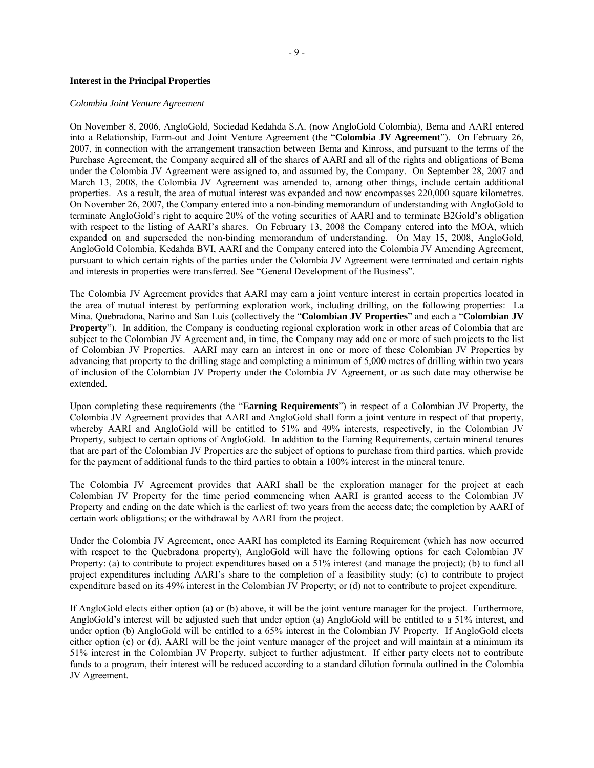#### **Interest in the Principal Properties**

#### *Colombia Joint Venture Agreement*

On November 8, 2006, AngloGold, Sociedad Kedahda S.A. (now AngloGold Colombia), Bema and AARI entered into a Relationship, Farm-out and Joint Venture Agreement (the "**Colombia JV Agreement**"). On February 26, 2007, in connection with the arrangement transaction between Bema and Kinross, and pursuant to the terms of the Purchase Agreement, the Company acquired all of the shares of AARI and all of the rights and obligations of Bema under the Colombia JV Agreement were assigned to, and assumed by, the Company. On September 28, 2007 and March 13, 2008, the Colombia JV Agreement was amended to, among other things, include certain additional properties. As a result, the area of mutual interest was expanded and now encompasses 220,000 square kilometres. On November 26, 2007, the Company entered into a non-binding memorandum of understanding with AngloGold to terminate AngloGold's right to acquire 20% of the voting securities of AARI and to terminate B2Gold's obligation with respect to the listing of AARI's shares. On February 13, 2008 the Company entered into the MOA, which expanded on and superseded the non-binding memorandum of understanding. On May 15, 2008, AngloGold, AngloGold Colombia, Kedahda BVI, AARI and the Company entered into the Colombia JV Amending Agreement, pursuant to which certain rights of the parties under the Colombia JV Agreement were terminated and certain rights and interests in properties were transferred. See "General Development of the Business".

The Colombia JV Agreement provides that AARI may earn a joint venture interest in certain properties located in the area of mutual interest by performing exploration work, including drilling, on the following properties: La Mina, Quebradona, Narino and San Luis (collectively the "**Colombian JV Properties**" and each a "**Colombian JV Property**"). In addition, the Company is conducting regional exploration work in other areas of Colombia that are subject to the Colombian JV Agreement and, in time, the Company may add one or more of such projects to the list of Colombian JV Properties. AARI may earn an interest in one or more of these Colombian JV Properties by advancing that property to the drilling stage and completing a minimum of 5,000 metres of drilling within two years of inclusion of the Colombian JV Property under the Colombia JV Agreement, or as such date may otherwise be extended.

Upon completing these requirements (the "**Earning Requirements**") in respect of a Colombian JV Property, the Colombia JV Agreement provides that AARI and AngloGold shall form a joint venture in respect of that property, whereby AARI and AngloGold will be entitled to 51% and 49% interests, respectively, in the Colombian JV Property, subject to certain options of AngloGold. In addition to the Earning Requirements, certain mineral tenures that are part of the Colombian JV Properties are the subject of options to purchase from third parties, which provide for the payment of additional funds to the third parties to obtain a 100% interest in the mineral tenure.

The Colombia JV Agreement provides that AARI shall be the exploration manager for the project at each Colombian JV Property for the time period commencing when AARI is granted access to the Colombian JV Property and ending on the date which is the earliest of: two years from the access date; the completion by AARI of certain work obligations; or the withdrawal by AARI from the project.

Under the Colombia JV Agreement, once AARI has completed its Earning Requirement (which has now occurred with respect to the Quebradona property), AngloGold will have the following options for each Colombian JV Property: (a) to contribute to project expenditures based on a 51% interest (and manage the project); (b) to fund all project expenditures including AARI's share to the completion of a feasibility study; (c) to contribute to project expenditure based on its 49% interest in the Colombian JV Property; or (d) not to contribute to project expenditure.

If AngloGold elects either option (a) or (b) above, it will be the joint venture manager for the project. Furthermore, AngloGold's interest will be adjusted such that under option (a) AngloGold will be entitled to a 51% interest, and under option (b) AngloGold will be entitled to a 65% interest in the Colombian JV Property. If AngloGold elects either option (c) or (d), AARI will be the joint venture manager of the project and will maintain at a minimum its 51% interest in the Colombian JV Property, subject to further adjustment. If either party elects not to contribute funds to a program, their interest will be reduced according to a standard dilution formula outlined in the Colombia JV Agreement.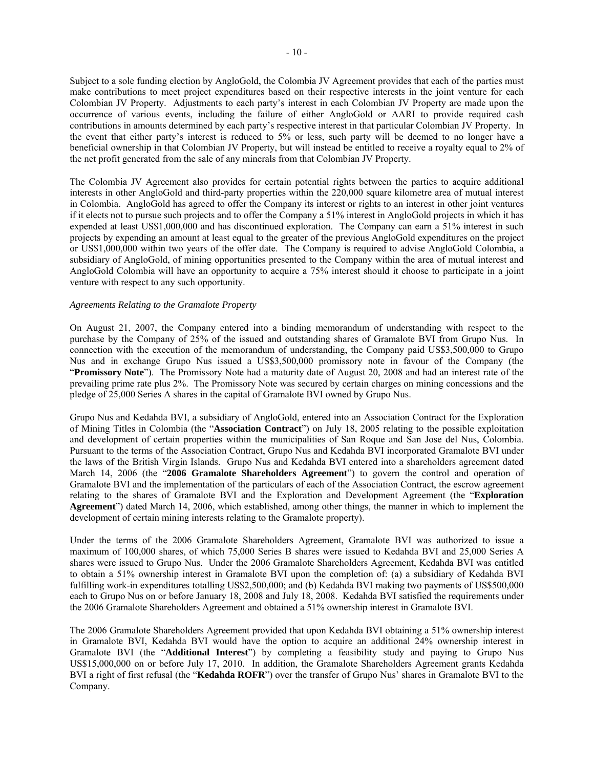Subject to a sole funding election by AngloGold, the Colombia JV Agreement provides that each of the parties must make contributions to meet project expenditures based on their respective interests in the joint venture for each Colombian JV Property. Adjustments to each party's interest in each Colombian JV Property are made upon the occurrence of various events, including the failure of either AngloGold or AARI to provide required cash contributions in amounts determined by each party's respective interest in that particular Colombian JV Property. In the event that either party's interest is reduced to 5% or less, such party will be deemed to no longer have a beneficial ownership in that Colombian JV Property, but will instead be entitled to receive a royalty equal to 2% of the net profit generated from the sale of any minerals from that Colombian JV Property.

The Colombia JV Agreement also provides for certain potential rights between the parties to acquire additional interests in other AngloGold and third-party properties within the 220,000 square kilometre area of mutual interest in Colombia. AngloGold has agreed to offer the Company its interest or rights to an interest in other joint ventures if it elects not to pursue such projects and to offer the Company a 51% interest in AngloGold projects in which it has expended at least US\$1,000,000 and has discontinued exploration. The Company can earn a 51% interest in such projects by expending an amount at least equal to the greater of the previous AngloGold expenditures on the project or US\$1,000,000 within two years of the offer date. The Company is required to advise AngloGold Colombia, a subsidiary of AngloGold, of mining opportunities presented to the Company within the area of mutual interest and AngloGold Colombia will have an opportunity to acquire a 75% interest should it choose to participate in a joint venture with respect to any such opportunity.

## *Agreements Relating to the Gramalote Property*

On August 21, 2007, the Company entered into a binding memorandum of understanding with respect to the purchase by the Company of 25% of the issued and outstanding shares of Gramalote BVI from Grupo Nus. In connection with the execution of the memorandum of understanding, the Company paid US\$3,500,000 to Grupo Nus and in exchange Grupo Nus issued a US\$3,500,000 promissory note in favour of the Company (the "**Promissory Note**"). The Promissory Note had a maturity date of August 20, 2008 and had an interest rate of the prevailing prime rate plus 2%. The Promissory Note was secured by certain charges on mining concessions and the pledge of 25,000 Series A shares in the capital of Gramalote BVI owned by Grupo Nus.

Grupo Nus and Kedahda BVI, a subsidiary of AngloGold, entered into an Association Contract for the Exploration of Mining Titles in Colombia (the "**Association Contract**") on July 18, 2005 relating to the possible exploitation and development of certain properties within the municipalities of San Roque and San Jose del Nus, Colombia. Pursuant to the terms of the Association Contract, Grupo Nus and Kedahda BVI incorporated Gramalote BVI under the laws of the British Virgin Islands. Grupo Nus and Kedahda BVI entered into a shareholders agreement dated March 14, 2006 (the "**2006 Gramalote Shareholders Agreement**") to govern the control and operation of Gramalote BVI and the implementation of the particulars of each of the Association Contract, the escrow agreement relating to the shares of Gramalote BVI and the Exploration and Development Agreement (the "**Exploration Agreement**") dated March 14, 2006, which established, among other things, the manner in which to implement the development of certain mining interests relating to the Gramalote property).

Under the terms of the 2006 Gramalote Shareholders Agreement, Gramalote BVI was authorized to issue a maximum of 100,000 shares, of which 75,000 Series B shares were issued to Kedahda BVI and 25,000 Series A shares were issued to Grupo Nus. Under the 2006 Gramalote Shareholders Agreement, Kedahda BVI was entitled to obtain a 51% ownership interest in Gramalote BVI upon the completion of: (a) a subsidiary of Kedahda BVI fulfilling work-in expenditures totalling US\$2,500,000; and (b) Kedahda BVI making two payments of US\$500,000 each to Grupo Nus on or before January 18, 2008 and July 18, 2008. Kedahda BVI satisfied the requirements under the 2006 Gramalote Shareholders Agreement and obtained a 51% ownership interest in Gramalote BVI.

The 2006 Gramalote Shareholders Agreement provided that upon Kedahda BVI obtaining a 51% ownership interest in Gramalote BVI, Kedahda BVI would have the option to acquire an additional 24% ownership interest in Gramalote BVI (the "**Additional Interest**") by completing a feasibility study and paying to Grupo Nus US\$15,000,000 on or before July 17, 2010. In addition, the Gramalote Shareholders Agreement grants Kedahda BVI a right of first refusal (the "**Kedahda ROFR**") over the transfer of Grupo Nus' shares in Gramalote BVI to the Company.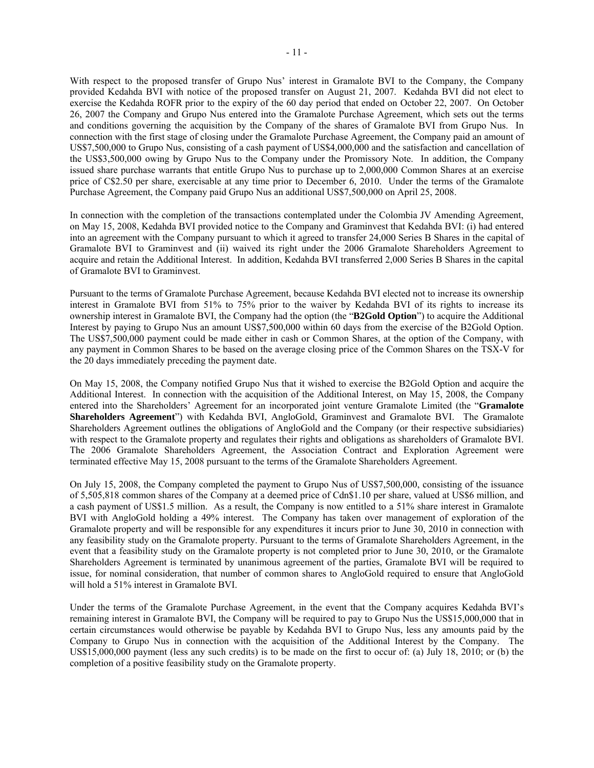With respect to the proposed transfer of Grupo Nus' interest in Gramalote BVI to the Company, the Company provided Kedahda BVI with notice of the proposed transfer on August 21, 2007. Kedahda BVI did not elect to exercise the Kedahda ROFR prior to the expiry of the 60 day period that ended on October 22, 2007. On October 26, 2007 the Company and Grupo Nus entered into the Gramalote Purchase Agreement, which sets out the terms and conditions governing the acquisition by the Company of the shares of Gramalote BVI from Grupo Nus. In connection with the first stage of closing under the Gramalote Purchase Agreement, the Company paid an amount of US\$7,500,000 to Grupo Nus, consisting of a cash payment of US\$4,000,000 and the satisfaction and cancellation of the US\$3,500,000 owing by Grupo Nus to the Company under the Promissory Note. In addition, the Company issued share purchase warrants that entitle Grupo Nus to purchase up to 2,000,000 Common Shares at an exercise price of C\$2.50 per share, exercisable at any time prior to December 6, 2010. Under the terms of the Gramalote Purchase Agreement, the Company paid Grupo Nus an additional US\$7,500,000 on April 25, 2008.

In connection with the completion of the transactions contemplated under the Colombia JV Amending Agreement, on May 15, 2008, Kedahda BVI provided notice to the Company and Graminvest that Kedahda BVI: (i) had entered into an agreement with the Company pursuant to which it agreed to transfer 24,000 Series B Shares in the capital of Gramalote BVI to Graminvest and (ii) waived its right under the 2006 Gramalote Shareholders Agreement to acquire and retain the Additional Interest. In addition, Kedahda BVI transferred 2,000 Series B Shares in the capital of Gramalote BVI to Graminvest.

Pursuant to the terms of Gramalote Purchase Agreement, because Kedahda BVI elected not to increase its ownership interest in Gramalote BVI from 51% to 75% prior to the waiver by Kedahda BVI of its rights to increase its ownership interest in Gramalote BVI, the Company had the option (the "**B2Gold Option**") to acquire the Additional Interest by paying to Grupo Nus an amount US\$7,500,000 within 60 days from the exercise of the B2Gold Option. The US\$7,500,000 payment could be made either in cash or Common Shares, at the option of the Company, with any payment in Common Shares to be based on the average closing price of the Common Shares on the TSX-V for the 20 days immediately preceding the payment date.

On May 15, 2008, the Company notified Grupo Nus that it wished to exercise the B2Gold Option and acquire the Additional Interest. In connection with the acquisition of the Additional Interest, on May 15, 2008, the Company entered into the Shareholders' Agreement for an incorporated joint venture Gramalote Limited (the "**Gramalote Shareholders Agreement**") with Kedahda BVI, AngloGold, Graminvest and Gramalote BVI. The Gramalote Shareholders Agreement outlines the obligations of AngloGold and the Company (or their respective subsidiaries) with respect to the Gramalote property and regulates their rights and obligations as shareholders of Gramalote BVI. The 2006 Gramalote Shareholders Agreement, the Association Contract and Exploration Agreement were terminated effective May 15, 2008 pursuant to the terms of the Gramalote Shareholders Agreement.

On July 15, 2008, the Company completed the payment to Grupo Nus of US\$7,500,000, consisting of the issuance of 5,505,818 common shares of the Company at a deemed price of Cdn\$1.10 per share, valued at US\$6 million, and a cash payment of US\$1.5 million. As a result, the Company is now entitled to a 51% share interest in Gramalote BVI with AngloGold holding a 49% interest. The Company has taken over management of exploration of the Gramalote property and will be responsible for any expenditures it incurs prior to June 30, 2010 in connection with any feasibility study on the Gramalote property. Pursuant to the terms of Gramalote Shareholders Agreement, in the event that a feasibility study on the Gramalote property is not completed prior to June 30, 2010, or the Gramalote Shareholders Agreement is terminated by unanimous agreement of the parties, Gramalote BVI will be required to issue, for nominal consideration, that number of common shares to AngloGold required to ensure that AngloGold will hold a 51% interest in Gramalote BVI.

Under the terms of the Gramalote Purchase Agreement, in the event that the Company acquires Kedahda BVI's remaining interest in Gramalote BVI, the Company will be required to pay to Grupo Nus the US\$15,000,000 that in certain circumstances would otherwise be payable by Kedahda BVI to Grupo Nus, less any amounts paid by the Company to Grupo Nus in connection with the acquisition of the Additional Interest by the Company. The US\$15,000,000 payment (less any such credits) is to be made on the first to occur of: (a) July 18, 2010; or (b) the completion of a positive feasibility study on the Gramalote property.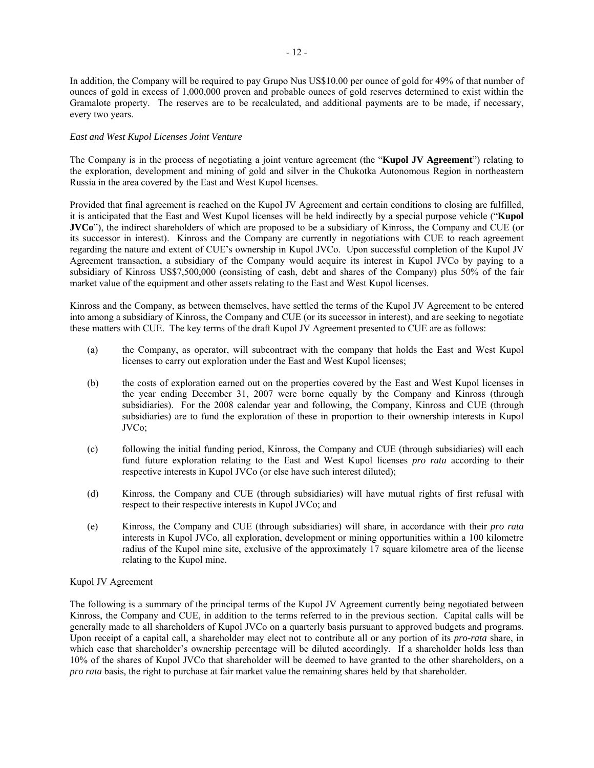In addition, the Company will be required to pay Grupo Nus US\$10.00 per ounce of gold for 49% of that number of ounces of gold in excess of 1,000,000 proven and probable ounces of gold reserves determined to exist within the Gramalote property. The reserves are to be recalculated, and additional payments are to be made, if necessary, every two years.

### *East and West Kupol Licenses Joint Venture*

The Company is in the process of negotiating a joint venture agreement (the "**Kupol JV Agreement**") relating to the exploration, development and mining of gold and silver in the Chukotka Autonomous Region in northeastern Russia in the area covered by the East and West Kupol licenses.

Provided that final agreement is reached on the Kupol JV Agreement and certain conditions to closing are fulfilled, it is anticipated that the East and West Kupol licenses will be held indirectly by a special purpose vehicle ("**Kupol JVCo**"), the indirect shareholders of which are proposed to be a subsidiary of Kinross, the Company and CUE (or its successor in interest). Kinross and the Company are currently in negotiations with CUE to reach agreement regarding the nature and extent of CUE's ownership in Kupol JVCo. Upon successful completion of the Kupol JV Agreement transaction, a subsidiary of the Company would acquire its interest in Kupol JVCo by paying to a subsidiary of Kinross US\$7,500,000 (consisting of cash, debt and shares of the Company) plus 50% of the fair market value of the equipment and other assets relating to the East and West Kupol licenses.

Kinross and the Company, as between themselves, have settled the terms of the Kupol JV Agreement to be entered into among a subsidiary of Kinross, the Company and CUE (or its successor in interest), and are seeking to negotiate these matters with CUE. The key terms of the draft Kupol JV Agreement presented to CUE are as follows:

- (a) the Company, as operator, will subcontract with the company that holds the East and West Kupol licenses to carry out exploration under the East and West Kupol licenses;
- (b) the costs of exploration earned out on the properties covered by the East and West Kupol licenses in the year ending December 31, 2007 were borne equally by the Company and Kinross (through subsidiaries). For the 2008 calendar year and following, the Company, Kinross and CUE (through subsidiaries) are to fund the exploration of these in proportion to their ownership interests in Kupol JVCo;
- (c) following the initial funding period, Kinross, the Company and CUE (through subsidiaries) will each fund future exploration relating to the East and West Kupol licenses *pro rata* according to their respective interests in Kupol JVCo (or else have such interest diluted);
- (d) Kinross, the Company and CUE (through subsidiaries) will have mutual rights of first refusal with respect to their respective interests in Kupol JVCo; and
- (e) Kinross, the Company and CUE (through subsidiaries) will share, in accordance with their *pro rata* interests in Kupol JVCo, all exploration, development or mining opportunities within a 100 kilometre radius of the Kupol mine site, exclusive of the approximately 17 square kilometre area of the license relating to the Kupol mine.

## Kupol JV Agreement

The following is a summary of the principal terms of the Kupol JV Agreement currently being negotiated between Kinross, the Company and CUE, in addition to the terms referred to in the previous section. Capital calls will be generally made to all shareholders of Kupol JVCo on a quarterly basis pursuant to approved budgets and programs. Upon receipt of a capital call, a shareholder may elect not to contribute all or any portion of its *pro-rata* share, in which case that shareholder's ownership percentage will be diluted accordingly. If a shareholder holds less than 10% of the shares of Kupol JVCo that shareholder will be deemed to have granted to the other shareholders, on a *pro rata* basis, the right to purchase at fair market value the remaining shares held by that shareholder.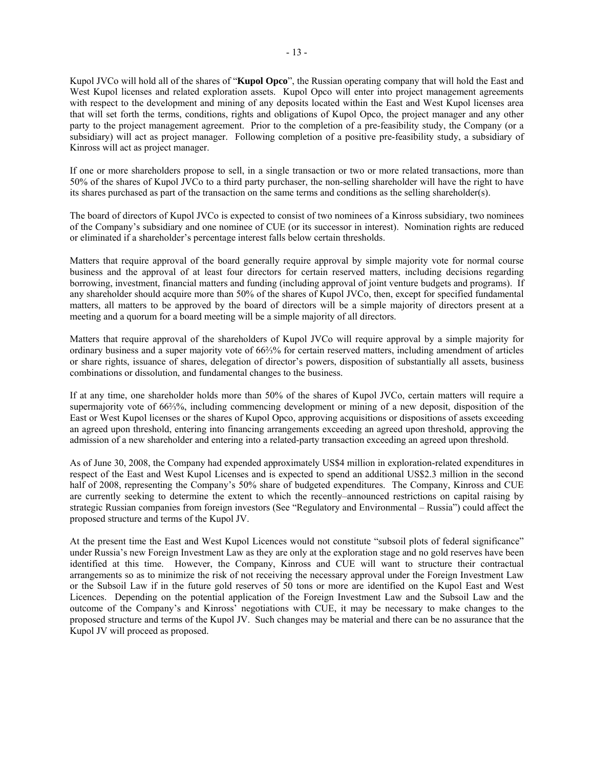Kupol JVCo will hold all of the shares of "**Kupol Opco**", the Russian operating company that will hold the East and West Kupol licenses and related exploration assets. Kupol Opco will enter into project management agreements with respect to the development and mining of any deposits located within the East and West Kupol licenses area that will set forth the terms, conditions, rights and obligations of Kupol Opco, the project manager and any other party to the project management agreement. Prior to the completion of a pre-feasibility study, the Company (or a subsidiary) will act as project manager. Following completion of a positive pre-feasibility study, a subsidiary of Kinross will act as project manager.

If one or more shareholders propose to sell, in a single transaction or two or more related transactions, more than 50% of the shares of Kupol JVCo to a third party purchaser, the non-selling shareholder will have the right to have its shares purchased as part of the transaction on the same terms and conditions as the selling shareholder(s).

The board of directors of Kupol JVCo is expected to consist of two nominees of a Kinross subsidiary, two nominees of the Company's subsidiary and one nominee of CUE (or its successor in interest). Nomination rights are reduced or eliminated if a shareholder's percentage interest falls below certain thresholds.

Matters that require approval of the board generally require approval by simple majority vote for normal course business and the approval of at least four directors for certain reserved matters, including decisions regarding borrowing, investment, financial matters and funding (including approval of joint venture budgets and programs). If any shareholder should acquire more than 50% of the shares of Kupol JVCo, then, except for specified fundamental matters, all matters to be approved by the board of directors will be a simple majority of directors present at a meeting and a quorum for a board meeting will be a simple majority of all directors.

Matters that require approval of the shareholders of Kupol JVCo will require approval by a simple majority for ordinary business and a super majority vote of 66⅔% for certain reserved matters, including amendment of articles or share rights, issuance of shares, delegation of director's powers, disposition of substantially all assets, business combinations or dissolution, and fundamental changes to the business.

If at any time, one shareholder holds more than 50% of the shares of Kupol JVCo, certain matters will require a supermajority vote of 66⅔%, including commencing development or mining of a new deposit, disposition of the East or West Kupol licenses or the shares of Kupol Opco, approving acquisitions or dispositions of assets exceeding an agreed upon threshold, entering into financing arrangements exceeding an agreed upon threshold, approving the admission of a new shareholder and entering into a related-party transaction exceeding an agreed upon threshold.

As of June 30, 2008, the Company had expended approximately US\$4 million in exploration-related expenditures in respect of the East and West Kupol Licenses and is expected to spend an additional US\$2.3 million in the second half of 2008, representing the Company's 50% share of budgeted expenditures. The Company, Kinross and CUE are currently seeking to determine the extent to which the recently–announced restrictions on capital raising by strategic Russian companies from foreign investors (See "Regulatory and Environmental – Russia") could affect the proposed structure and terms of the Kupol JV.

At the present time the East and West Kupol Licences would not constitute "subsoil plots of federal significance" under Russia's new Foreign Investment Law as they are only at the exploration stage and no gold reserves have been identified at this time. However, the Company, Kinross and CUE will want to structure their contractual arrangements so as to minimize the risk of not receiving the necessary approval under the Foreign Investment Law or the Subsoil Law if in the future gold reserves of 50 tons or more are identified on the Kupol East and West Licences. Depending on the potential application of the Foreign Investment Law and the Subsoil Law and the outcome of the Company's and Kinross' negotiations with CUE, it may be necessary to make changes to the proposed structure and terms of the Kupol JV. Such changes may be material and there can be no assurance that the Kupol JV will proceed as proposed.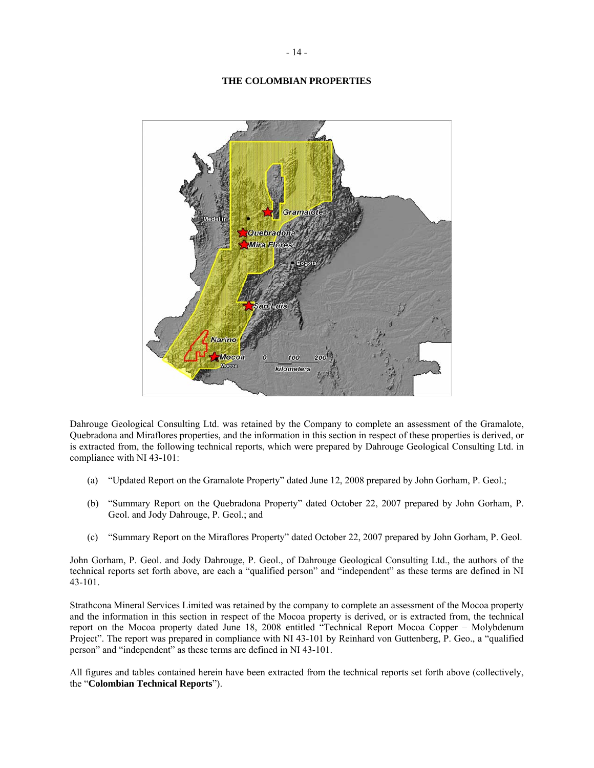## **THE COLOMBIAN PROPERTIES**

<span id="page-15-0"></span>

Dahrouge Geological Consulting Ltd. was retained by the Company to complete an assessment of the Gramalote, Quebradona and Miraflores properties, and the information in this section in respect of these properties is derived, or is extracted from, the following technical reports, which were prepared by Dahrouge Geological Consulting Ltd. in compliance with NI 43-101:

- (a) "Updated Report on the Gramalote Property" dated June 12, 2008 prepared by John Gorham, P. Geol.;
- (b) "Summary Report on the Quebradona Property" dated October 22, 2007 prepared by John Gorham, P. Geol. and Jody Dahrouge, P. Geol.; and
- (c) "Summary Report on the Miraflores Property" dated October 22, 2007 prepared by John Gorham, P. Geol.

John Gorham, P. Geol. and Jody Dahrouge, P. Geol., of Dahrouge Geological Consulting Ltd., the authors of the technical reports set forth above, are each a "qualified person" and "independent" as these terms are defined in NI 43-101.

Strathcona Mineral Services Limited was retained by the company to complete an assessment of the Mocoa property and the information in this section in respect of the Mocoa property is derived, or is extracted from, the technical report on the Mocoa property dated June 18, 2008 entitled "Technical Report Mocoa Copper – Molybdenum Project". The report was prepared in compliance with NI 43-101 by Reinhard von Guttenberg, P. Geo., a "qualified person" and "independent" as these terms are defined in NI 43-101.

All figures and tables contained herein have been extracted from the technical reports set forth above (collectively, the "**Colombian Technical Reports**").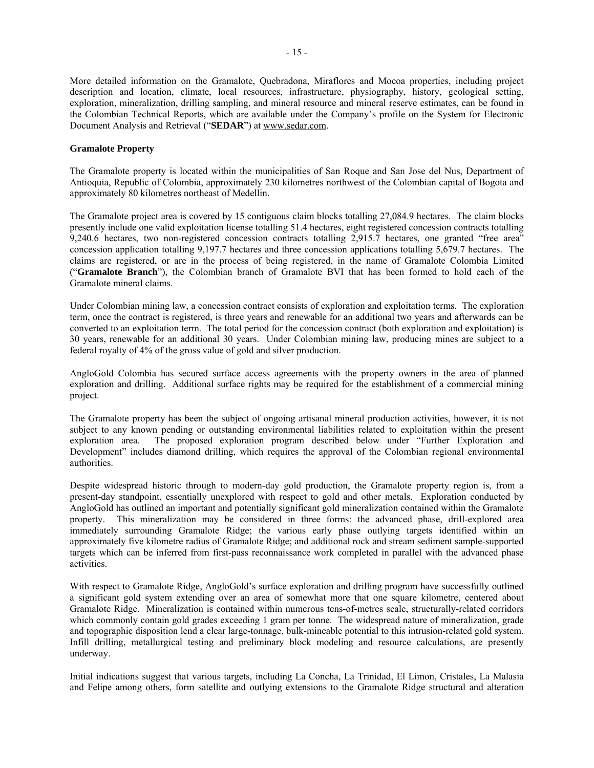More detailed information on the Gramalote, Quebradona, Miraflores and Mocoa properties, including project description and location, climate, local resources, infrastructure, physiography, history, geological setting, exploration, mineralization, drilling sampling, and mineral resource and mineral reserve estimates, can be found in the Colombian Technical Reports, which are available under the Company's profile on the System for Electronic Document Analysis and Retrieval ("**SEDAR**") at [www.sedar.com](http://www.sedar.com/).

#### **Gramalote Property**

The Gramalote property is located within the municipalities of San Roque and San Jose del Nus, Department of Antioquia, Republic of Colombia, approximately 230 kilometres northwest of the Colombian capital of Bogota and approximately 80 kilometres northeast of Medellin.

The Gramalote project area is covered by 15 contiguous claim blocks totalling 27,084.9 hectares. The claim blocks presently include one valid exploitation license totalling 51.4 hectares, eight registered concession contracts totalling 9,240.6 hectares, two non-registered concession contracts totalling 2,915.7 hectares, one granted "free area" concession application totalling 9,197.7 hectares and three concession applications totalling 5,679.7 hectares. The claims are registered, or are in the process of being registered, in the name of Gramalote Colombia Limited ("**Gramalote Branch**"), the Colombian branch of Gramalote BVI that has been formed to hold each of the Gramalote mineral claims.

Under Colombian mining law, a concession contract consists of exploration and exploitation terms. The exploration term, once the contract is registered, is three years and renewable for an additional two years and afterwards can be converted to an exploitation term. The total period for the concession contract (both exploration and exploitation) is 30 years, renewable for an additional 30 years. Under Colombian mining law, producing mines are subject to a federal royalty of 4% of the gross value of gold and silver production.

AngloGold Colombia has secured surface access agreements with the property owners in the area of planned exploration and drilling. Additional surface rights may be required for the establishment of a commercial mining project.

The Gramalote property has been the subject of ongoing artisanal mineral production activities, however, it is not subject to any known pending or outstanding environmental liabilities related to exploitation within the present exploration area. The proposed exploration program described below under "Further Exploration and Development" includes diamond drilling, which requires the approval of the Colombian regional environmental authorities.

Despite widespread historic through to modern-day gold production, the Gramalote property region is, from a present-day standpoint, essentially unexplored with respect to gold and other metals. Exploration conducted by AngloGold has outlined an important and potentially significant gold mineralization contained within the Gramalote property. This mineralization may be considered in three forms: the advanced phase, drill-explored area immediately surrounding Gramalote Ridge; the various early phase outlying targets identified within an approximately five kilometre radius of Gramalote Ridge; and additional rock and stream sediment sample-supported targets which can be inferred from first-pass reconnaissance work completed in parallel with the advanced phase activities.

With respect to Gramalote Ridge, AngloGold's surface exploration and drilling program have successfully outlined a significant gold system extending over an area of somewhat more that one square kilometre, centered about Gramalote Ridge. Mineralization is contained within numerous tens-of-metres scale, structurally-related corridors which commonly contain gold grades exceeding 1 gram per tonne. The widespread nature of mineralization, grade and topographic disposition lend a clear large-tonnage, bulk-mineable potential to this intrusion-related gold system. Infill drilling, metallurgical testing and preliminary block modeling and resource calculations, are presently underway.

Initial indications suggest that various targets, including La Concha, La Trinidad, El Limon, Cristales, La Malasia and Felipe among others, form satellite and outlying extensions to the Gramalote Ridge structural and alteration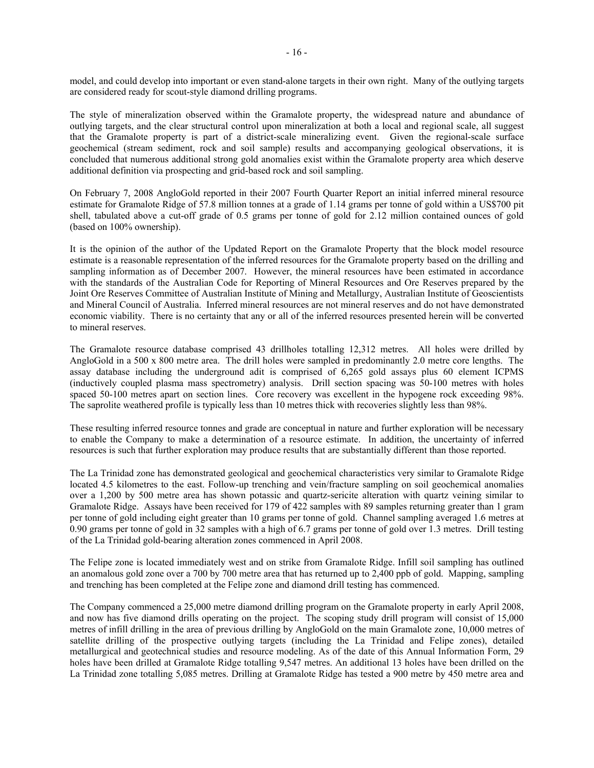model, and could develop into important or even stand-alone targets in their own right. Many of the outlying targets are considered ready for scout-style diamond drilling programs.

The style of mineralization observed within the Gramalote property, the widespread nature and abundance of outlying targets, and the clear structural control upon mineralization at both a local and regional scale, all suggest that the Gramalote property is part of a district-scale mineralizing event. Given the regional-scale surface geochemical (stream sediment, rock and soil sample) results and accompanying geological observations, it is concluded that numerous additional strong gold anomalies exist within the Gramalote property area which deserve additional definition via prospecting and grid-based rock and soil sampling.

On February 7, 2008 AngloGold reported in their 2007 Fourth Quarter Report an initial inferred mineral resource estimate for Gramalote Ridge of 57.8 million tonnes at a grade of 1.14 grams per tonne of gold within a US\$700 pit shell, tabulated above a cut-off grade of 0.5 grams per tonne of gold for 2.12 million contained ounces of gold (based on 100% ownership).

It is the opinion of the author of the Updated Report on the Gramalote Property that the block model resource estimate is a reasonable representation of the inferred resources for the Gramalote property based on the drilling and sampling information as of December 2007. However, the mineral resources have been estimated in accordance with the standards of the Australian Code for Reporting of Mineral Resources and Ore Reserves prepared by the Joint Ore Reserves Committee of Australian Institute of Mining and Metallurgy, Australian Institute of Geoscientists and Mineral Council of Australia. Inferred mineral resources are not mineral reserves and do not have demonstrated economic viability. There is no certainty that any or all of the inferred resources presented herein will be converted to mineral reserves.

The Gramalote resource database comprised 43 drillholes totalling 12,312 metres. All holes were drilled by AngloGold in a 500 x 800 metre area. The drill holes were sampled in predominantly 2.0 metre core lengths. The assay database including the underground adit is comprised of 6,265 gold assays plus 60 element ICPMS (inductively coupled plasma mass spectrometry) analysis. Drill section spacing was 50-100 metres with holes spaced 50-100 metres apart on section lines. Core recovery was excellent in the hypogene rock exceeding 98%. The saprolite weathered profile is typically less than 10 metres thick with recoveries slightly less than 98%.

These resulting inferred resource tonnes and grade are conceptual in nature and further exploration will be necessary to enable the Company to make a determination of a resource estimate. In addition, the uncertainty of inferred resources is such that further exploration may produce results that are substantially different than those reported.

The La Trinidad zone has demonstrated geological and geochemical characteristics very similar to Gramalote Ridge located 4.5 kilometres to the east. Follow-up trenching and vein/fracture sampling on soil geochemical anomalies over a 1,200 by 500 metre area has shown potassic and quartz-sericite alteration with quartz veining similar to Gramalote Ridge. Assays have been received for 179 of 422 samples with 89 samples returning greater than 1 gram per tonne of gold including eight greater than 10 grams per tonne of gold. Channel sampling averaged 1.6 metres at 0.90 grams per tonne of gold in 32 samples with a high of 6.7 grams per tonne of gold over 1.3 metres. Drill testing of the La Trinidad gold-bearing alteration zones commenced in April 2008.

The Felipe zone is located immediately west and on strike from Gramalote Ridge. Infill soil sampling has outlined an anomalous gold zone over a 700 by 700 metre area that has returned up to 2,400 ppb of gold. Mapping, sampling and trenching has been completed at the Felipe zone and diamond drill testing has commenced.

The Company commenced a 25,000 metre diamond drilling program on the Gramalote property in early April 2008, and now has five diamond drills operating on the project. The scoping study drill program will consist of 15,000 metres of infill drilling in the area of previous drilling by AngloGold on the main Gramalote zone, 10,000 metres of satellite drilling of the prospective outlying targets (including the La Trinidad and Felipe zones), detailed metallurgical and geotechnical studies and resource modeling. As of the date of this Annual Information Form, 29 holes have been drilled at Gramalote Ridge totalling 9,547 metres. An additional 13 holes have been drilled on the La Trinidad zone totalling 5,085 metres. Drilling at Gramalote Ridge has tested a 900 metre by 450 metre area and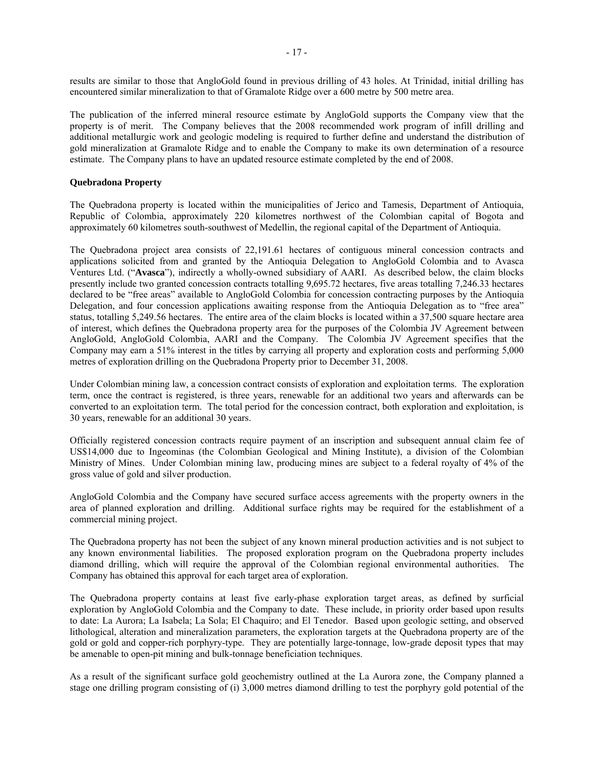results are similar to those that AngloGold found in previous drilling of 43 holes. At Trinidad, initial drilling has encountered similar mineralization to that of Gramalote Ridge over a 600 metre by 500 metre area.

The publication of the inferred mineral resource estimate by AngloGold supports the Company view that the property is of merit. The Company believes that the 2008 recommended work program of infill drilling and additional metallurgic work and geologic modeling is required to further define and understand the distribution of gold mineralization at Gramalote Ridge and to enable the Company to make its own determination of a resource estimate. The Company plans to have an updated resource estimate completed by the end of 2008.

## **Quebradona Property**

The Quebradona property is located within the municipalities of Jerico and Tamesis, Department of Antioquia, Republic of Colombia, approximately 220 kilometres northwest of the Colombian capital of Bogota and approximately 60 kilometres south-southwest of Medellin, the regional capital of the Department of Antioquia.

The Quebradona project area consists of 22,191.61 hectares of contiguous mineral concession contracts and applications solicited from and granted by the Antioquia Delegation to AngloGold Colombia and to Avasca Ventures Ltd. ("**Avasca**"), indirectly a wholly-owned subsidiary of AARI. As described below, the claim blocks presently include two granted concession contracts totalling 9,695.72 hectares, five areas totalling 7,246.33 hectares declared to be "free areas" available to AngloGold Colombia for concession contracting purposes by the Antioquia Delegation, and four concession applications awaiting response from the Antioquia Delegation as to "free area" status, totalling 5,249.56 hectares. The entire area of the claim blocks is located within a 37,500 square hectare area of interest, which defines the Quebradona property area for the purposes of the Colombia JV Agreement between AngloGold, AngloGold Colombia, AARI and the Company. The Colombia JV Agreement specifies that the Company may earn a 51% interest in the titles by carrying all property and exploration costs and performing 5,000 metres of exploration drilling on the Quebradona Property prior to December 31, 2008.

Under Colombian mining law, a concession contract consists of exploration and exploitation terms. The exploration term, once the contract is registered, is three years, renewable for an additional two years and afterwards can be converted to an exploitation term. The total period for the concession contract, both exploration and exploitation, is 30 years, renewable for an additional 30 years.

Officially registered concession contracts require payment of an inscription and subsequent annual claim fee of US\$14,000 due to Ingeominas (the Colombian Geological and Mining Institute), a division of the Colombian Ministry of Mines. Under Colombian mining law, producing mines are subject to a federal royalty of 4% of the gross value of gold and silver production.

AngloGold Colombia and the Company have secured surface access agreements with the property owners in the area of planned exploration and drilling. Additional surface rights may be required for the establishment of a commercial mining project.

The Quebradona property has not been the subject of any known mineral production activities and is not subject to any known environmental liabilities. The proposed exploration program on the Quebradona property includes diamond drilling, which will require the approval of the Colombian regional environmental authorities. The Company has obtained this approval for each target area of exploration.

The Quebradona property contains at least five early-phase exploration target areas, as defined by surficial exploration by AngloGold Colombia and the Company to date. These include, in priority order based upon results to date: La Aurora; La Isabela; La Sola; El Chaquiro; and El Tenedor. Based upon geologic setting, and observed lithological, alteration and mineralization parameters, the exploration targets at the Quebradona property are of the gold or gold and copper-rich porphyry-type. They are potentially large-tonnage, low-grade deposit types that may be amenable to open-pit mining and bulk-tonnage beneficiation techniques.

As a result of the significant surface gold geochemistry outlined at the La Aurora zone, the Company planned a stage one drilling program consisting of (i) 3,000 metres diamond drilling to test the porphyry gold potential of the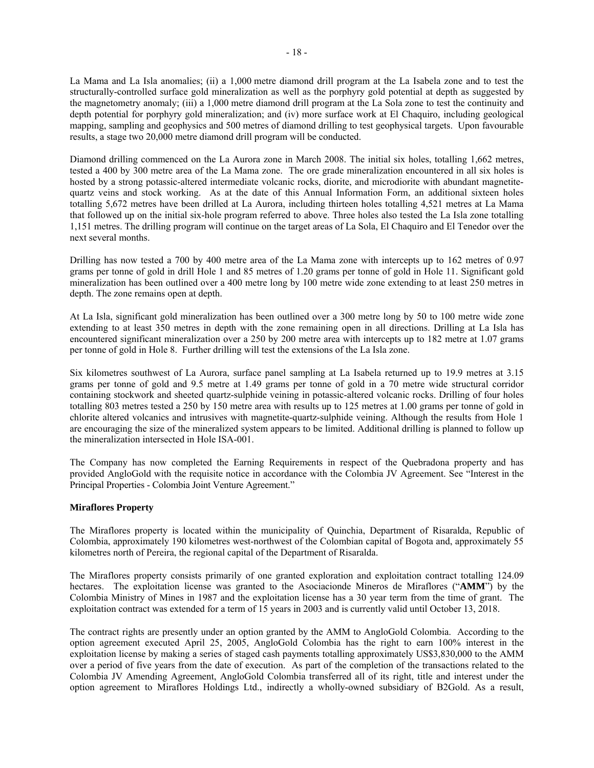La Mama and La Isla anomalies; (ii) a 1,000 metre diamond drill program at the La Isabela zone and to test the structurally-controlled surface gold mineralization as well as the porphyry gold potential at depth as suggested by the magnetometry anomaly; (iii) a 1,000 metre diamond drill program at the La Sola zone to test the continuity and depth potential for porphyry gold mineralization; and (iv) more surface work at El Chaquiro, including geological mapping, sampling and geophysics and 500 metres of diamond drilling to test geophysical targets. Upon favourable results, a stage two 20,000 metre diamond drill program will be conducted.

Diamond drilling commenced on the La Aurora zone in March 2008. The initial six holes, totalling 1,662 metres, tested a 400 by 300 metre area of the La Mama zone. The ore grade mineralization encountered in all six holes is hosted by a strong potassic-altered intermediate volcanic rocks, diorite, and microdiorite with abundant magnetitequartz veins and stock working. As at the date of this Annual Information Form, an additional sixteen holes totalling 5,672 metres have been drilled at La Aurora, including thirteen holes totalling 4,521 metres at La Mama that followed up on the initial six-hole program referred to above. Three holes also tested the La Isla zone totalling 1,151 metres. The drilling program will continue on the target areas of La Sola, El Chaquiro and El Tenedor over the next several months.

Drilling has now tested a 700 by 400 metre area of the La Mama zone with intercepts up to 162 metres of 0.97 grams per tonne of gold in drill Hole 1 and 85 metres of 1.20 grams per tonne of gold in Hole 11. Significant gold mineralization has been outlined over a 400 metre long by 100 metre wide zone extending to at least 250 metres in depth. The zone remains open at depth.

At La Isla, significant gold mineralization has been outlined over a 300 metre long by 50 to 100 metre wide zone extending to at least 350 metres in depth with the zone remaining open in all directions. Drilling at La Isla has encountered significant mineralization over a 250 by 200 metre area with intercepts up to 182 metre at 1.07 grams per tonne of gold in Hole 8. Further drilling will test the extensions of the La Isla zone.

Six kilometres southwest of La Aurora, surface panel sampling at La Isabela returned up to 19.9 metres at 3.15 grams per tonne of gold and 9.5 metre at 1.49 grams per tonne of gold in a 70 metre wide structural corridor containing stockwork and sheeted quartz-sulphide veining in potassic-altered volcanic rocks. Drilling of four holes totalling 803 metres tested a 250 by 150 metre area with results up to 125 metres at 1.00 grams per tonne of gold in chlorite altered volcanics and intrusives with magnetite-quartz-sulphide veining. Although the results from Hole 1 are encouraging the size of the mineralized system appears to be limited. Additional drilling is planned to follow up the mineralization intersected in Hole ISA-001.

The Company has now completed the Earning Requirements in respect of the Quebradona property and has provided AngloGold with the requisite notice in accordance with the Colombia JV Agreement. See "Interest in the Principal Properties - Colombia Joint Venture Agreement."

### **Miraflores Property**

The Miraflores property is located within the municipality of Quinchia, Department of Risaralda, Republic of Colombia, approximately 190 kilometres west-northwest of the Colombian capital of Bogota and, approximately 55 kilometres north of Pereira, the regional capital of the Department of Risaralda.

The Miraflores property consists primarily of one granted exploration and exploitation contract totalling 124.09 hectares. The exploitation license was granted to the Asociacionde Mineros de Miraflores ("**AMM**") by the Colombia Ministry of Mines in 1987 and the exploitation license has a 30 year term from the time of grant. The exploitation contract was extended for a term of 15 years in 2003 and is currently valid until October 13, 2018.

The contract rights are presently under an option granted by the AMM to AngloGold Colombia. According to the option agreement executed April 25, 2005, AngloGold Colombia has the right to earn 100% interest in the exploitation license by making a series of staged cash payments totalling approximately US\$3,830,000 to the AMM over a period of five years from the date of execution. As part of the completion of the transactions related to the Colombia JV Amending Agreement, AngloGold Colombia transferred all of its right, title and interest under the option agreement to Miraflores Holdings Ltd., indirectly a wholly-owned subsidiary of B2Gold. As a result,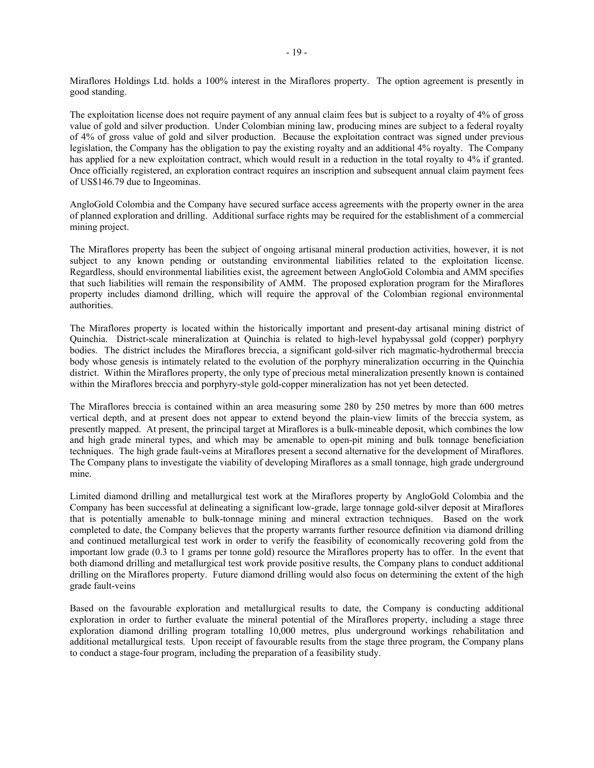Miraflores Holdings Ltd. holds a 100% interest in the Miraflores property. The option agreement is presently in good standing.

The exploitation license does not require payment of any annual claim fees but is subject to a royalty of 4% of gross value of gold and silver production. Under Colombian mining law, producing mines are subject to a federal royalty of 4% of gross value of gold and silver production. Because the exploitation contract was signed under previous legislation, the Company has the obligation to pay the existing royalty and an additional 4% royalty. The Company has applied for a new exploitation contract, which would result in a reduction in the total royalty to 4% if granted. Once officially registered, an exploration contract requires an inscription and subsequent annual claim payment fees of US\$146.79 due to Ingeominas.

AngloGold Colombia and the Company have secured surface access agreements with the property owner in the area of planned exploration and drilling. Additional surface rights may be required for the establishment of a commercial mining project.

The Miraflores property has been the subject of ongoing artisanal mineral production activities, however, it is not subject to any known pending or outstanding environmental liabilities related to the exploitation license. Regardless, should environmental liabilities exist, the agreement between AngloGold Colombia and AMM specifies that such liabilities will remain the responsibility of AMM. The proposed exploration program for the Miraflores property includes diamond drilling, which will require the approval of the Colombian regional environmental authorities.

The Miraflores property is located within the historically important and present-day artisanal mining district of Quinchia. District-scale mineralization at Quinchia is related to high-level hypabyssal gold (copper) porphyry bodies. The district includes the Miraflores breccia, a significant gold-silver rich magmatic-hydrothermal breccia body whose genesis is intimately related to the evolution of the porphyry mineralization occurring in the Quinchia district. Within the Miraflores property, the only type of precious metal mineralization presently known is contained within the Miraflores breccia and porphyry-style gold-copper mineralization has not yet been detected.

The Miraflores breccia is contained within an area measuring some 280 by 250 metres by more than 600 metres vertical depth, and at present does not appear to extend beyond the plain-view limits of the breccia system, as presently mapped. At present, the principal target at Miraflores is a bulk-mineable deposit, which combines the low and high grade mineral types, and which may be amenable to open-pit mining and bulk tonnage beneficiation techniques. The high grade fault-veins at Miraflores present a second alternative for the development of Miraflores. The Company plans to investigate the viability of developing Miraflores as a small tonnage, high grade underground mine.

Limited diamond drilling and metallurgical test work at the Miraflores property by AngloGold Colombia and the Company has been successful at delineating a significant low-grade, large tonnage gold-silver deposit at Miraflores that is potentially amenable to bulk-tonnage mining and mineral extraction techniques. Based on the work completed to date, the Company believes that the property warrants further resource definition via diamond drilling and continued metallurgical test work in order to verify the feasibility of economically recovering gold from the important low grade (0.3 to 1 grams per tonne gold) resource the Miraflores property has to offer. In the event that both diamond drilling and metallurgical test work provide positive results, the Company plans to conduct additional drilling on the Miraflores property. Future diamond drilling would also focus on determining the extent of the high grade fault-veins

Based on the favourable exploration and metallurgical results to date, the Company is conducting additional exploration in order to further evaluate the mineral potential of the Miraflores property, including a stage three exploration diamond drilling program totalling 10,000 metres, plus underground workings rehabilitation and additional metallurgical tests. Upon receipt of favourable results from the stage three program, the Company plans to conduct a stage-four program, including the preparation of a feasibility study.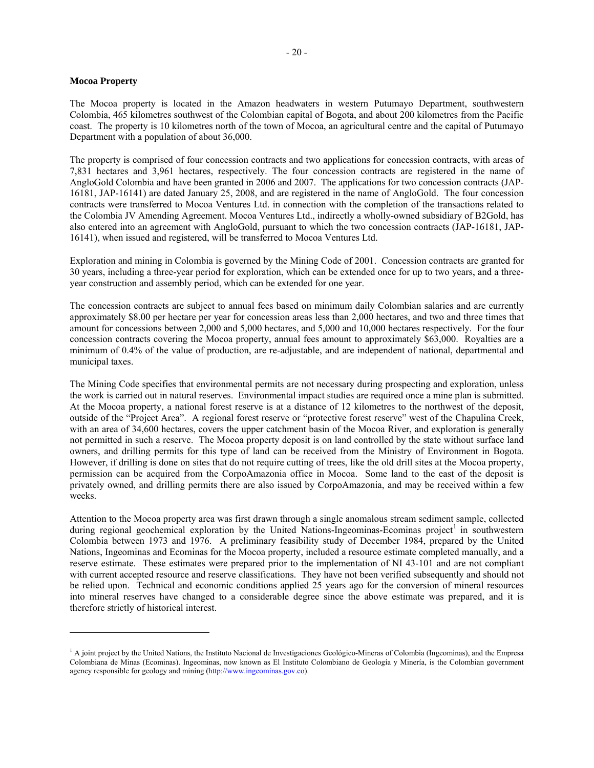#### **Mocoa Property**

1

The Mocoa property is located in the Amazon headwaters in western Putumayo Department, southwestern Colombia, 465 kilometres southwest of the Colombian capital of Bogota, and about 200 kilometres from the Pacific coast. The property is 10 kilometres north of the town of Mocoa, an agricultural centre and the capital of Putumayo Department with a population of about 36,000.

The property is comprised of four concession contracts and two applications for concession contracts, with areas of 7,831 hectares and 3,961 hectares, respectively. The four concession contracts are registered in the name of AngloGold Colombia and have been granted in 2006 and 2007. The applications for two concession contracts (JAP-16181, JAP-16141) are dated January 25, 2008, and are registered in the name of AngloGold. The four concession contracts were transferred to Mocoa Ventures Ltd. in connection with the completion of the transactions related to the Colombia JV Amending Agreement. Mocoa Ventures Ltd., indirectly a wholly-owned subsidiary of B2Gold, has also entered into an agreement with AngloGold, pursuant to which the two concession contracts (JAP-16181, JAP-16141), when issued and registered, will be transferred to Mocoa Ventures Ltd.

Exploration and mining in Colombia is governed by the Mining Code of 2001. Concession contracts are granted for 30 years, including a three-year period for exploration, which can be extended once for up to two years, and a threeyear construction and assembly period, which can be extended for one year.

The concession contracts are subject to annual fees based on minimum daily Colombian salaries and are currently approximately \$8.00 per hectare per year for concession areas less than 2,000 hectares, and two and three times that amount for concessions between 2,000 and 5,000 hectares, and 5,000 and 10,000 hectares respectively. For the four concession contracts covering the Mocoa property, annual fees amount to approximately \$63,000. Royalties are a minimum of 0.4% of the value of production, are re-adjustable, and are independent of national, departmental and municipal taxes.

The Mining Code specifies that environmental permits are not necessary during prospecting and exploration, unless the work is carried out in natural reserves. Environmental impact studies are required once a mine plan is submitted. At the Mocoa property, a national forest reserve is at a distance of 12 kilometres to the northwest of the deposit, outside of the "Project Area". A regional forest reserve or "protective forest reserve" west of the Chapulina Creek, with an area of 34,600 hectares, covers the upper catchment basin of the Mocoa River, and exploration is generally not permitted in such a reserve. The Mocoa property deposit is on land controlled by the state without surface land owners, and drilling permits for this type of land can be received from the Ministry of Environment in Bogota. However, if drilling is done on sites that do not require cutting of trees, like the old drill sites at the Mocoa property, permission can be acquired from the CorpoAmazonia office in Mocoa. Some land to the east of the deposit is privately owned, and drilling permits there are also issued by CorpoAmazonia, and may be received within a few weeks.

Attention to the Mocoa property area was first drawn through a single anomalous stream sediment sample, collected during regional geochemical exploration by the United Nations-Ingeominas-Ecominas project<sup>[1](#page-21-0)</sup> in southwestern Colombia between 1973 and 1976. A preliminary feasibility study of December 1984, prepared by the United Nations, Ingeominas and Ecominas for the Mocoa property, included a resource estimate completed manually, and a reserve estimate. These estimates were prepared prior to the implementation of NI 43-101 and are not compliant with current accepted resource and reserve classifications. They have not been verified subsequently and should not be relied upon. Technical and economic conditions applied 25 years ago for the conversion of mineral resources into mineral reserves have changed to a considerable degree since the above estimate was prepared, and it is therefore strictly of historical interest.

<span id="page-21-0"></span><sup>&</sup>lt;sup>1</sup> A joint project by the United Nations, the Instituto Nacional de Investigaciones Geológico-Mineras of Colombia (Ingeominas), and the Empresa Colombiana de Minas (Ecominas). Ingeominas, now known as El Instituto Colombiano de Geología y Minería, is the Colombian government agency responsible for geology and mining (http://www.ingeominas.gov.co).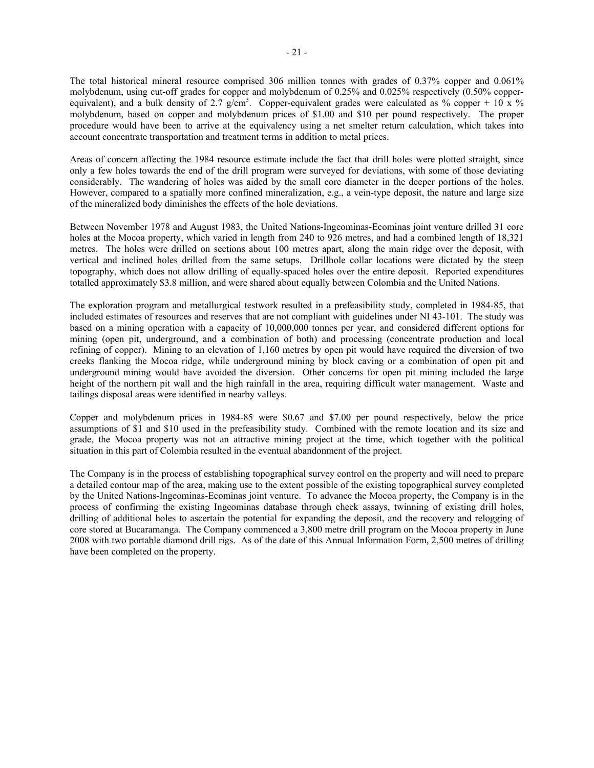The total historical mineral resource comprised 306 million tonnes with grades of 0.37% copper and 0.061% molybdenum, using cut-off grades for copper and molybdenum of 0.25% and 0.025% respectively (0.50% copperequivalent), and a bulk density of 2.7 g/cm<sup>3</sup>. Copper-equivalent grades were calculated as % copper + 10 x % molybdenum, based on copper and molybdenum prices of \$1.00 and \$10 per pound respectively. The proper procedure would have been to arrive at the equivalency using a net smelter return calculation, which takes into account concentrate transportation and treatment terms in addition to metal prices.

Areas of concern affecting the 1984 resource estimate include the fact that drill holes were plotted straight, since only a few holes towards the end of the drill program were surveyed for deviations, with some of those deviating considerably. The wandering of holes was aided by the small core diameter in the deeper portions of the holes. However, compared to a spatially more confined mineralization, e.g., a vein-type deposit, the nature and large size of the mineralized body diminishes the effects of the hole deviations.

Between November 1978 and August 1983, the United Nations-Ingeominas-Ecominas joint venture drilled 31 core holes at the Mocoa property, which varied in length from 240 to 926 metres, and had a combined length of 18,321 metres. The holes were drilled on sections about 100 metres apart, along the main ridge over the deposit, with vertical and inclined holes drilled from the same setups. Drillhole collar locations were dictated by the steep topography, which does not allow drilling of equally-spaced holes over the entire deposit. Reported expenditures totalled approximately \$3.8 million, and were shared about equally between Colombia and the United Nations.

The exploration program and metallurgical testwork resulted in a prefeasibility study, completed in 1984-85, that included estimates of resources and reserves that are not compliant with guidelines under NI 43-101. The study was based on a mining operation with a capacity of 10,000,000 tonnes per year, and considered different options for mining (open pit, underground, and a combination of both) and processing (concentrate production and local refining of copper). Mining to an elevation of 1,160 metres by open pit would have required the diversion of two creeks flanking the Mocoa ridge, while underground mining by block caving or a combination of open pit and underground mining would have avoided the diversion. Other concerns for open pit mining included the large height of the northern pit wall and the high rainfall in the area, requiring difficult water management. Waste and tailings disposal areas were identified in nearby valleys.

Copper and molybdenum prices in 1984-85 were \$0.67 and \$7.00 per pound respectively, below the price assumptions of \$1 and \$10 used in the prefeasibility study. Combined with the remote location and its size and grade, the Mocoa property was not an attractive mining project at the time, which together with the political situation in this part of Colombia resulted in the eventual abandonment of the project.

The Company is in the process of establishing topographical survey control on the property and will need to prepare a detailed contour map of the area, making use to the extent possible of the existing topographical survey completed by the United Nations-Ingeominas-Ecominas joint venture. To advance the Mocoa property, the Company is in the process of confirming the existing Ingeominas database through check assays, twinning of existing drill holes, drilling of additional holes to ascertain the potential for expanding the deposit, and the recovery and relogging of core stored at Bucaramanga. The Company commenced a 3,800 metre drill program on the Mocoa property in June 2008 with two portable diamond drill rigs. As of the date of this Annual Information Form, 2,500 metres of drilling have been completed on the property.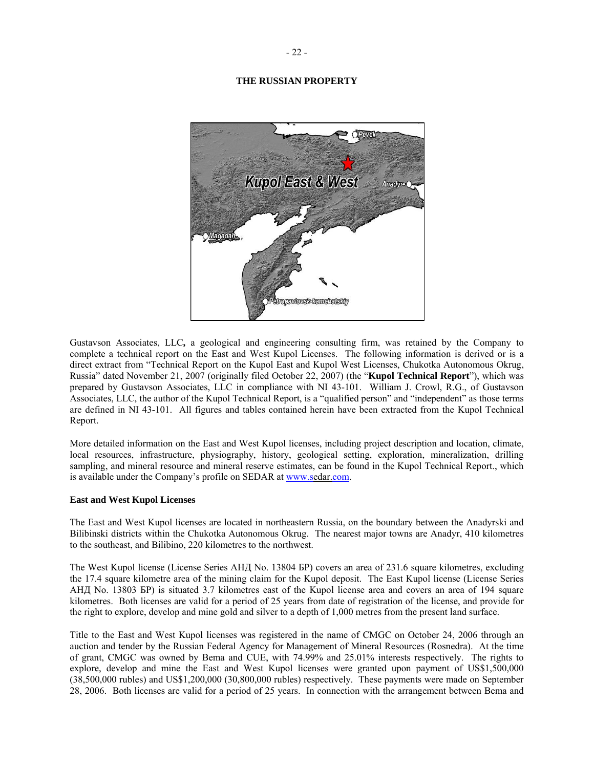## **THE RUSSIAN PROPERTY**

<span id="page-23-0"></span>

Gustavson Associates, LLC**,** a geological and engineering consulting firm, was retained by the Company to complete a technical report on the East and West Kupol Licenses. The following information is derived or is a direct extract from "Technical Report on the Kupol East and Kupol West Licenses, Chukotka Autonomous Okrug, Russia" dated November 21, 2007 (originally filed October 22, 2007) (the "**Kupol Technical Report**"), which was prepared by Gustavson Associates, LLC in compliance with NI 43-101. William J. Crowl, R.G., of Gustavson Associates, LLC, the author of the Kupol Technical Report, is a "qualified person" and "independent" as those terms are defined in NI 43-101. All figures and tables contained herein have been extracted from the Kupol Technical Report.

More detailed information on the East and West Kupol licenses, including project description and location, climate, local resources, infrastructure, physiography, history, geological setting, exploration, mineralization, drilling sampling, and mineral resource and mineral reserve estimates, can be found in the Kupol Technical Report., which is available under the Company's profile on SEDAR at [www.sedar.com](http://www.sedar.com/).

### **East and West Kupol Licenses**

The East and West Kupol licenses are located in northeastern Russia, on the boundary between the Anadyrski and Bilibinski districts within the Chukotka Autonomous Okrug. The nearest major towns are Anadyr, 410 kilometres to the southeast, and Bilibino, 220 kilometres to the northwest.

The West Kupol license (License Series AHД No. 13804 БP) covers an area of 231.6 square kilometres, excluding the 17.4 square kilometre area of the mining claim for the Kupol deposit. The East Kupol license (License Series AHД No. 13803 БP) is situated 3.7 kilometres east of the Kupol license area and covers an area of 194 square kilometres. Both licenses are valid for a period of 25 years from date of registration of the license, and provide for the right to explore, develop and mine gold and silver to a depth of 1,000 metres from the present land surface.

Title to the East and West Kupol licenses was registered in the name of CMGC on October 24, 2006 through an auction and tender by the Russian Federal Agency for Management of Mineral Resources (Rosnedra). At the time of grant, CMGC was owned by Bema and CUE, with 74.99% and 25.01% interests respectively. The rights to explore, develop and mine the East and West Kupol licenses were granted upon payment of US\$1,500,000 (38,500,000 rubles) and US\$1,200,000 (30,800,000 rubles) respectively. These payments were made on September 28, 2006. Both licenses are valid for a period of 25 years. In connection with the arrangement between Bema and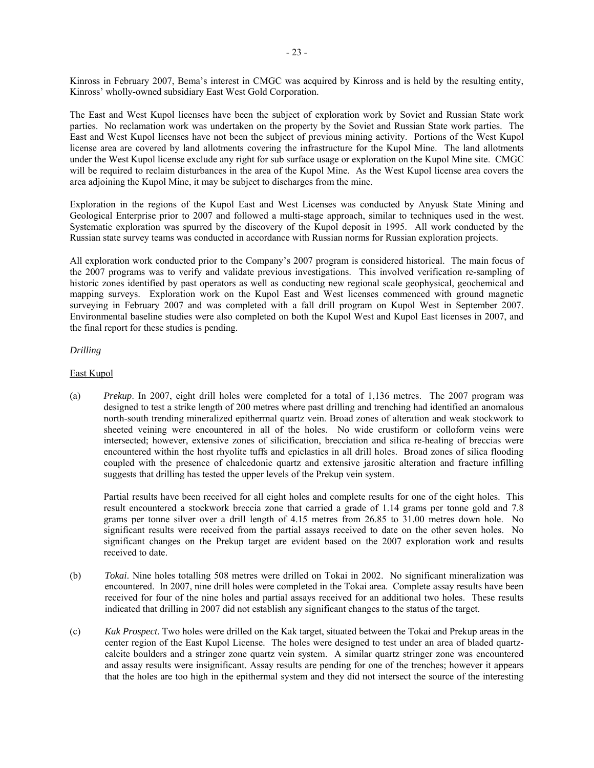Kinross in February 2007, Bema's interest in CMGC was acquired by Kinross and is held by the resulting entity, Kinross' wholly-owned subsidiary East West Gold Corporation.

The East and West Kupol licenses have been the subject of exploration work by Soviet and Russian State work parties. No reclamation work was undertaken on the property by the Soviet and Russian State work parties. The East and West Kupol licenses have not been the subject of previous mining activity. Portions of the West Kupol license area are covered by land allotments covering the infrastructure for the Kupol Mine. The land allotments under the West Kupol license exclude any right for sub surface usage or exploration on the Kupol Mine site. CMGC will be required to reclaim disturbances in the area of the Kupol Mine. As the West Kupol license area covers the area adjoining the Kupol Mine, it may be subject to discharges from the mine.

Exploration in the regions of the Kupol East and West Licenses was conducted by Anyusk State Mining and Geological Enterprise prior to 2007 and followed a multi-stage approach, similar to techniques used in the west. Systematic exploration was spurred by the discovery of the Kupol deposit in 1995. All work conducted by the Russian state survey teams was conducted in accordance with Russian norms for Russian exploration projects.

All exploration work conducted prior to the Company's 2007 program is considered historical. The main focus of the 2007 programs was to verify and validate previous investigations. This involved verification re-sampling of historic zones identified by past operators as well as conducting new regional scale geophysical, geochemical and mapping surveys. Exploration work on the Kupol East and West licenses commenced with ground magnetic surveying in February 2007 and was completed with a fall drill program on Kupol West in September 2007. Environmental baseline studies were also completed on both the Kupol West and Kupol East licenses in 2007, and the final report for these studies is pending.

## *Drilling*

## East Kupol

(a) *Prekup*. In 2007, eight drill holes were completed for a total of 1,136 metres. The 2007 program was designed to test a strike length of 200 metres where past drilling and trenching had identified an anomalous north-south trending mineralized epithermal quartz vein. Broad zones of alteration and weak stockwork to sheeted veining were encountered in all of the holes. No wide crustiform or colloform veins were intersected; however, extensive zones of silicification, brecciation and silica re-healing of breccias were encountered within the host rhyolite tuffs and epiclastics in all drill holes. Broad zones of silica flooding coupled with the presence of chalcedonic quartz and extensive jarositic alteration and fracture infilling suggests that drilling has tested the upper levels of the Prekup vein system.

Partial results have been received for all eight holes and complete results for one of the eight holes. This result encountered a stockwork breccia zone that carried a grade of 1.14 grams per tonne gold and 7.8 grams per tonne silver over a drill length of 4.15 metres from 26.85 to 31.00 metres down hole. No significant results were received from the partial assays received to date on the other seven holes. No significant changes on the Prekup target are evident based on the 2007 exploration work and results received to date.

- (b) *Tokai*. Nine holes totalling 508 metres were drilled on Tokai in 2002. No significant mineralization was encountered. In 2007, nine drill holes were completed in the Tokai area. Complete assay results have been received for four of the nine holes and partial assays received for an additional two holes. These results indicated that drilling in 2007 did not establish any significant changes to the status of the target.
- (c) *Kak Prospect*. Two holes were drilled on the Kak target, situated between the Tokai and Prekup areas in the center region of the East Kupol License. The holes were designed to test under an area of bladed quartzcalcite boulders and a stringer zone quartz vein system. A similar quartz stringer zone was encountered and assay results were insignificant. Assay results are pending for one of the trenches; however it appears that the holes are too high in the epithermal system and they did not intersect the source of the interesting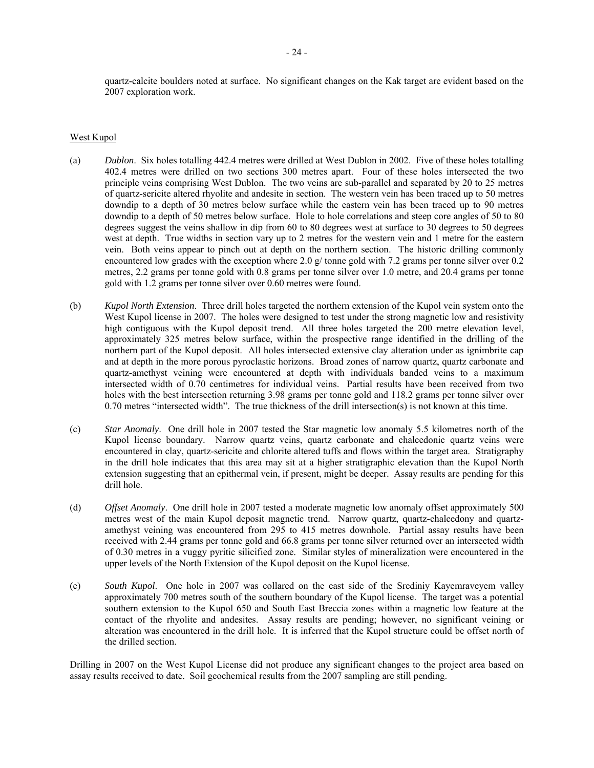quartz-calcite boulders noted at surface. No significant changes on the Kak target are evident based on the 2007 exploration work.

#### West Kupol

- (a) *Dublon*. Six holes totalling 442.4 metres were drilled at West Dublon in 2002. Five of these holes totalling 402.4 metres were drilled on two sections 300 metres apart. Four of these holes intersected the two principle veins comprising West Dublon. The two veins are sub-parallel and separated by 20 to 25 metres of quartz-sericite altered rhyolite and andesite in section. The western vein has been traced up to 50 metres downdip to a depth of 30 metres below surface while the eastern vein has been traced up to 90 metres downdip to a depth of 50 metres below surface. Hole to hole correlations and steep core angles of 50 to 80 degrees suggest the veins shallow in dip from 60 to 80 degrees west at surface to 30 degrees to 50 degrees west at depth. True widths in section vary up to 2 metres for the western vein and 1 metre for the eastern vein. Both veins appear to pinch out at depth on the northern section. The historic drilling commonly encountered low grades with the exception where 2.0 g/ tonne gold with 7.2 grams per tonne silver over 0.2 metres, 2.2 grams per tonne gold with 0.8 grams per tonne silver over 1.0 metre, and 20.4 grams per tonne gold with 1.2 grams per tonne silver over 0.60 metres were found.
- (b) *Kupol North Extension*. Three drill holes targeted the northern extension of the Kupol vein system onto the West Kupol license in 2007. The holes were designed to test under the strong magnetic low and resistivity high contiguous with the Kupol deposit trend. All three holes targeted the 200 metre elevation level, approximately 325 metres below surface, within the prospective range identified in the drilling of the northern part of the Kupol deposit. All holes intersected extensive clay alteration under as ignimbrite cap and at depth in the more porous pyroclastic horizons. Broad zones of narrow quartz, quartz carbonate and quartz-amethyst veining were encountered at depth with individuals banded veins to a maximum intersected width of 0.70 centimetres for individual veins. Partial results have been received from two holes with the best intersection returning 3.98 grams per tonne gold and 118.2 grams per tonne silver over 0.70 metres "intersected width". The true thickness of the drill intersection(s) is not known at this time.
- (c) *Star Anomaly*. One drill hole in 2007 tested the Star magnetic low anomaly 5.5 kilometres north of the Kupol license boundary. Narrow quartz veins, quartz carbonate and chalcedonic quartz veins were encountered in clay, quartz-sericite and chlorite altered tuffs and flows within the target area. Stratigraphy in the drill hole indicates that this area may sit at a higher stratigraphic elevation than the Kupol North extension suggesting that an epithermal vein, if present, might be deeper. Assay results are pending for this drill hole.
- (d) *Offset Anomaly*. One drill hole in 2007 tested a moderate magnetic low anomaly offset approximately 500 metres west of the main Kupol deposit magnetic trend. Narrow quartz, quartz-chalcedony and quartzamethyst veining was encountered from 295 to 415 metres downhole. Partial assay results have been received with 2.44 grams per tonne gold and 66.8 grams per tonne silver returned over an intersected width of 0.30 metres in a vuggy pyritic silicified zone. Similar styles of mineralization were encountered in the upper levels of the North Extension of the Kupol deposit on the Kupol license.
- (e) *South Kupol*. One hole in 2007 was collared on the east side of the Srediniy Kayemraveyem valley approximately 700 metres south of the southern boundary of the Kupol license. The target was a potential southern extension to the Kupol 650 and South East Breccia zones within a magnetic low feature at the contact of the rhyolite and andesites. Assay results are pending; however, no significant veining or alteration was encountered in the drill hole. It is inferred that the Kupol structure could be offset north of the drilled section.

Drilling in 2007 on the West Kupol License did not produce any significant changes to the project area based on assay results received to date. Soil geochemical results from the 2007 sampling are still pending.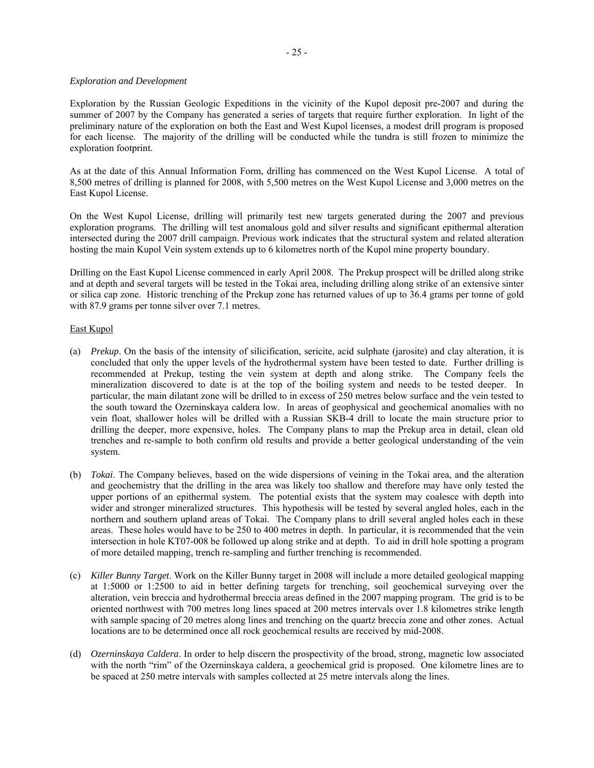### *Exploration and Development*

Exploration by the Russian Geologic Expeditions in the vicinity of the Kupol deposit pre-2007 and during the summer of 2007 by the Company has generated a series of targets that require further exploration. In light of the preliminary nature of the exploration on both the East and West Kupol licenses, a modest drill program is proposed for each license. The majority of the drilling will be conducted while the tundra is still frozen to minimize the exploration footprint.

As at the date of this Annual Information Form, drilling has commenced on the West Kupol License. A total of 8,500 metres of drilling is planned for 2008, with 5,500 metres on the West Kupol License and 3,000 metres on the East Kupol License.

On the West Kupol License, drilling will primarily test new targets generated during the 2007 and previous exploration programs. The drilling will test anomalous gold and silver results and significant epithermal alteration intersected during the 2007 drill campaign. Previous work indicates that the structural system and related alteration hosting the main Kupol Vein system extends up to 6 kilometres north of the Kupol mine property boundary.

Drilling on the East Kupol License commenced in early April 2008. The Prekup prospect will be drilled along strike and at depth and several targets will be tested in the Tokai area, including drilling along strike of an extensive sinter or silica cap zone. Historic trenching of the Prekup zone has returned values of up to 36.4 grams per tonne of gold with 87.9 grams per tonne silver over 7.1 metres.

## East Kupol

- (a) *Prekup*. On the basis of the intensity of silicification, sericite, acid sulphate (jarosite) and clay alteration, it is concluded that only the upper levels of the hydrothermal system have been tested to date. Further drilling is recommended at Prekup, testing the vein system at depth and along strike. The Company feels the mineralization discovered to date is at the top of the boiling system and needs to be tested deeper. In particular, the main dilatant zone will be drilled to in excess of 250 metres below surface and the vein tested to the south toward the Ozerninskaya caldera low. In areas of geophysical and geochemical anomalies with no vein float, shallower holes will be drilled with a Russian SKB-4 drill to locate the main structure prior to drilling the deeper, more expensive, holes. The Company plans to map the Prekup area in detail, clean old trenches and re-sample to both confirm old results and provide a better geological understanding of the vein system.
- (b) *Tokai*. The Company believes, based on the wide dispersions of veining in the Tokai area, and the alteration and geochemistry that the drilling in the area was likely too shallow and therefore may have only tested the upper portions of an epithermal system. The potential exists that the system may coalesce with depth into wider and stronger mineralized structures. This hypothesis will be tested by several angled holes, each in the northern and southern upland areas of Tokai. The Company plans to drill several angled holes each in these areas. These holes would have to be 250 to 400 metres in depth. In particular, it is recommended that the vein intersection in hole KT07-008 be followed up along strike and at depth. To aid in drill hole spotting a program of more detailed mapping, trench re-sampling and further trenching is recommended.
- (c) *Killer Bunny Target*. Work on the Killer Bunny target in 2008 will include a more detailed geological mapping at 1:5000 or 1:2500 to aid in better defining targets for trenching, soil geochemical surveying over the alteration, vein breccia and hydrothermal breccia areas defined in the 2007 mapping program. The grid is to be oriented northwest with 700 metres long lines spaced at 200 metres intervals over 1.8 kilometres strike length with sample spacing of 20 metres along lines and trenching on the quartz breccia zone and other zones. Actual locations are to be determined once all rock geochemical results are received by mid-2008.
- (d) *Ozerninskaya Caldera*. In order to help discern the prospectivity of the broad, strong, magnetic low associated with the north "rim" of the Ozerninskaya caldera, a geochemical grid is proposed. One kilometre lines are to be spaced at 250 metre intervals with samples collected at 25 metre intervals along the lines.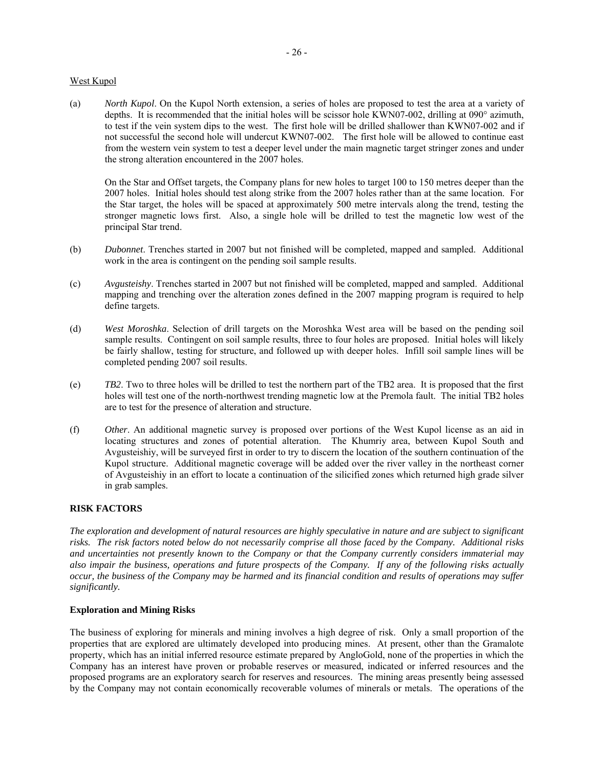#### <span id="page-27-0"></span>West Kupol

(a) *North Kupol*. On the Kupol North extension, a series of holes are proposed to test the area at a variety of depths. It is recommended that the initial holes will be scissor hole KWN07-002, drilling at 090° azimuth, to test if the vein system dips to the west. The first hole will be drilled shallower than KWN07-002 and if not successful the second hole will undercut KWN07-002. The first hole will be allowed to continue east from the western vein system to test a deeper level under the main magnetic target stringer zones and under the strong alteration encountered in the 2007 holes.

On the Star and Offset targets, the Company plans for new holes to target 100 to 150 metres deeper than the 2007 holes. Initial holes should test along strike from the 2007 holes rather than at the same location. For the Star target, the holes will be spaced at approximately 500 metre intervals along the trend, testing the stronger magnetic lows first. Also, a single hole will be drilled to test the magnetic low west of the principal Star trend.

- (b) *Dubonnet*. Trenches started in 2007 but not finished will be completed, mapped and sampled. Additional work in the area is contingent on the pending soil sample results.
- (c) *Avgusteishy*. Trenches started in 2007 but not finished will be completed, mapped and sampled. Additional mapping and trenching over the alteration zones defined in the 2007 mapping program is required to help define targets.
- (d) *West Moroshka*. Selection of drill targets on the Moroshka West area will be based on the pending soil sample results. Contingent on soil sample results, three to four holes are proposed. Initial holes will likely be fairly shallow, testing for structure, and followed up with deeper holes. Infill soil sample lines will be completed pending 2007 soil results.
- (e) *TB2*. Two to three holes will be drilled to test the northern part of the TB2 area. It is proposed that the first holes will test one of the north-northwest trending magnetic low at the Premola fault. The initial TB2 holes are to test for the presence of alteration and structure.
- (f) *Other*. An additional magnetic survey is proposed over portions of the West Kupol license as an aid in locating structures and zones of potential alteration. The Khumriy area, between Kupol South and Avgusteishiy, will be surveyed first in order to try to discern the location of the southern continuation of the Kupol structure. Additional magnetic coverage will be added over the river valley in the northeast corner of Avgusteishiy in an effort to locate a continuation of the silicified zones which returned high grade silver in grab samples.

## **RISK FACTORS**

*The exploration and development of natural resources are highly speculative in nature and are subject to significant risks. The risk factors noted below do not necessarily comprise all those faced by the Company. Additional risks and uncertainties not presently known to the Company or that the Company currently considers immaterial may also impair the business, operations and future prospects of the Company. If any of the following risks actually occur, the business of the Company may be harmed and its financial condition and results of operations may suffer significantly.* 

### **Exploration and Mining Risks**

The business of exploring for minerals and mining involves a high degree of risk. Only a small proportion of the properties that are explored are ultimately developed into producing mines. At present, other than the Gramalote property, which has an initial inferred resource estimate prepared by AngloGold, none of the properties in which the Company has an interest have proven or probable reserves or measured, indicated or inferred resources and the proposed programs are an exploratory search for reserves and resources. The mining areas presently being assessed by the Company may not contain economically recoverable volumes of minerals or metals. The operations of the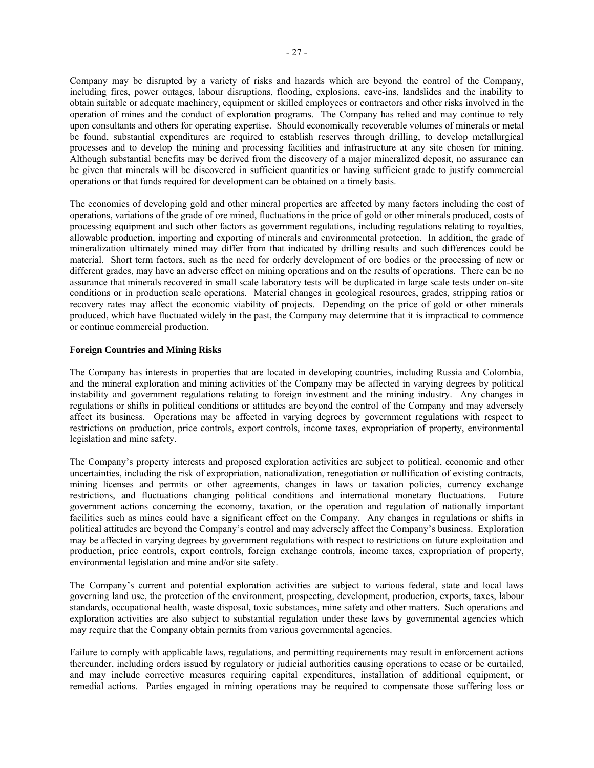Company may be disrupted by a variety of risks and hazards which are beyond the control of the Company, including fires, power outages, labour disruptions, flooding, explosions, cave-ins, landslides and the inability to obtain suitable or adequate machinery, equipment or skilled employees or contractors and other risks involved in the operation of mines and the conduct of exploration programs. The Company has relied and may continue to rely upon consultants and others for operating expertise. Should economically recoverable volumes of minerals or metal be found, substantial expenditures are required to establish reserves through drilling, to develop metallurgical processes and to develop the mining and processing facilities and infrastructure at any site chosen for mining. Although substantial benefits may be derived from the discovery of a major mineralized deposit, no assurance can be given that minerals will be discovered in sufficient quantities or having sufficient grade to justify commercial operations or that funds required for development can be obtained on a timely basis.

The economics of developing gold and other mineral properties are affected by many factors including the cost of operations, variations of the grade of ore mined, fluctuations in the price of gold or other minerals produced, costs of processing equipment and such other factors as government regulations, including regulations relating to royalties, allowable production, importing and exporting of minerals and environmental protection. In addition, the grade of mineralization ultimately mined may differ from that indicated by drilling results and such differences could be material. Short term factors, such as the need for orderly development of ore bodies or the processing of new or different grades, may have an adverse effect on mining operations and on the results of operations. There can be no assurance that minerals recovered in small scale laboratory tests will be duplicated in large scale tests under on-site conditions or in production scale operations. Material changes in geological resources, grades, stripping ratios or recovery rates may affect the economic viability of projects. Depending on the price of gold or other minerals produced, which have fluctuated widely in the past, the Company may determine that it is impractical to commence or continue commercial production.

## **Foreign Countries and Mining Risks**

The Company has interests in properties that are located in developing countries, including Russia and Colombia, and the mineral exploration and mining activities of the Company may be affected in varying degrees by political instability and government regulations relating to foreign investment and the mining industry. Any changes in regulations or shifts in political conditions or attitudes are beyond the control of the Company and may adversely affect its business. Operations may be affected in varying degrees by government regulations with respect to restrictions on production, price controls, export controls, income taxes, expropriation of property, environmental legislation and mine safety.

The Company's property interests and proposed exploration activities are subject to political, economic and other uncertainties, including the risk of expropriation, nationalization, renegotiation or nullification of existing contracts, mining licenses and permits or other agreements, changes in laws or taxation policies, currency exchange restrictions, and fluctuations changing political conditions and international monetary fluctuations. Future government actions concerning the economy, taxation, or the operation and regulation of nationally important facilities such as mines could have a significant effect on the Company. Any changes in regulations or shifts in political attitudes are beyond the Company's control and may adversely affect the Company's business. Exploration may be affected in varying degrees by government regulations with respect to restrictions on future exploitation and production, price controls, export controls, foreign exchange controls, income taxes, expropriation of property, environmental legislation and mine and/or site safety.

The Company's current and potential exploration activities are subject to various federal, state and local laws governing land use, the protection of the environment, prospecting, development, production, exports, taxes, labour standards, occupational health, waste disposal, toxic substances, mine safety and other matters. Such operations and exploration activities are also subject to substantial regulation under these laws by governmental agencies which may require that the Company obtain permits from various governmental agencies.

Failure to comply with applicable laws, regulations, and permitting requirements may result in enforcement actions thereunder, including orders issued by regulatory or judicial authorities causing operations to cease or be curtailed, and may include corrective measures requiring capital expenditures, installation of additional equipment, or remedial actions. Parties engaged in mining operations may be required to compensate those suffering loss or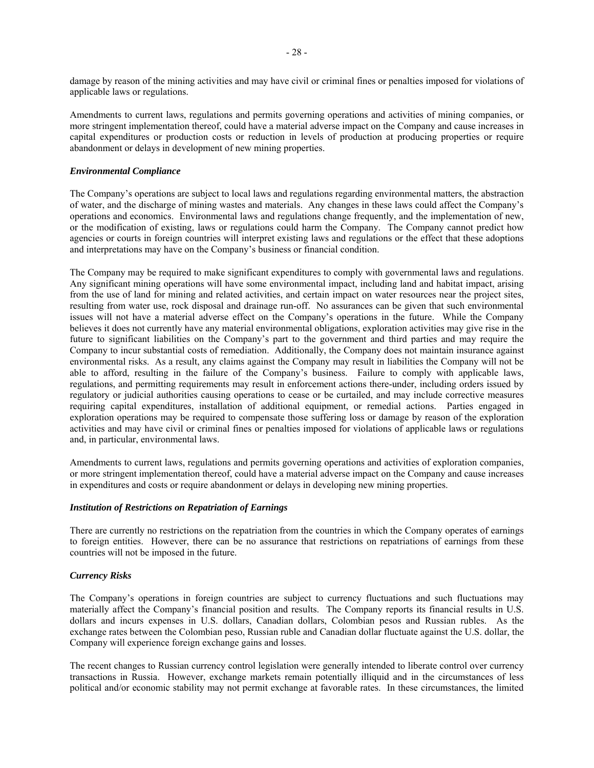damage by reason of the mining activities and may have civil or criminal fines or penalties imposed for violations of applicable laws or regulations.

Amendments to current laws, regulations and permits governing operations and activities of mining companies, or more stringent implementation thereof, could have a material adverse impact on the Company and cause increases in capital expenditures or production costs or reduction in levels of production at producing properties or require abandonment or delays in development of new mining properties.

### *Environmental Compliance*

The Company's operations are subject to local laws and regulations regarding environmental matters, the abstraction of water, and the discharge of mining wastes and materials. Any changes in these laws could affect the Company's operations and economics. Environmental laws and regulations change frequently, and the implementation of new, or the modification of existing, laws or regulations could harm the Company. The Company cannot predict how agencies or courts in foreign countries will interpret existing laws and regulations or the effect that these adoptions and interpretations may have on the Company's business or financial condition.

The Company may be required to make significant expenditures to comply with governmental laws and regulations. Any significant mining operations will have some environmental impact, including land and habitat impact, arising from the use of land for mining and related activities, and certain impact on water resources near the project sites, resulting from water use, rock disposal and drainage run-off. No assurances can be given that such environmental issues will not have a material adverse effect on the Company's operations in the future. While the Company believes it does not currently have any material environmental obligations, exploration activities may give rise in the future to significant liabilities on the Company's part to the government and third parties and may require the Company to incur substantial costs of remediation. Additionally, the Company does not maintain insurance against environmental risks. As a result, any claims against the Company may result in liabilities the Company will not be able to afford, resulting in the failure of the Company's business. Failure to comply with applicable laws, regulations, and permitting requirements may result in enforcement actions there-under, including orders issued by regulatory or judicial authorities causing operations to cease or be curtailed, and may include corrective measures requiring capital expenditures, installation of additional equipment, or remedial actions. Parties engaged in exploration operations may be required to compensate those suffering loss or damage by reason of the exploration activities and may have civil or criminal fines or penalties imposed for violations of applicable laws or regulations and, in particular, environmental laws.

Amendments to current laws, regulations and permits governing operations and activities of exploration companies, or more stringent implementation thereof, could have a material adverse impact on the Company and cause increases in expenditures and costs or require abandonment or delays in developing new mining properties.

## *Institution of Restrictions on Repatriation of Earnings*

There are currently no restrictions on the repatriation from the countries in which the Company operates of earnings to foreign entities. However, there can be no assurance that restrictions on repatriations of earnings from these countries will not be imposed in the future.

## *Currency Risks*

The Company's operations in foreign countries are subject to currency fluctuations and such fluctuations may materially affect the Company's financial position and results. The Company reports its financial results in U.S. dollars and incurs expenses in U.S. dollars, Canadian dollars, Colombian pesos and Russian rubles. As the exchange rates between the Colombian peso, Russian ruble and Canadian dollar fluctuate against the U.S. dollar, the Company will experience foreign exchange gains and losses.

The recent changes to Russian currency control legislation were generally intended to liberate control over currency transactions in Russia. However, exchange markets remain potentially illiquid and in the circumstances of less political and/or economic stability may not permit exchange at favorable rates. In these circumstances, the limited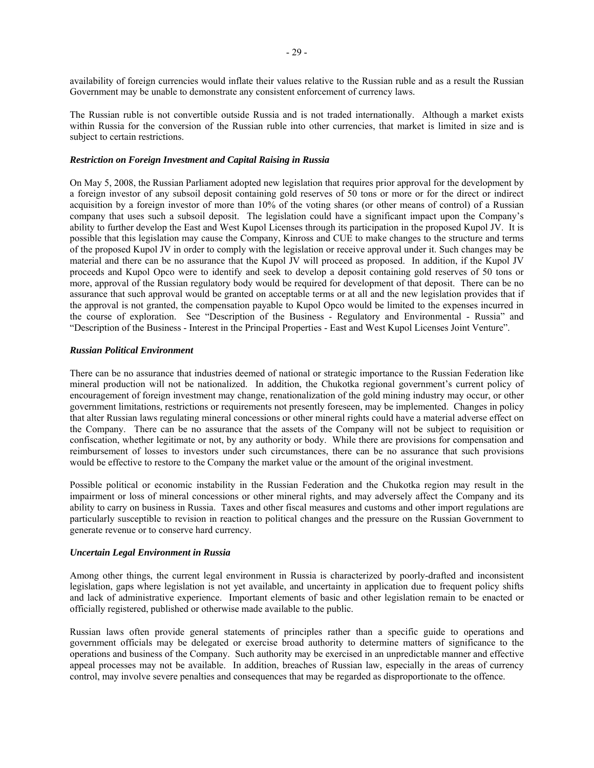availability of foreign currencies would inflate their values relative to the Russian ruble and as a result the Russian Government may be unable to demonstrate any consistent enforcement of currency laws.

The Russian ruble is not convertible outside Russia and is not traded internationally. Although a market exists within Russia for the conversion of the Russian ruble into other currencies, that market is limited in size and is subject to certain restrictions.

## *Restriction on Foreign Investment and Capital Raising in Russia*

On May 5, 2008, the Russian Parliament adopted new legislation that requires prior approval for the development by a foreign investor of any subsoil deposit containing gold reserves of 50 tons or more or for the direct or indirect acquisition by a foreign investor of more than 10% of the voting shares (or other means of control) of a Russian company that uses such a subsoil deposit. The legislation could have a significant impact upon the Company's ability to further develop the East and West Kupol Licenses through its participation in the proposed Kupol JV. It is possible that this legislation may cause the Company, Kinross and CUE to make changes to the structure and terms of the proposed Kupol JV in order to comply with the legislation or receive approval under it. Such changes may be material and there can be no assurance that the Kupol JV will proceed as proposed. In addition, if the Kupol JV proceeds and Kupol Opco were to identify and seek to develop a deposit containing gold reserves of 50 tons or more, approval of the Russian regulatory body would be required for development of that deposit. There can be no assurance that such approval would be granted on acceptable terms or at all and the new legislation provides that if the approval is not granted, the compensation payable to Kupol Opco would be limited to the expenses incurred in the course of exploration. See "Description of the Business - Regulatory and Environmental - Russia" and "Description of the Business - Interest in the Principal Properties - East and West Kupol Licenses Joint Venture".

## *Russian Political Environment*

There can be no assurance that industries deemed of national or strategic importance to the Russian Federation like mineral production will not be nationalized. In addition, the Chukotka regional government's current policy of encouragement of foreign investment may change, renationalization of the gold mining industry may occur, or other government limitations, restrictions or requirements not presently foreseen, may be implemented. Changes in policy that alter Russian laws regulating mineral concessions or other mineral rights could have a material adverse effect on the Company. There can be no assurance that the assets of the Company will not be subject to requisition or confiscation, whether legitimate or not, by any authority or body. While there are provisions for compensation and reimbursement of losses to investors under such circumstances, there can be no assurance that such provisions would be effective to restore to the Company the market value or the amount of the original investment.

Possible political or economic instability in the Russian Federation and the Chukotka region may result in the impairment or loss of mineral concessions or other mineral rights, and may adversely affect the Company and its ability to carry on business in Russia. Taxes and other fiscal measures and customs and other import regulations are particularly susceptible to revision in reaction to political changes and the pressure on the Russian Government to generate revenue or to conserve hard currency.

### *Uncertain Legal Environment in Russia*

Among other things, the current legal environment in Russia is characterized by poorly-drafted and inconsistent legislation, gaps where legislation is not yet available, and uncertainty in application due to frequent policy shifts and lack of administrative experience. Important elements of basic and other legislation remain to be enacted or officially registered, published or otherwise made available to the public.

Russian laws often provide general statements of principles rather than a specific guide to operations and government officials may be delegated or exercise broad authority to determine matters of significance to the operations and business of the Company. Such authority may be exercised in an unpredictable manner and effective appeal processes may not be available. In addition, breaches of Russian law, especially in the areas of currency control, may involve severe penalties and consequences that may be regarded as disproportionate to the offence.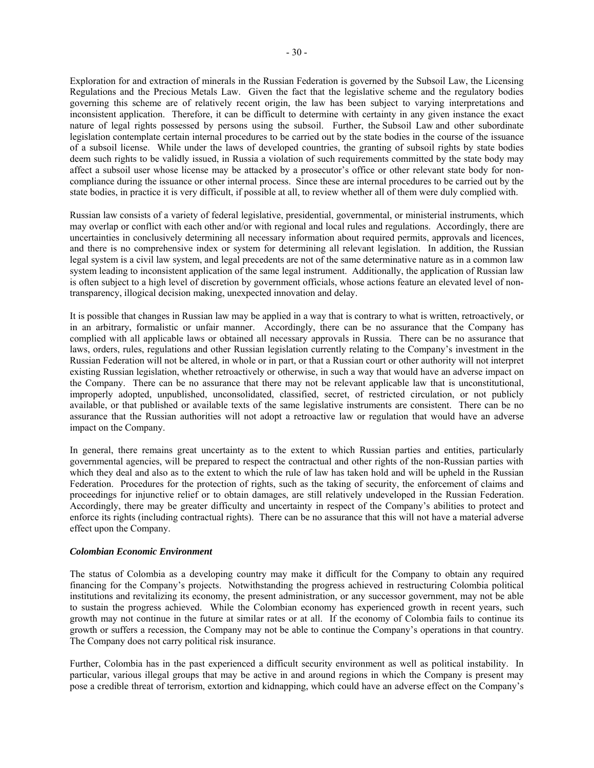Exploration for and extraction of minerals in the Russian Federation is governed by the Subsoil Law, the Licensing Regulations and the Precious Metals Law. Given the fact that the legislative scheme and the regulatory bodies governing this scheme are of relatively recent origin, the law has been subject to varying interpretations and inconsistent application. Therefore, it can be difficult to determine with certainty in any given instance the exact nature of legal rights possessed by persons using the subsoil. Further, the Subsoil Law and other subordinate legislation contemplate certain internal procedures to be carried out by the state bodies in the course of the issuance of a subsoil license. While under the laws of developed countries, the granting of subsoil rights by state bodies deem such rights to be validly issued, in Russia a violation of such requirements committed by the state body may affect a subsoil user whose license may be attacked by a prosecutor's office or other relevant state body for noncompliance during the issuance or other internal process. Since these are internal procedures to be carried out by the state bodies, in practice it is very difficult, if possible at all, to review whether all of them were duly complied with.

Russian law consists of a variety of federal legislative, presidential, governmental, or ministerial instruments, which may overlap or conflict with each other and/or with regional and local rules and regulations. Accordingly, there are uncertainties in conclusively determining all necessary information about required permits, approvals and licences, and there is no comprehensive index or system for determining all relevant legislation. In addition, the Russian legal system is a civil law system, and legal precedents are not of the same determinative nature as in a common law system leading to inconsistent application of the same legal instrument. Additionally, the application of Russian law is often subject to a high level of discretion by government officials, whose actions feature an elevated level of nontransparency, illogical decision making, unexpected innovation and delay.

It is possible that changes in Russian law may be applied in a way that is contrary to what is written, retroactively, or in an arbitrary, formalistic or unfair manner. Accordingly, there can be no assurance that the Company has complied with all applicable laws or obtained all necessary approvals in Russia. There can be no assurance that laws, orders, rules, regulations and other Russian legislation currently relating to the Company's investment in the Russian Federation will not be altered, in whole or in part, or that a Russian court or other authority will not interpret existing Russian legislation, whether retroactively or otherwise, in such a way that would have an adverse impact on the Company. There can be no assurance that there may not be relevant applicable law that is unconstitutional, improperly adopted, unpublished, unconsolidated, classified, secret, of restricted circulation, or not publicly available, or that published or available texts of the same legislative instruments are consistent. There can be no assurance that the Russian authorities will not adopt a retroactive law or regulation that would have an adverse impact on the Company.

In general, there remains great uncertainty as to the extent to which Russian parties and entities, particularly governmental agencies, will be prepared to respect the contractual and other rights of the non-Russian parties with which they deal and also as to the extent to which the rule of law has taken hold and will be upheld in the Russian Federation. Procedures for the protection of rights, such as the taking of security, the enforcement of claims and proceedings for injunctive relief or to obtain damages, are still relatively undeveloped in the Russian Federation. Accordingly, there may be greater difficulty and uncertainty in respect of the Company's abilities to protect and enforce its rights (including contractual rights). There can be no assurance that this will not have a material adverse effect upon the Company.

#### *Colombian Economic Environment*

The status of Colombia as a developing country may make it difficult for the Company to obtain any required financing for the Company's projects. Notwithstanding the progress achieved in restructuring Colombia political institutions and revitalizing its economy, the present administration, or any successor government, may not be able to sustain the progress achieved. While the Colombian economy has experienced growth in recent years, such growth may not continue in the future at similar rates or at all. If the economy of Colombia fails to continue its growth or suffers a recession, the Company may not be able to continue the Company's operations in that country. The Company does not carry political risk insurance.

Further, Colombia has in the past experienced a difficult security environment as well as political instability. In particular, various illegal groups that may be active in and around regions in which the Company is present may pose a credible threat of terrorism, extortion and kidnapping, which could have an adverse effect on the Company's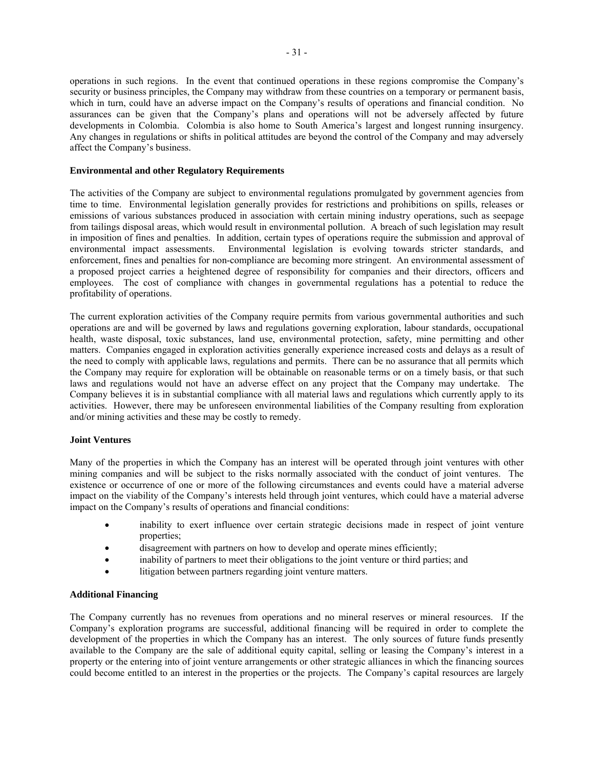operations in such regions. In the event that continued operations in these regions compromise the Company's security or business principles, the Company may withdraw from these countries on a temporary or permanent basis, which in turn, could have an adverse impact on the Company's results of operations and financial condition. No assurances can be given that the Company's plans and operations will not be adversely affected by future developments in Colombia. Colombia is also home to South America's largest and longest running insurgency. Any changes in regulations or shifts in political attitudes are beyond the control of the Company and may adversely affect the Company's business.

### **Environmental and other Regulatory Requirements**

The activities of the Company are subject to environmental regulations promulgated by government agencies from time to time. Environmental legislation generally provides for restrictions and prohibitions on spills, releases or emissions of various substances produced in association with certain mining industry operations, such as seepage from tailings disposal areas, which would result in environmental pollution. A breach of such legislation may result in imposition of fines and penalties. In addition, certain types of operations require the submission and approval of environmental impact assessments. Environmental legislation is evolving towards stricter standards, and enforcement, fines and penalties for non-compliance are becoming more stringent. An environmental assessment of a proposed project carries a heightened degree of responsibility for companies and their directors, officers and employees. The cost of compliance with changes in governmental regulations has a potential to reduce the profitability of operations.

The current exploration activities of the Company require permits from various governmental authorities and such operations are and will be governed by laws and regulations governing exploration, labour standards, occupational health, waste disposal, toxic substances, land use, environmental protection, safety, mine permitting and other matters. Companies engaged in exploration activities generally experience increased costs and delays as a result of the need to comply with applicable laws, regulations and permits. There can be no assurance that all permits which the Company may require for exploration will be obtainable on reasonable terms or on a timely basis, or that such laws and regulations would not have an adverse effect on any project that the Company may undertake. The Company believes it is in substantial compliance with all material laws and regulations which currently apply to its activities. However, there may be unforeseen environmental liabilities of the Company resulting from exploration and/or mining activities and these may be costly to remedy.

#### **Joint Ventures**

Many of the properties in which the Company has an interest will be operated through joint ventures with other mining companies and will be subject to the risks normally associated with the conduct of joint ventures. The existence or occurrence of one or more of the following circumstances and events could have a material adverse impact on the viability of the Company's interests held through joint ventures, which could have a material adverse impact on the Company's results of operations and financial conditions:

- inability to exert influence over certain strategic decisions made in respect of joint venture properties;
- disagreement with partners on how to develop and operate mines efficiently;
- inability of partners to meet their obligations to the joint venture or third parties; and
- litigation between partners regarding joint venture matters.

## **Additional Financing**

The Company currently has no revenues from operations and no mineral reserves or mineral resources. If the Company's exploration programs are successful, additional financing will be required in order to complete the development of the properties in which the Company has an interest. The only sources of future funds presently available to the Company are the sale of additional equity capital, selling or leasing the Company's interest in a property or the entering into of joint venture arrangements or other strategic alliances in which the financing sources could become entitled to an interest in the properties or the projects. The Company's capital resources are largely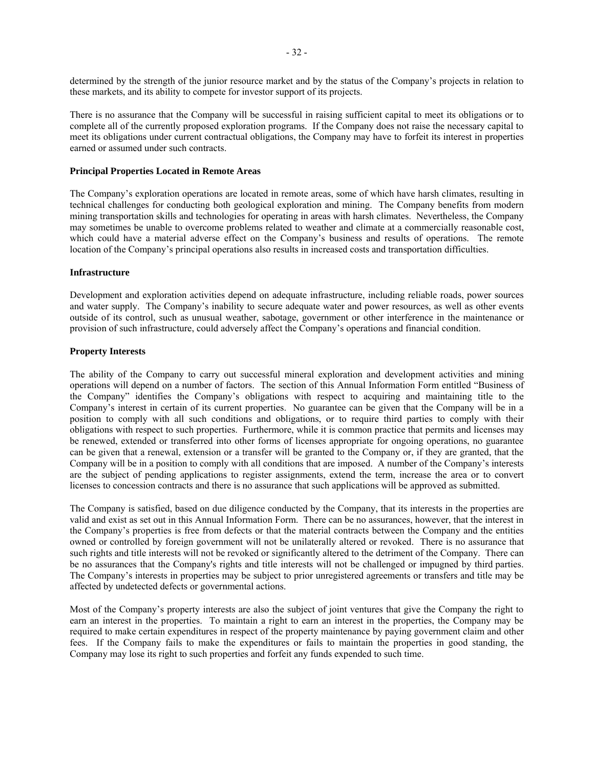determined by the strength of the junior resource market and by the status of the Company's projects in relation to these markets, and its ability to compete for investor support of its projects.

There is no assurance that the Company will be successful in raising sufficient capital to meet its obligations or to complete all of the currently proposed exploration programs. If the Company does not raise the necessary capital to meet its obligations under current contractual obligations, the Company may have to forfeit its interest in properties earned or assumed under such contracts.

### **Principal Properties Located in Remote Areas**

The Company's exploration operations are located in remote areas, some of which have harsh climates, resulting in technical challenges for conducting both geological exploration and mining. The Company benefits from modern mining transportation skills and technologies for operating in areas with harsh climates. Nevertheless, the Company may sometimes be unable to overcome problems related to weather and climate at a commercially reasonable cost, which could have a material adverse effect on the Company's business and results of operations. The remote location of the Company's principal operations also results in increased costs and transportation difficulties.

#### **Infrastructure**

Development and exploration activities depend on adequate infrastructure, including reliable roads, power sources and water supply. The Company's inability to secure adequate water and power resources, as well as other events outside of its control, such as unusual weather, sabotage, government or other interference in the maintenance or provision of such infrastructure, could adversely affect the Company's operations and financial condition.

### **Property Interests**

The ability of the Company to carry out successful mineral exploration and development activities and mining operations will depend on a number of factors. The section of this Annual Information Form entitled "Business of the Company" identifies the Company's obligations with respect to acquiring and maintaining title to the Company's interest in certain of its current properties. No guarantee can be given that the Company will be in a position to comply with all such conditions and obligations, or to require third parties to comply with their obligations with respect to such properties. Furthermore, while it is common practice that permits and licenses may be renewed, extended or transferred into other forms of licenses appropriate for ongoing operations, no guarantee can be given that a renewal, extension or a transfer will be granted to the Company or, if they are granted, that the Company will be in a position to comply with all conditions that are imposed. A number of the Company's interests are the subject of pending applications to register assignments, extend the term, increase the area or to convert licenses to concession contracts and there is no assurance that such applications will be approved as submitted.

The Company is satisfied, based on due diligence conducted by the Company, that its interests in the properties are valid and exist as set out in this Annual Information Form. There can be no assurances, however, that the interest in the Company's properties is free from defects or that the material contracts between the Company and the entities owned or controlled by foreign government will not be unilaterally altered or revoked. There is no assurance that such rights and title interests will not be revoked or significantly altered to the detriment of the Company. There can be no assurances that the Company's rights and title interests will not be challenged or impugned by third parties. The Company's interests in properties may be subject to prior unregistered agreements or transfers and title may be affected by undetected defects or governmental actions.

Most of the Company's property interests are also the subject of joint ventures that give the Company the right to earn an interest in the properties. To maintain a right to earn an interest in the properties, the Company may be required to make certain expenditures in respect of the property maintenance by paying government claim and other fees. If the Company fails to make the expenditures or fails to maintain the properties in good standing, the Company may lose its right to such properties and forfeit any funds expended to such time.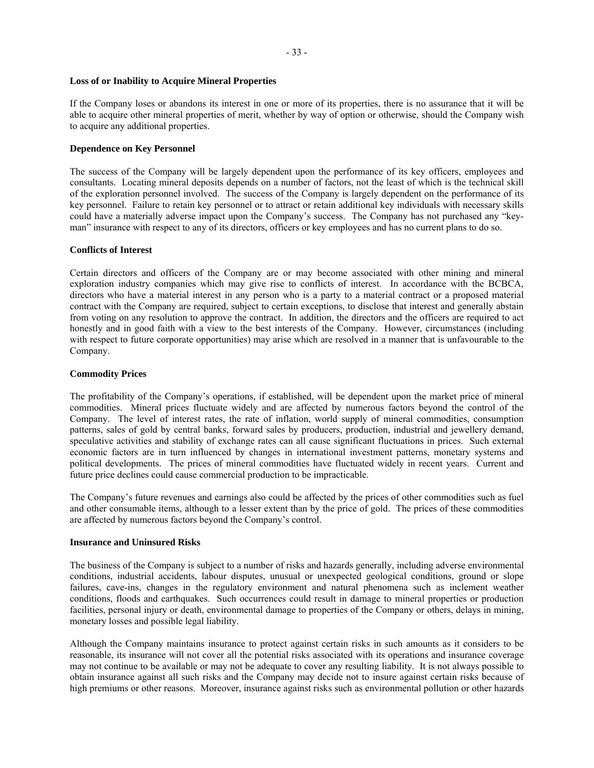#### **Loss of or Inability to Acquire Mineral Properties**

If the Company loses or abandons its interest in one or more of its properties, there is no assurance that it will be able to acquire other mineral properties of merit, whether by way of option or otherwise, should the Company wish to acquire any additional properties.

## **Dependence on Key Personnel**

The success of the Company will be largely dependent upon the performance of its key officers, employees and consultants. Locating mineral deposits depends on a number of factors, not the least of which is the technical skill of the exploration personnel involved. The success of the Company is largely dependent on the performance of its key personnel. Failure to retain key personnel or to attract or retain additional key individuals with necessary skills could have a materially adverse impact upon the Company's success. The Company has not purchased any "keyman" insurance with respect to any of its directors, officers or key employees and has no current plans to do so.

#### **Conflicts of Interest**

Certain directors and officers of the Company are or may become associated with other mining and mineral exploration industry companies which may give rise to conflicts of interest. In accordance with the BCBCA*,* directors who have a material interest in any person who is a party to a material contract or a proposed material contract with the Company are required, subject to certain exceptions, to disclose that interest and generally abstain from voting on any resolution to approve the contract. In addition, the directors and the officers are required to act honestly and in good faith with a view to the best interests of the Company. However, circumstances (including with respect to future corporate opportunities) may arise which are resolved in a manner that is unfavourable to the Company.

## **Commodity Prices**

The profitability of the Company's operations, if established, will be dependent upon the market price of mineral commodities. Mineral prices fluctuate widely and are affected by numerous factors beyond the control of the Company. The level of interest rates, the rate of inflation, world supply of mineral commodities, consumption patterns, sales of gold by central banks, forward sales by producers, production, industrial and jewellery demand, speculative activities and stability of exchange rates can all cause significant fluctuations in prices. Such external economic factors are in turn influenced by changes in international investment patterns, monetary systems and political developments. The prices of mineral commodities have fluctuated widely in recent years. Current and future price declines could cause commercial production to be impracticable.

The Company's future revenues and earnings also could be affected by the prices of other commodities such as fuel and other consumable items, although to a lesser extent than by the price of gold. The prices of these commodities are affected by numerous factors beyond the Company's control.

#### **Insurance and Uninsured Risks**

The business of the Company is subject to a number of risks and hazards generally, including adverse environmental conditions, industrial accidents, labour disputes, unusual or unexpected geological conditions, ground or slope failures, cave-ins, changes in the regulatory environment and natural phenomena such as inclement weather conditions, floods and earthquakes. Such occurrences could result in damage to mineral properties or production facilities, personal injury or death, environmental damage to properties of the Company or others, delays in mining, monetary losses and possible legal liability.

Although the Company maintains insurance to protect against certain risks in such amounts as it considers to be reasonable, its insurance will not cover all the potential risks associated with its operations and insurance coverage may not continue to be available or may not be adequate to cover any resulting liability. It is not always possible to obtain insurance against all such risks and the Company may decide not to insure against certain risks because of high premiums or other reasons. Moreover, insurance against risks such as environmental pollution or other hazards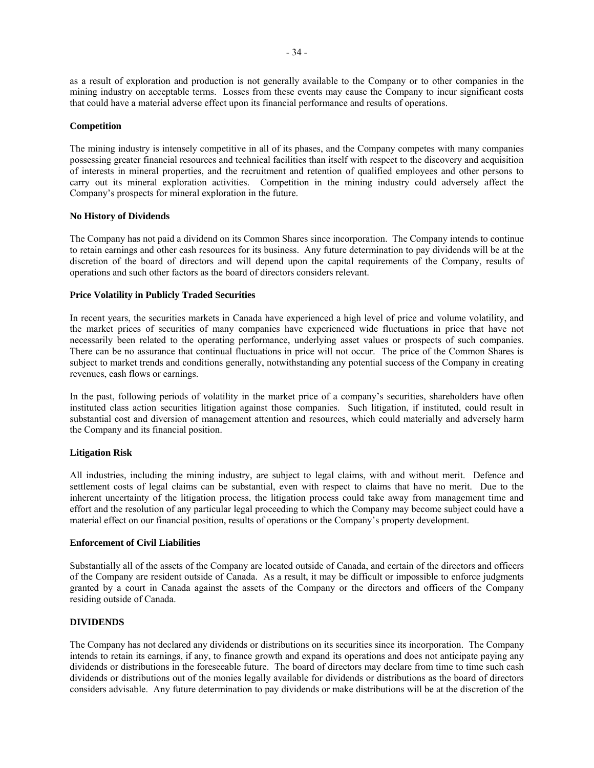<span id="page-35-0"></span>as a result of exploration and production is not generally available to the Company or to other companies in the mining industry on acceptable terms. Losses from these events may cause the Company to incur significant costs that could have a material adverse effect upon its financial performance and results of operations.

### **Competition**

The mining industry is intensely competitive in all of its phases, and the Company competes with many companies possessing greater financial resources and technical facilities than itself with respect to the discovery and acquisition of interests in mineral properties, and the recruitment and retention of qualified employees and other persons to carry out its mineral exploration activities. Competition in the mining industry could adversely affect the Company's prospects for mineral exploration in the future.

### **No History of Dividends**

The Company has not paid a dividend on its Common Shares since incorporation. The Company intends to continue to retain earnings and other cash resources for its business. Any future determination to pay dividends will be at the discretion of the board of directors and will depend upon the capital requirements of the Company, results of operations and such other factors as the board of directors considers relevant.

## **Price Volatility in Publicly Traded Securities**

In recent years, the securities markets in Canada have experienced a high level of price and volume volatility, and the market prices of securities of many companies have experienced wide fluctuations in price that have not necessarily been related to the operating performance, underlying asset values or prospects of such companies. There can be no assurance that continual fluctuations in price will not occur. The price of the Common Shares is subject to market trends and conditions generally, notwithstanding any potential success of the Company in creating revenues, cash flows or earnings.

In the past, following periods of volatility in the market price of a company's securities, shareholders have often instituted class action securities litigation against those companies. Such litigation, if instituted, could result in substantial cost and diversion of management attention and resources, which could materially and adversely harm the Company and its financial position.

### **Litigation Risk**

All industries, including the mining industry, are subject to legal claims, with and without merit. Defence and settlement costs of legal claims can be substantial, even with respect to claims that have no merit. Due to the inherent uncertainty of the litigation process, the litigation process could take away from management time and effort and the resolution of any particular legal proceeding to which the Company may become subject could have a material effect on our financial position, results of operations or the Company's property development.

### **Enforcement of Civil Liabilities**

Substantially all of the assets of the Company are located outside of Canada, and certain of the directors and officers of the Company are resident outside of Canada. As a result, it may be difficult or impossible to enforce judgments granted by a court in Canada against the assets of the Company or the directors and officers of the Company residing outside of Canada.

## **DIVIDENDS**

The Company has not declared any dividends or distributions on its securities since its incorporation. The Company intends to retain its earnings, if any, to finance growth and expand its operations and does not anticipate paying any dividends or distributions in the foreseeable future. The board of directors may declare from time to time such cash dividends or distributions out of the monies legally available for dividends or distributions as the board of directors considers advisable. Any future determination to pay dividends or make distributions will be at the discretion of the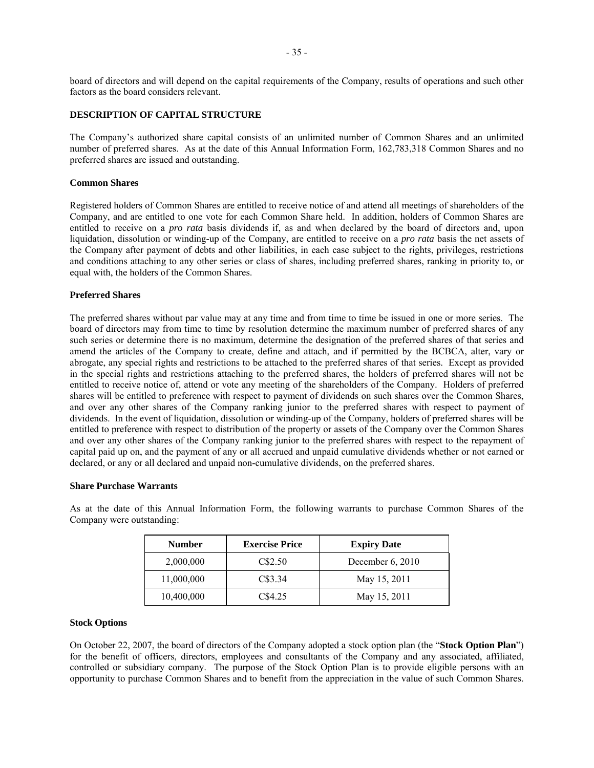<span id="page-36-0"></span>board of directors and will depend on the capital requirements of the Company, results of operations and such other factors as the board considers relevant.

### **DESCRIPTION OF CAPITAL STRUCTURE**

The Company's authorized share capital consists of an unlimited number of Common Shares and an unlimited number of preferred shares. As at the date of this Annual Information Form, 162,783,318 Common Shares and no preferred shares are issued and outstanding.

### **Common Shares**

Registered holders of Common Shares are entitled to receive notice of and attend all meetings of shareholders of the Company, and are entitled to one vote for each Common Share held. In addition, holders of Common Shares are entitled to receive on a *pro rata* basis dividends if, as and when declared by the board of directors and, upon liquidation, dissolution or winding-up of the Company, are entitled to receive on a *pro rata* basis the net assets of the Company after payment of debts and other liabilities, in each case subject to the rights, privileges, restrictions and conditions attaching to any other series or class of shares, including preferred shares, ranking in priority to, or equal with, the holders of the Common Shares.

#### **Preferred Shares**

The preferred shares without par value may at any time and from time to time be issued in one or more series. The board of directors may from time to time by resolution determine the maximum number of preferred shares of any such series or determine there is no maximum, determine the designation of the preferred shares of that series and amend the articles of the Company to create, define and attach, and if permitted by the BCBCA, alter, vary or abrogate, any special rights and restrictions to be attached to the preferred shares of that series. Except as provided in the special rights and restrictions attaching to the preferred shares, the holders of preferred shares will not be entitled to receive notice of, attend or vote any meeting of the shareholders of the Company. Holders of preferred shares will be entitled to preference with respect to payment of dividends on such shares over the Common Shares, and over any other shares of the Company ranking junior to the preferred shares with respect to payment of dividends. In the event of liquidation, dissolution or winding-up of the Company, holders of preferred shares will be entitled to preference with respect to distribution of the property or assets of the Company over the Common Shares and over any other shares of the Company ranking junior to the preferred shares with respect to the repayment of capital paid up on, and the payment of any or all accrued and unpaid cumulative dividends whether or not earned or declared, or any or all declared and unpaid non-cumulative dividends, on the preferred shares.

#### **Share Purchase Warrants**

As at the date of this Annual Information Form, the following warrants to purchase Common Shares of the Company were outstanding:

| <b>Number</b> | <b>Exercise Price</b> | <b>Expiry Date</b> |
|---------------|-----------------------|--------------------|
| 2,000,000     | C\$2.50               | December 6, 2010   |
| 11,000,000    | CS3.34                | May 15, 2011       |
| 10,400,000    | C\$4 25               | May 15, 2011       |

#### **Stock Options**

On October 22, 2007, the board of directors of the Company adopted a stock option plan (the "**Stock Option Plan**") for the benefit of officers, directors, employees and consultants of the Company and any associated, affiliated, controlled or subsidiary company. The purpose of the Stock Option Plan is to provide eligible persons with an opportunity to purchase Common Shares and to benefit from the appreciation in the value of such Common Shares.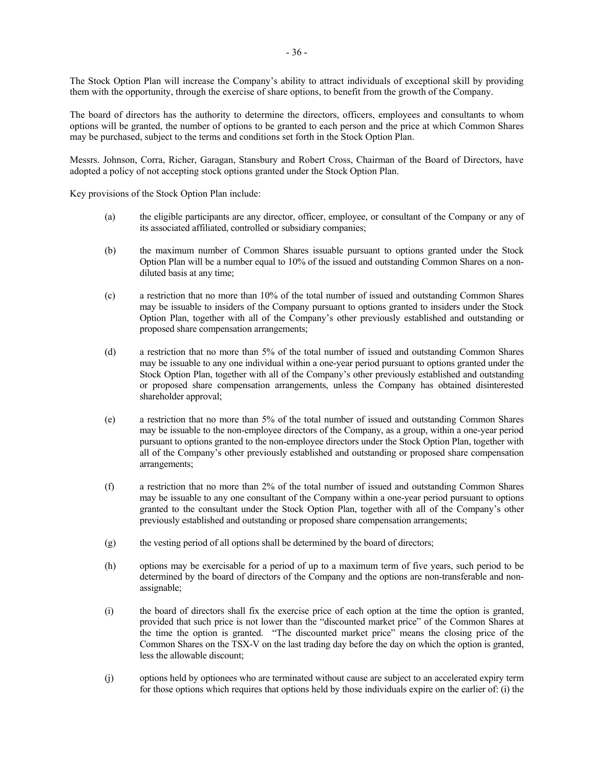The Stock Option Plan will increase the Company's ability to attract individuals of exceptional skill by providing them with the opportunity, through the exercise of share options, to benefit from the growth of the Company.

The board of directors has the authority to determine the directors, officers, employees and consultants to whom options will be granted, the number of options to be granted to each person and the price at which Common Shares may be purchased, subject to the terms and conditions set forth in the Stock Option Plan.

Messrs. Johnson, Corra, Richer, Garagan, Stansbury and Robert Cross, Chairman of the Board of Directors, have adopted a policy of not accepting stock options granted under the Stock Option Plan.

Key provisions of the Stock Option Plan include:

- (a) the eligible participants are any director, officer, employee, or consultant of the Company or any of its associated affiliated, controlled or subsidiary companies;
- (b) the maximum number of Common Shares issuable pursuant to options granted under the Stock Option Plan will be a number equal to 10% of the issued and outstanding Common Shares on a nondiluted basis at any time;
- (c) a restriction that no more than 10% of the total number of issued and outstanding Common Shares may be issuable to insiders of the Company pursuant to options granted to insiders under the Stock Option Plan, together with all of the Company's other previously established and outstanding or proposed share compensation arrangements;
- (d) a restriction that no more than 5% of the total number of issued and outstanding Common Shares may be issuable to any one individual within a one-year period pursuant to options granted under the Stock Option Plan, together with all of the Company's other previously established and outstanding or proposed share compensation arrangements, unless the Company has obtained disinterested shareholder approval;
- (e) a restriction that no more than 5% of the total number of issued and outstanding Common Shares may be issuable to the non-employee directors of the Company, as a group, within a one-year period pursuant to options granted to the non-employee directors under the Stock Option Plan, together with all of the Company's other previously established and outstanding or proposed share compensation arrangements;
- (f) a restriction that no more than 2% of the total number of issued and outstanding Common Shares may be issuable to any one consultant of the Company within a one-year period pursuant to options granted to the consultant under the Stock Option Plan, together with all of the Company's other previously established and outstanding or proposed share compensation arrangements;
- (g) the vesting period of all options shall be determined by the board of directors;
- (h) options may be exercisable for a period of up to a maximum term of five years, such period to be determined by the board of directors of the Company and the options are non-transferable and nonassignable;
- (i) the board of directors shall fix the exercise price of each option at the time the option is granted, provided that such price is not lower than the "discounted market price" of the Common Shares at the time the option is granted. "The discounted market price" means the closing price of the Common Shares on the TSX-V on the last trading day before the day on which the option is granted, less the allowable discount;
- (j) options held by optionees who are terminated without cause are subject to an accelerated expiry term for those options which requires that options held by those individuals expire on the earlier of: (i) the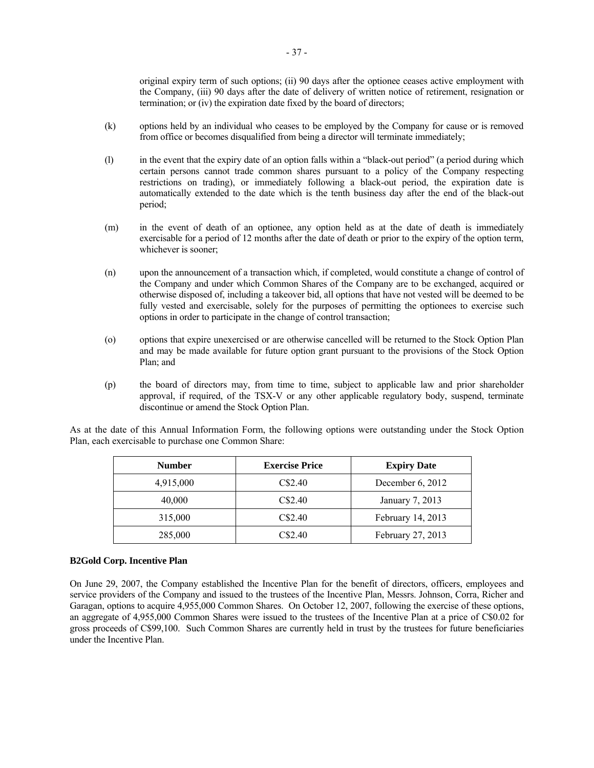original expiry term of such options; (ii) 90 days after the optionee ceases active employment with the Company, (iii) 90 days after the date of delivery of written notice of retirement, resignation or termination; or (iv) the expiration date fixed by the board of directors;

- (k) options held by an individual who ceases to be employed by the Company for cause or is removed from office or becomes disqualified from being a director will terminate immediately;
- (l) in the event that the expiry date of an option falls within a "black-out period" (a period during which certain persons cannot trade common shares pursuant to a policy of the Company respecting restrictions on trading), or immediately following a black-out period, the expiration date is automatically extended to the date which is the tenth business day after the end of the black-out period;
- (m) in the event of death of an optionee, any option held as at the date of death is immediately exercisable for a period of 12 months after the date of death or prior to the expiry of the option term, whichever is sooner;
- (n) upon the announcement of a transaction which, if completed, would constitute a change of control of the Company and under which Common Shares of the Company are to be exchanged, acquired or otherwise disposed of, including a takeover bid, all options that have not vested will be deemed to be fully vested and exercisable, solely for the purposes of permitting the optionees to exercise such options in order to participate in the change of control transaction;
- (o) options that expire unexercised or are otherwise cancelled will be returned to the Stock Option Plan and may be made available for future option grant pursuant to the provisions of the Stock Option Plan; and
- (p) the board of directors may, from time to time, subject to applicable law and prior shareholder approval, if required, of the TSX-V or any other applicable regulatory body, suspend, terminate discontinue or amend the Stock Option Plan.

As at the date of this Annual Information Form, the following options were outstanding under the Stock Option Plan, each exercisable to purchase one Common Share:

| <b>Number</b> | <b>Exercise Price</b> | <b>Expiry Date</b> |
|---------------|-----------------------|--------------------|
| 4,915,000     | C\$2.40               | December 6, 2012   |
| 40,000        | C\$2.40               | January 7, 2013    |
| 315,000       | C\$2.40               | February 14, 2013  |
| 285,000       | C\$2.40               | February 27, 2013  |

### **B2Gold Corp. Incentive Plan**

On June 29, 2007, the Company established the Incentive Plan for the benefit of directors, officers, employees and service providers of the Company and issued to the trustees of the Incentive Plan, Messrs. Johnson, Corra, Richer and Garagan, options to acquire 4,955,000 Common Shares. On October 12, 2007, following the exercise of these options, an aggregate of 4,955,000 Common Shares were issued to the trustees of the Incentive Plan at a price of C\$0.02 for gross proceeds of C\$99,100. Such Common Shares are currently held in trust by the trustees for future beneficiaries under the Incentive Plan.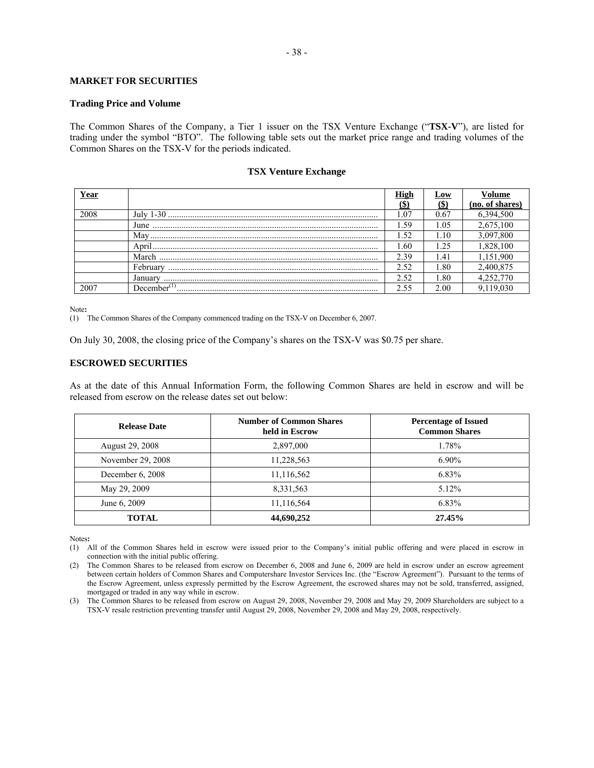#### <span id="page-39-0"></span>**MARKET FOR SECURITIES**

#### **Trading Price and Volume**

The Common Shares of the Company, a Tier 1 issuer on the TSX Venture Exchange ("**TSX-V**"), are listed for trading under the symbol "BTO". The following table sets out the market price range and trading volumes of the Common Shares on the TSX-V for the periods indicated.

#### **TSX Venture Exchange**

| <u>Year</u> |           | High | Low     | /olume            |
|-------------|-----------|------|---------|-------------------|
|             |           | (\$) | $($ \$) | (no. of shares)   |
| 2008        | July 1-30 | 1.07 | 0.67    |                   |
|             | June      | .59  | 1.05    | 2,675,100         |
|             | May       | 1.52 | 1.10    | 3,097,800         |
|             | April     | 1.60 | l.25    | .828.100          |
|             | March     | 2.39 | 1.41    | .900<br>$1.151 +$ |
|             | February  | 2.52 | 1.80    | 2,400,875         |
|             | January   | 2.52 | 1.80    |                   |
| 2007        | December  | 2.55 | 2.00    |                   |

Note**:** 

(1) The Common Shares of the Company commenced trading on the TSX-V on December 6, 2007.

On July 30, 2008, the closing price of the Company's shares on the TSX-V was \$0.75 per share.

### **ESCROWED SECURITIES**

As at the date of this Annual Information Form, the following Common Shares are held in escrow and will be released from escrow on the release dates set out below:

| <b>Release Date</b>    | <b>Number of Common Shares</b><br>held in Escrow | <b>Percentage of Issued</b><br><b>Common Shares</b> |
|------------------------|--------------------------------------------------|-----------------------------------------------------|
| <b>August 29, 2008</b> | 2,897,000                                        | 1.78%                                               |
| November 29, 2008      | 11,228,563                                       | 6.90%                                               |
| December 6, 2008       | 11,116,562                                       | 6.83%                                               |
| May 29, 2009           | 8,331,563                                        | 5.12%                                               |
| June 6, 2009           | 11,116,564                                       | 6.83%                                               |
| <b>TOTAL</b>           | 44,690,252                                       | 27.45%                                              |

Notes**:** 

(1) All of the Common Shares held in escrow were issued prior to the Company's initial public offering and were placed in escrow in connection with the initial public offering.

(3) The Common Shares to be released from escrow on August 29, 2008, November 29, 2008 and May 29, 2009 Shareholders are subject to a TSX-V resale restriction preventing transfer until August 29, 2008, November 29, 2008 and May 29, 2008, respectively.

<sup>(2)</sup> The Common Shares to be released from escrow on December 6, 2008 and June 6, 2009 are held in escrow under an escrow agreement between certain holders of Common Shares and Computershare Investor Services Inc. (the "Escrow Agreement"). Pursuant to the terms of the Escrow Agreement, unless expressly permitted by the Escrow Agreement, the escrowed shares may not be sold, transferred, assigned, mortgaged or traded in any way while in escrow.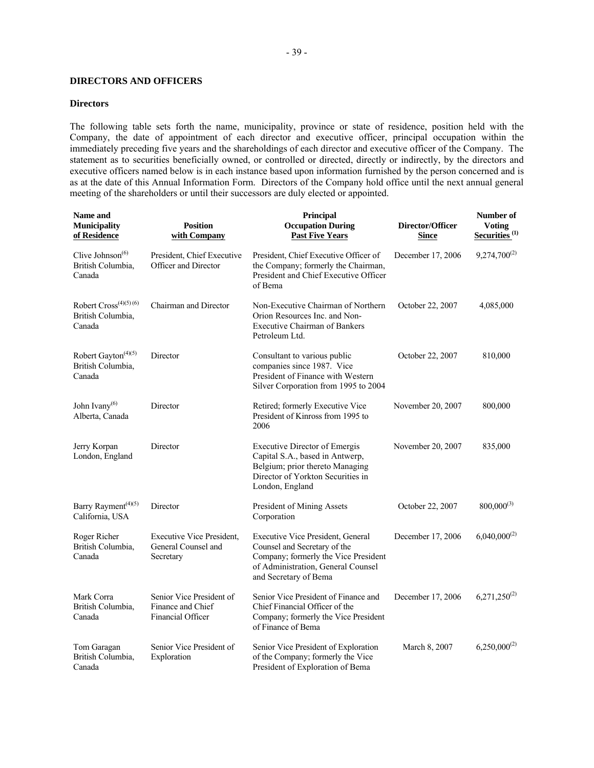## <span id="page-40-0"></span>**DIRECTORS AND OFFICERS**

### **Directors**

The following table sets forth the name, municipality, province or state of residence, position held with the Company, the date of appointment of each director and executive officer, principal occupation within the immediately preceding five years and the shareholdings of each director and executive officer of the Company. The statement as to securities beneficially owned, or controlled or directed, directly or indirectly, by the directors and executive officers named below is in each instance based upon information furnished by the person concerned and is as at the date of this Annual Information Form. Directors of the Company hold office until the next annual general meeting of the shareholders or until their successors are duly elected or appointed.

| Name and<br><b>Municipality</b><br>of Residence                | <b>Position</b><br>with Company                                           | Principal<br><b>Occupation During</b><br><b>Past Five Years</b>                                                                                                                                      | Director/Officer<br><b>Since</b> | Number of<br><b>Voting</b><br>Securities <sup>(1)</sup> |
|----------------------------------------------------------------|---------------------------------------------------------------------------|------------------------------------------------------------------------------------------------------------------------------------------------------------------------------------------------------|----------------------------------|---------------------------------------------------------|
| Clive Johnson $^{(6)}$<br>British Columbia,<br>Canada          | President, Chief Executive<br><b>Officer and Director</b>                 | President, Chief Executive Officer of<br>the Company; formerly the Chairman,<br>President and Chief Executive Officer<br>of Bema                                                                     | December 17, 2006                | $9,274,700^{(2)}$                                       |
| Robert $Cross(4)(5)(6)$<br>British Columbia,<br>Canada         | Chairman and Director                                                     | Non-Executive Chairman of Northern<br>Orion Resources Inc. and Non-<br><b>Executive Chairman of Bankers</b><br>Petroleum Ltd.                                                                        | October 22, 2007                 | 4,085,000                                               |
| Robert Gayton <sup>(4)(5)</sup><br>British Columbia,<br>Canada | Director                                                                  | Consultant to various public<br>companies since 1987. Vice<br>President of Finance with Western<br>Silver Corporation from 1995 to 2004                                                              | October 22, 2007                 | 810,000                                                 |
| John Ivany <sup>(6)</sup><br>Alberta, Canada                   | Director                                                                  | Retired; formerly Executive Vice<br>President of Kinross from 1995 to<br>2006                                                                                                                        | November 20, 2007                | 800,000                                                 |
| Jerry Korpan<br>London, England                                | Director                                                                  | <b>Executive Director of Emergis</b><br>Capital S.A., based in Antwerp,<br>Belgium; prior thereto Managing<br>Director of Yorkton Securities in<br>London, England                                   | November 20, 2007                | 835,000                                                 |
| Barry Rayment <sup>(4)(5)</sup><br>California, USA             | Director                                                                  | President of Mining Assets<br>Corporation                                                                                                                                                            | October 22, 2007                 | $800,000^{(3)}$                                         |
| Roger Richer<br>British Columbia,<br>Canada                    | <b>Executive Vice President,</b><br>General Counsel and<br>Secretary      | <b>Executive Vice President, General</b><br>December 17, 2006<br>Counsel and Secretary of the<br>Company; formerly the Vice President<br>of Administration, General Counsel<br>and Secretary of Bema |                                  | $6,040,000^{(2)}$                                       |
| Mark Corra<br>British Columbia,<br>Canada                      | Senior Vice President of<br>Finance and Chief<br><b>Financial Officer</b> | Senior Vice President of Finance and<br>Chief Financial Officer of the<br>Company; formerly the Vice President<br>of Finance of Bema                                                                 | December 17, 2006                | $6,271,250^{(2)}$                                       |
| Tom Garagan<br>British Columbia,<br>Canada                     | Senior Vice President of<br>Exploration                                   | Senior Vice President of Exploration<br>of the Company; formerly the Vice<br>President of Exploration of Bema                                                                                        | March 8, 2007                    | $6,250,000^{(2)}$                                       |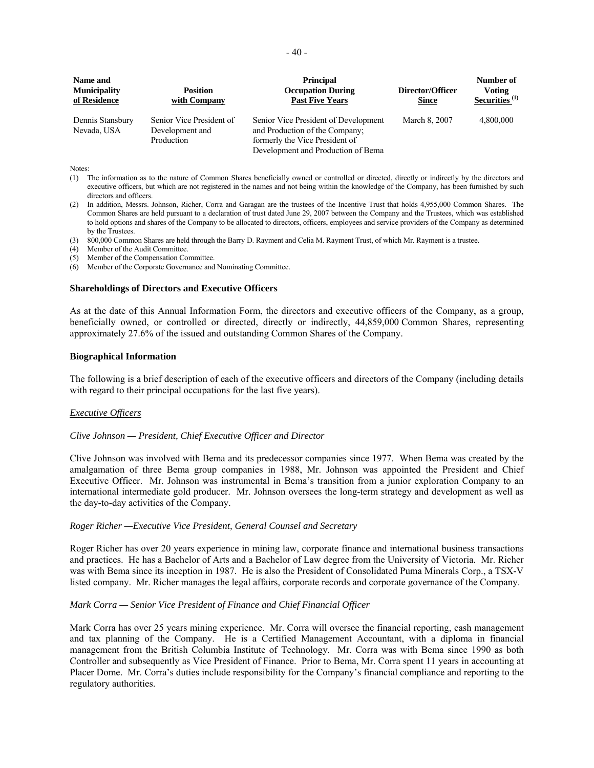| Name and<br><b>Municipality</b><br>of Residence | <b>Position</b><br>with Company             | Director/Officer<br><b>Since</b>                                       | Number of<br><b>Voting</b><br>Securities <sup>(1)</sup> |           |
|-------------------------------------------------|---------------------------------------------|------------------------------------------------------------------------|---------------------------------------------------------|-----------|
| Dennis Stansbury<br>Nevada, USA                 | Senior Vice President of<br>Development and | Senior Vice President of Development<br>and Production of the Company; | March 8, 2007                                           | 4,800,000 |
|                                                 | Production                                  | formerly the Vice President of                                         |                                                         |           |
|                                                 |                                             | Development and Production of Bema                                     |                                                         |           |

Notes:

- (1) The information as to the nature of Common Shares beneficially owned or controlled or directed, directly or indirectly by the directors and executive officers, but which are not registered in the names and not being within the knowledge of the Company, has been furnished by such directors and officers.
- (2) In addition, Messrs. Johnson, Richer, Corra and Garagan are the trustees of the Incentive Trust that holds 4,955,000 Common Shares. The Common Shares are held pursuant to a declaration of trust dated June 29, 2007 between the Company and the Trustees, which was established to hold options and shares of the Company to be allocated to directors, officers, employees and service providers of the Company as determined by the Trustees.
- (3) 800,000 Common Shares are held through the Barry D. Rayment and Celia M. Rayment Trust, of which Mr. Rayment is a trustee.
- (4) Member of the Audit Committee.
- (5) Member of the Compensation Committee.
- (6) Member of the Corporate Governance and Nominating Committee.

#### **Shareholdings of Directors and Executive Officers**

As at the date of this Annual Information Form, the directors and executive officers of the Company, as a group, beneficially owned, or controlled or directed, directly or indirectly, 44,859,000 Common Shares, representing approximately 27.6% of the issued and outstanding Common Shares of the Company.

### **Biographical Information**

The following is a brief description of each of the executive officers and directors of the Company (including details with regard to their principal occupations for the last five years).

### *Executive Officers*

#### *Clive Johnson — President, Chief Executive Officer and Director*

Clive Johnson was involved with Bema and its predecessor companies since 1977. When Bema was created by the amalgamation of three Bema group companies in 1988, Mr. Johnson was appointed the President and Chief Executive Officer. Mr. Johnson was instrumental in Bema's transition from a junior exploration Company to an international intermediate gold producer. Mr. Johnson oversees the long-term strategy and development as well as the day-to-day activities of the Company.

### *Roger Richer —Executive Vice President, General Counsel and Secretary*

Roger Richer has over 20 years experience in mining law, corporate finance and international business transactions and practices. He has a Bachelor of Arts and a Bachelor of Law degree from the University of Victoria. Mr. Richer was with Bema since its inception in 1987. He is also the President of Consolidated Puma Minerals Corp., a TSX-V listed company. Mr. Richer manages the legal affairs, corporate records and corporate governance of the Company.

### *Mark Corra — Senior Vice President of Finance and Chief Financial Officer*

Mark Corra has over 25 years mining experience. Mr. Corra will oversee the financial reporting, cash management and tax planning of the Company. He is a Certified Management Accountant, with a diploma in financial management from the British Columbia Institute of Technology. Mr. Corra was with Bema since 1990 as both Controller and subsequently as Vice President of Finance. Prior to Bema, Mr. Corra spent 11 years in accounting at Placer Dome. Mr. Corra's duties include responsibility for the Company's financial compliance and reporting to the regulatory authorities.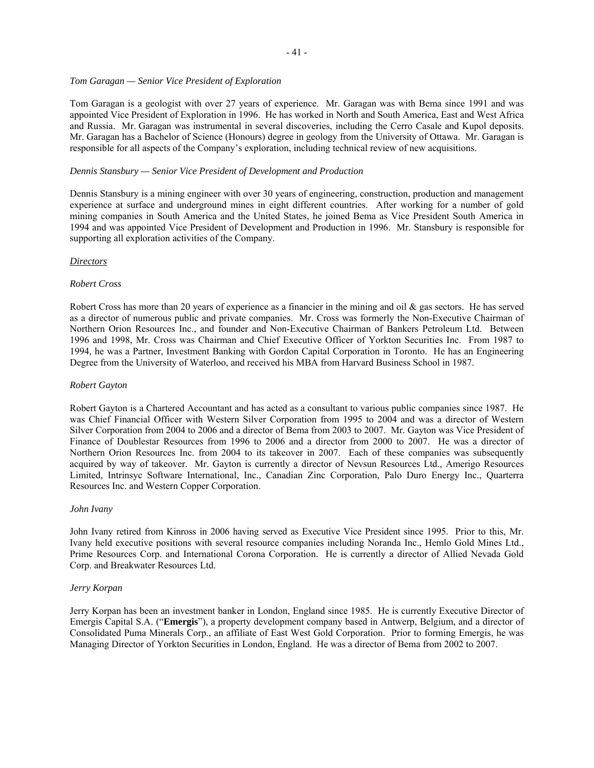### *Tom Garagan — Senior Vice President of Exploration*

Tom Garagan is a geologist with over 27 years of experience. Mr. Garagan was with Bema since 1991 and was appointed Vice President of Exploration in 1996. He has worked in North and South America, East and West Africa and Russia. Mr. Garagan was instrumental in several discoveries, including the Cerro Casale and Kupol deposits. Mr. Garagan has a Bachelor of Science (Honours) degree in geology from the University of Ottawa. Mr. Garagan is responsible for all aspects of the Company's exploration, including technical review of new acquisitions.

#### *Dennis Stansbury — Senior Vice President of Development and Production*

Dennis Stansbury is a mining engineer with over 30 years of engineering, construction, production and management experience at surface and underground mines in eight different countries. After working for a number of gold mining companies in South America and the United States, he joined Bema as Vice President South America in 1994 and was appointed Vice President of Development and Production in 1996. Mr. Stansbury is responsible for supporting all exploration activities of the Company.

### *Directors*

#### *Robert Cross*

Robert Cross has more than 20 years of experience as a financier in the mining and oil & gas sectors. He has served as a director of numerous public and private companies. Mr. Cross was formerly the Non-Executive Chairman of Northern Orion Resources Inc., and founder and Non-Executive Chairman of Bankers Petroleum Ltd. Between 1996 and 1998, Mr. Cross was Chairman and Chief Executive Officer of Yorkton Securities Inc. From 1987 to 1994, he was a Partner, Investment Banking with Gordon Capital Corporation in Toronto. He has an Engineering Degree from the University of Waterloo, and received his MBA from Harvard Business School in 1987.

#### *Robert Gayton*

Robert Gayton is a Chartered Accountant and has acted as a consultant to various public companies since 1987. He was Chief Financial Officer with Western Silver Corporation from 1995 to 2004 and was a director of Western Silver Corporation from 2004 to 2006 and a director of Bema from 2003 to 2007. Mr. Gayton was Vice President of Finance of Doublestar Resources from 1996 to 2006 and a director from 2000 to 2007. He was a director of Northern Orion Resources Inc. from 2004 to its takeover in 2007. Each of these companies was subsequently acquired by way of takeover. Mr. Gayton is currently a director of Nevsun Resources Ltd., Amerigo Resources Limited, Intrinsyc Software International, Inc., Canadian Zinc Corporation, Palo Duro Energy Inc., Quarterra Resources Inc. and Western Copper Corporation.

#### *John Ivany*

John Ivany retired from Kinross in 2006 having served as Executive Vice President since 1995. Prior to this, Mr. Ivany held executive positions with several resource companies including Noranda Inc., Hemlo Gold Mines Ltd., Prime Resources Corp. and International Corona Corporation. He is currently a director of Allied Nevada Gold Corp. and Breakwater Resources Ltd.

#### *Jerry Korpan*

Jerry Korpan has been an investment banker in London, England since 1985. He is currently Executive Director of Emergis Capital S.A. ("**Emergis**"), a property development company based in Antwerp, Belgium, and a director of Consolidated Puma Minerals Corp., an affiliate of East West Gold Corporation. Prior to forming Emergis, he was Managing Director of Yorkton Securities in London, England. He was a director of Bema from 2002 to 2007.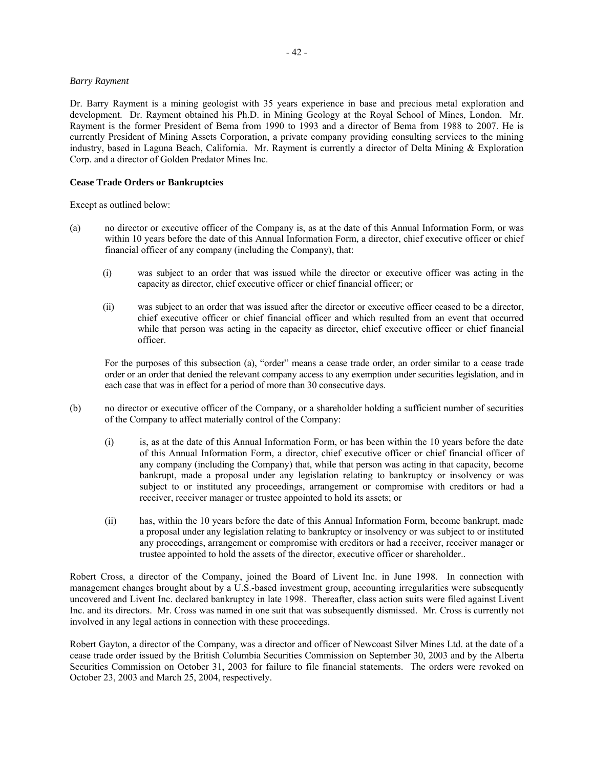### *Barry Rayment*

Dr. Barry Rayment is a mining geologist with 35 years experience in base and precious metal exploration and development. Dr. Rayment obtained his Ph.D. in Mining Geology at the Royal School of Mines, London. Mr. Rayment is the former President of Bema from 1990 to 1993 and a director of Bema from 1988 to 2007. He is currently President of Mining Assets Corporation, a private company providing consulting services to the mining industry, based in Laguna Beach, California. Mr. Rayment is currently a director of Delta Mining & Exploration Corp. and a director of Golden Predator Mines Inc.

### **Cease Trade Orders or Bankruptcies**

Except as outlined below:

- (a) no director or executive officer of the Company is, as at the date of this Annual Information Form, or was within 10 years before the date of this Annual Information Form, a director, chief executive officer or chief financial officer of any company (including the Company), that:
	- (i) was subject to an order that was issued while the director or executive officer was acting in the capacity as director, chief executive officer or chief financial officer; or
	- (ii) was subject to an order that was issued after the director or executive officer ceased to be a director, chief executive officer or chief financial officer and which resulted from an event that occurred while that person was acting in the capacity as director, chief executive officer or chief financial officer.

For the purposes of this subsection (a), "order" means a cease trade order, an order similar to a cease trade order or an order that denied the relevant company access to any exemption under securities legislation, and in each case that was in effect for a period of more than 30 consecutive days.

- (b) no director or executive officer of the Company, or a shareholder holding a sufficient number of securities of the Company to affect materially control of the Company:
	- (i) is, as at the date of this Annual Information Form, or has been within the 10 years before the date of this Annual Information Form, a director, chief executive officer or chief financial officer of any company (including the Company) that, while that person was acting in that capacity, become bankrupt, made a proposal under any legislation relating to bankruptcy or insolvency or was subject to or instituted any proceedings, arrangement or compromise with creditors or had a receiver, receiver manager or trustee appointed to hold its assets; or
	- (ii) has, within the 10 years before the date of this Annual Information Form, become bankrupt, made a proposal under any legislation relating to bankruptcy or insolvency or was subject to or instituted any proceedings, arrangement or compromise with creditors or had a receiver, receiver manager or trustee appointed to hold the assets of the director, executive officer or shareholder..

Robert Cross, a director of the Company, joined the Board of Livent Inc. in June 1998. In connection with management changes brought about by a U.S.-based investment group, accounting irregularities were subsequently uncovered and Livent Inc. declared bankruptcy in late 1998. Thereafter, class action suits were filed against Livent Inc. and its directors. Mr. Cross was named in one suit that was subsequently dismissed. Mr. Cross is currently not involved in any legal actions in connection with these proceedings.

Robert Gayton, a director of the Company, was a director and officer of Newcoast Silver Mines Ltd. at the date of a cease trade order issued by the British Columbia Securities Commission on September 30, 2003 and by the Alberta Securities Commission on October 31, 2003 for failure to file financial statements. The orders were revoked on October 23, 2003 and March 25, 2004, respectively.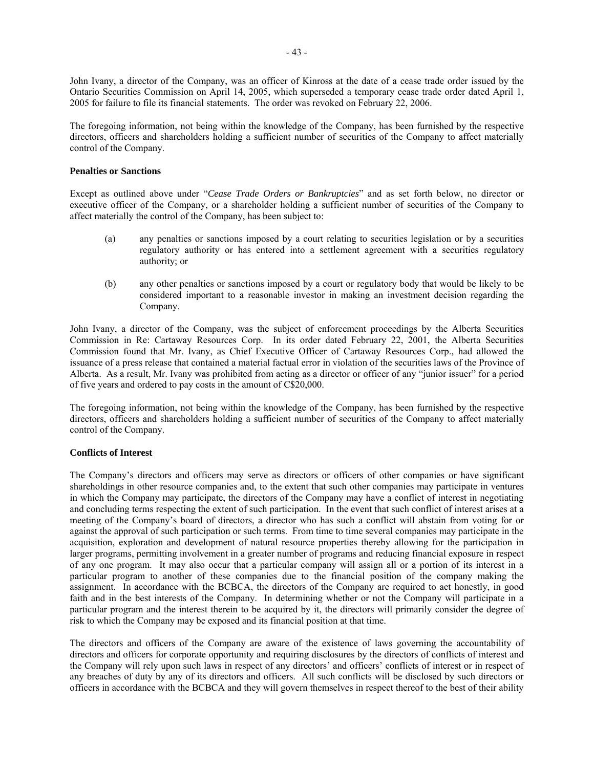John Ivany, a director of the Company, was an officer of Kinross at the date of a cease trade order issued by the Ontario Securities Commission on April 14, 2005, which superseded a temporary cease trade order dated April 1, 2005 for failure to file its financial statements. The order was revoked on February 22, 2006.

The foregoing information, not being within the knowledge of the Company, has been furnished by the respective directors, officers and shareholders holding a sufficient number of securities of the Company to affect materially control of the Company.

#### **Penalties or Sanctions**

Except as outlined above under "*Cease Trade Orders or Bankruptcies*" and as set forth below, no director or executive officer of the Company, or a shareholder holding a sufficient number of securities of the Company to affect materially the control of the Company, has been subject to:

- (a) any penalties or sanctions imposed by a court relating to securities legislation or by a securities regulatory authority or has entered into a settlement agreement with a securities regulatory authority; or
- (b) any other penalties or sanctions imposed by a court or regulatory body that would be likely to be considered important to a reasonable investor in making an investment decision regarding the Company.

John Ivany, a director of the Company, was the subject of enforcement proceedings by the Alberta Securities Commission in Re: Cartaway Resources Corp. In its order dated February 22, 2001, the Alberta Securities Commission found that Mr. Ivany, as Chief Executive Officer of Cartaway Resources Corp., had allowed the issuance of a press release that contained a material factual error in violation of the securities laws of the Province of Alberta. As a result, Mr. Ivany was prohibited from acting as a director or officer of any "junior issuer" for a period of five years and ordered to pay costs in the amount of C\$20,000.

The foregoing information, not being within the knowledge of the Company, has been furnished by the respective directors, officers and shareholders holding a sufficient number of securities of the Company to affect materially control of the Company.

### **Conflicts of Interest**

The Company's directors and officers may serve as directors or officers of other companies or have significant shareholdings in other resource companies and, to the extent that such other companies may participate in ventures in which the Company may participate, the directors of the Company may have a conflict of interest in negotiating and concluding terms respecting the extent of such participation. In the event that such conflict of interest arises at a meeting of the Company's board of directors, a director who has such a conflict will abstain from voting for or against the approval of such participation or such terms. From time to time several companies may participate in the acquisition, exploration and development of natural resource properties thereby allowing for the participation in larger programs, permitting involvement in a greater number of programs and reducing financial exposure in respect of any one program. It may also occur that a particular company will assign all or a portion of its interest in a particular program to another of these companies due to the financial position of the company making the assignment. In accordance with the BCBCA, the directors of the Company are required to act honestly, in good faith and in the best interests of the Company. In determining whether or not the Company will participate in a particular program and the interest therein to be acquired by it, the directors will primarily consider the degree of risk to which the Company may be exposed and its financial position at that time.

The directors and officers of the Company are aware of the existence of laws governing the accountability of directors and officers for corporate opportunity and requiring disclosures by the directors of conflicts of interest and the Company will rely upon such laws in respect of any directors' and officers' conflicts of interest or in respect of any breaches of duty by any of its directors and officers. All such conflicts will be disclosed by such directors or officers in accordance with the BCBCA and they will govern themselves in respect thereof to the best of their ability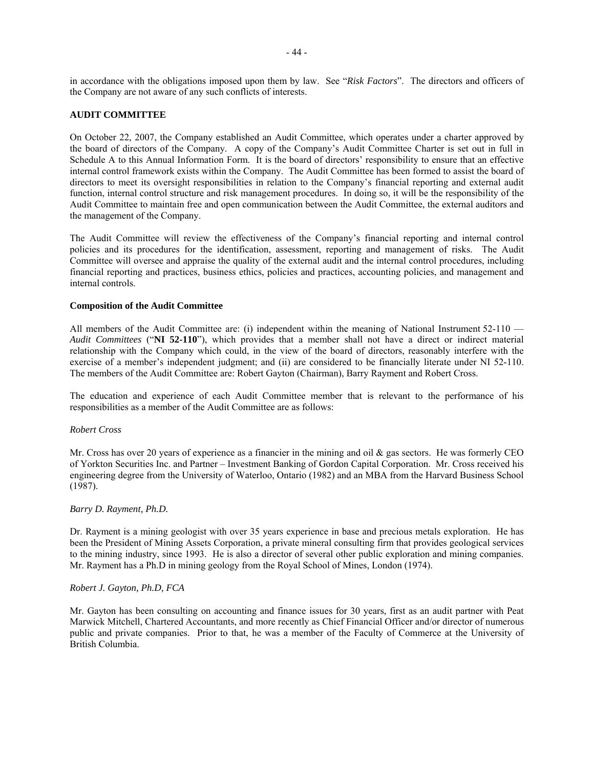in accordance with the obligations imposed upon them by law. See "*Risk Factors*". The directors and officers of the Company are not aware of any such conflicts of interests.

### **AUDIT COMMITTEE**

On October 22, 2007, the Company established an Audit Committee, which operates under a charter approved by the board of directors of the Company. A copy of the Company's Audit Committee Charter is set out in full in Schedule A to this Annual Information Form. It is the board of directors' responsibility to ensure that an effective internal control framework exists within the Company. The Audit Committee has been formed to assist the board of directors to meet its oversight responsibilities in relation to the Company's financial reporting and external audit function, internal control structure and risk management procedures. In doing so, it will be the responsibility of the Audit Committee to maintain free and open communication between the Audit Committee, the external auditors and the management of the Company.

The Audit Committee will review the effectiveness of the Company's financial reporting and internal control policies and its procedures for the identification, assessment, reporting and management of risks. The Audit Committee will oversee and appraise the quality of the external audit and the internal control procedures, including financial reporting and practices, business ethics, policies and practices, accounting policies, and management and internal controls.

### **Composition of the Audit Committee**

All members of the Audit Committee are: (i) independent within the meaning of National Instrument 52-110 — *Audit Committees* ("**NI 52-110**"), which provides that a member shall not have a direct or indirect material relationship with the Company which could, in the view of the board of directors, reasonably interfere with the exercise of a member's independent judgment; and (ii) are considered to be financially literate under NI 52-110. The members of the Audit Committee are: Robert Gayton (Chairman), Barry Rayment and Robert Cross.

The education and experience of each Audit Committee member that is relevant to the performance of his responsibilities as a member of the Audit Committee are as follows:

### *Robert Cross*

Mr. Cross has over 20 years of experience as a financier in the mining and oil  $\&$  gas sectors. He was formerly CEO of Yorkton Securities Inc. and Partner – Investment Banking of Gordon Capital Corporation. Mr. Cross received his engineering degree from the University of Waterloo, Ontario (1982) and an MBA from the Harvard Business School (1987).

### *Barry D. Rayment, Ph.D.*

Dr. Rayment is a mining geologist with over 35 years experience in base and precious metals exploration. He has been the President of Mining Assets Corporation, a private mineral consulting firm that provides geological services to the mining industry, since 1993. He is also a director of several other public exploration and mining companies. Mr. Rayment has a Ph.D in mining geology from the Royal School of Mines, London (1974).

#### *Robert J. Gayton, Ph.D, FCA*

Mr. Gayton has been consulting on accounting and finance issues for 30 years, first as an audit partner with Peat Marwick Mitchell, Chartered Accountants, and more recently as Chief Financial Officer and/or director of numerous public and private companies. Prior to that, he was a member of the Faculty of Commerce at the University of British Columbia.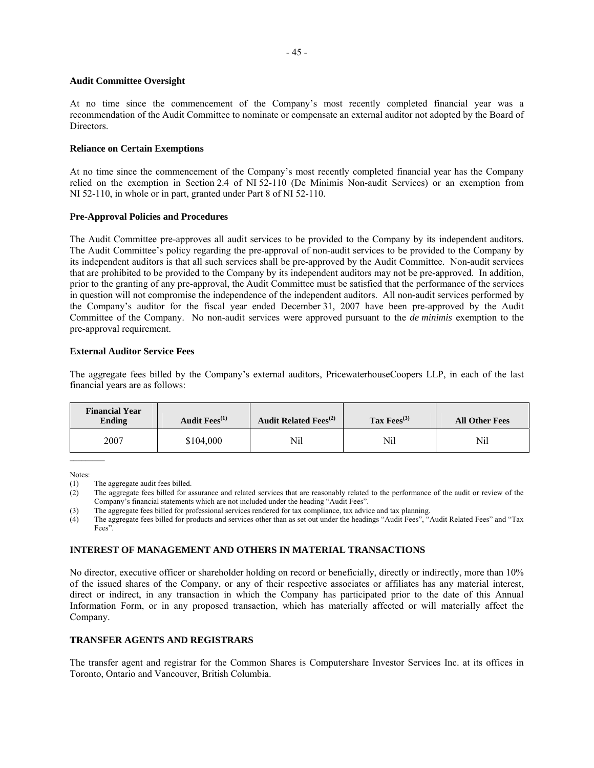#### <span id="page-46-0"></span>**Audit Committee Oversight**

At no time since the commencement of the Company's most recently completed financial year was a recommendation of the Audit Committee to nominate or compensate an external auditor not adopted by the Board of Directors.

#### **Reliance on Certain Exemptions**

At no time since the commencement of the Company's most recently completed financial year has the Company relied on the exemption in Section 2.4 of NI 52-110 (De Minimis Non-audit Services) or an exemption from NI 52-110, in whole or in part, granted under Part 8 of NI 52-110.

### **Pre-Approval Policies and Procedures**

The Audit Committee pre-approves all audit services to be provided to the Company by its independent auditors. The Audit Committee's policy regarding the pre-approval of non-audit services to be provided to the Company by its independent auditors is that all such services shall be pre-approved by the Audit Committee. Non-audit services that are prohibited to be provided to the Company by its independent auditors may not be pre-approved. In addition, prior to the granting of any pre-approval, the Audit Committee must be satisfied that the performance of the services in question will not compromise the independence of the independent auditors. All non-audit services performed by the Company's auditor for the fiscal year ended December 31, 2007 have been pre-approved by the Audit Committee of the Company. No non-audit services were approved pursuant to the *de minimis* exemption to the pre-approval requirement.

### **External Auditor Service Fees**

The aggregate fees billed by the Company's external auditors, PricewaterhouseCoopers LLP, in each of the last financial years are as follows:

| <b>Financial Year</b><br>Ending | Audit Fees <sup>(1)</sup> | <b>Audit Related Fees</b> <sup>(2)</sup> | Tax $Fees^{(3)}$ | <b>All Other Fees</b> |
|---------------------------------|---------------------------|------------------------------------------|------------------|-----------------------|
| 2007                            | \$104,000                 | Nil                                      | Nil              | Nil                   |
|                                 |                           |                                          |                  |                       |

Notes:

(3) The aggregate fees billed for professional services rendered for tax compliance, tax advice and tax planning.

(4) The aggregate fees billed for products and services other than as set out under the headings "Audit Fees", "Audit Related Fees" and "Tax Fees".

## **INTEREST OF MANAGEMENT AND OTHERS IN MATERIAL TRANSACTIONS**

No director, executive officer or shareholder holding on record or beneficially, directly or indirectly, more than 10% of the issued shares of the Company, or any of their respective associates or affiliates has any material interest, direct or indirect, in any transaction in which the Company has participated prior to the date of this Annual Information Form, or in any proposed transaction, which has materially affected or will materially affect the Company.

## **TRANSFER AGENTS AND REGISTRARS**

The transfer agent and registrar for the Common Shares is Computershare Investor Services Inc. at its offices in Toronto, Ontario and Vancouver, British Columbia.

<sup>(1)</sup> The aggregate audit fees billed.

<sup>(2)</sup> The aggregate fees billed for assurance and related services that are reasonably related to the performance of the audit or review of the Company's financial statements which are not included under the heading "Audit Fees".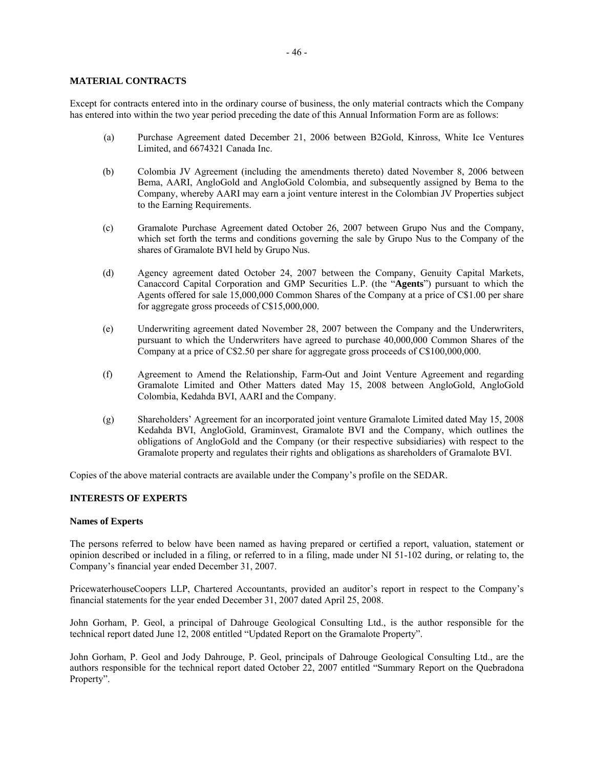#### <span id="page-47-0"></span>**MATERIAL CONTRACTS**

Except for contracts entered into in the ordinary course of business, the only material contracts which the Company has entered into within the two year period preceding the date of this Annual Information Form are as follows:

- (a) Purchase Agreement dated December 21, 2006 between B2Gold, Kinross, White Ice Ventures Limited, and 6674321 Canada Inc.
- (b) Colombia JV Agreement (including the amendments thereto) dated November 8, 2006 between Bema, AARI, AngloGold and AngloGold Colombia, and subsequently assigned by Bema to the Company, whereby AARI may earn a joint venture interest in the Colombian JV Properties subject to the Earning Requirements.
- (c) Gramalote Purchase Agreement dated October 26, 2007 between Grupo Nus and the Company, which set forth the terms and conditions governing the sale by Grupo Nus to the Company of the shares of Gramalote BVI held by Grupo Nus.
- (d) Agency agreement dated October 24, 2007 between the Company, Genuity Capital Markets, Canaccord Capital Corporation and GMP Securities L.P. (the "**Agents**") pursuant to which the Agents offered for sale 15,000,000 Common Shares of the Company at a price of C\$1.00 per share for aggregate gross proceeds of C\$15,000,000.
- (e) Underwriting agreement dated November 28, 2007 between the Company and the Underwriters, pursuant to which the Underwriters have agreed to purchase 40,000,000 Common Shares of the Company at a price of C\$2.50 per share for aggregate gross proceeds of C\$100,000,000.
- (f) Agreement to Amend the Relationship, Farm-Out and Joint Venture Agreement and regarding Gramalote Limited and Other Matters dated May 15, 2008 between AngloGold, AngloGold Colombia, Kedahda BVI, AARI and the Company.
- (g) Shareholders' Agreement for an incorporated joint venture Gramalote Limited dated May 15, 2008 Kedahda BVI, AngloGold, Graminvest, Gramalote BVI and the Company, which outlines the obligations of AngloGold and the Company (or their respective subsidiaries) with respect to the Gramalote property and regulates their rights and obligations as shareholders of Gramalote BVI.

Copies of the above material contracts are available under the Company's profile on the SEDAR.

### **INTERESTS OF EXPERTS**

## **Names of Experts**

The persons referred to below have been named as having prepared or certified a report, valuation, statement or opinion described or included in a filing, or referred to in a filing, made under NI 51-102 during, or relating to, the Company's financial year ended December 31, 2007.

PricewaterhouseCoopers LLP, Chartered Accountants, provided an auditor's report in respect to the Company's financial statements for the year ended December 31, 2007 dated April 25, 2008.

John Gorham, P. Geol, a principal of Dahrouge Geological Consulting Ltd., is the author responsible for the technical report dated June 12, 2008 entitled "Updated Report on the Gramalote Property".

John Gorham, P. Geol and Jody Dahrouge, P. Geol, principals of Dahrouge Geological Consulting Ltd., are the authors responsible for the technical report dated October 22, 2007 entitled "Summary Report on the Quebradona Property".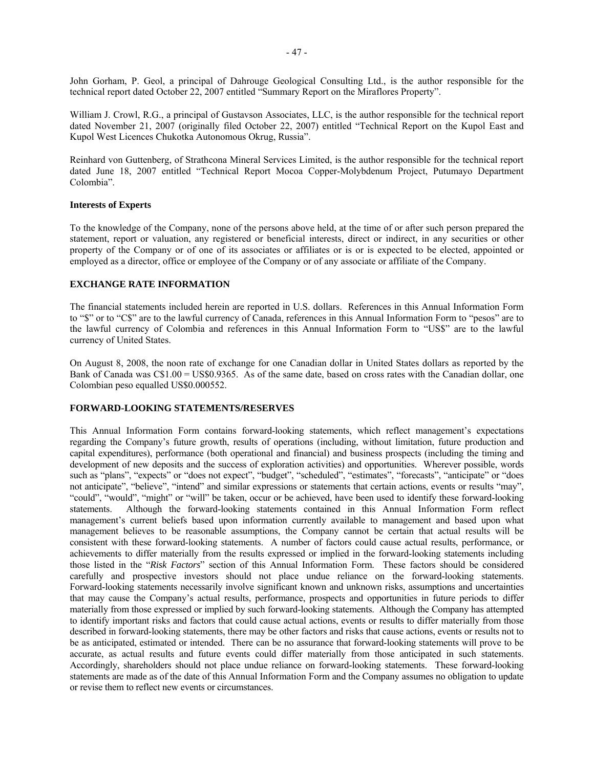John Gorham, P. Geol, a principal of Dahrouge Geological Consulting Ltd., is the author responsible for the technical report dated October 22, 2007 entitled "Summary Report on the Miraflores Property".

William J. Crowl, R.G., a principal of Gustavson Associates, LLC, is the author responsible for the technical report dated November 21, 2007 (originally filed October 22, 2007) entitled "Technical Report on the Kupol East and Kupol West Licences Chukotka Autonomous Okrug, Russia".

Reinhard von Guttenberg, of Strathcona Mineral Services Limited, is the author responsible for the technical report dated June 18, 2007 entitled "Technical Report Mocoa Copper-Molybdenum Project, Putumayo Department Colombia".

### **Interests of Experts**

To the knowledge of the Company, none of the persons above held, at the time of or after such person prepared the statement, report or valuation, any registered or beneficial interests, direct or indirect, in any securities or other property of the Company or of one of its associates or affiliates or is or is expected to be elected, appointed or employed as a director, office or employee of the Company or of any associate or affiliate of the Company.

## **EXCHANGE RATE INFORMATION**

The financial statements included herein are reported in U.S. dollars. References in this Annual Information Form to "\$" or to "C\$" are to the lawful currency of Canada, references in this Annual Information Form to "pesos" are to the lawful currency of Colombia and references in this Annual Information Form to "US\$" are to the lawful currency of United States.

On August 8, 2008, the noon rate of exchange for one Canadian dollar in United States dollars as reported by the Bank of Canada was C\$1.00 = US\$0.9365. As of the same date, based on cross rates with the Canadian dollar, one Colombian peso equalled US\$0.000552.

### **FORWARD-LOOKING STATEMENTS/RESERVES**

This Annual Information Form contains forward-looking statements, which reflect management's expectations regarding the Company's future growth, results of operations (including, without limitation, future production and capital expenditures), performance (both operational and financial) and business prospects (including the timing and development of new deposits and the success of exploration activities) and opportunities. Wherever possible, words such as "plans", "expects" or "does not expect", "budget", "scheduled", "estimates", "forecasts", "anticipate" or "does not anticipate", "believe", "intend" and similar expressions or statements that certain actions, events or results "may", "could", "would", "might" or "will" be taken, occur or be achieved, have been used to identify these forward-looking statements. Although the forward-looking statements contained in this Annual Information Form reflect management's current beliefs based upon information currently available to management and based upon what management believes to be reasonable assumptions, the Company cannot be certain that actual results will be consistent with these forward-looking statements. A number of factors could cause actual results, performance, or achievements to differ materially from the results expressed or implied in the forward-looking statements including those listed in the "*Risk Factors*" section of this Annual Information Form. These factors should be considered carefully and prospective investors should not place undue reliance on the forward-looking statements. Forward-looking statements necessarily involve significant known and unknown risks, assumptions and uncertainties that may cause the Company's actual results, performance, prospects and opportunities in future periods to differ materially from those expressed or implied by such forward-looking statements. Although the Company has attempted to identify important risks and factors that could cause actual actions, events or results to differ materially from those described in forward-looking statements, there may be other factors and risks that cause actions, events or results not to be as anticipated, estimated or intended. There can be no assurance that forward-looking statements will prove to be accurate, as actual results and future events could differ materially from those anticipated in such statements. Accordingly, shareholders should not place undue reliance on forward-looking statements. These forward-looking statements are made as of the date of this Annual Information Form and the Company assumes no obligation to update or revise them to reflect new events or circumstances.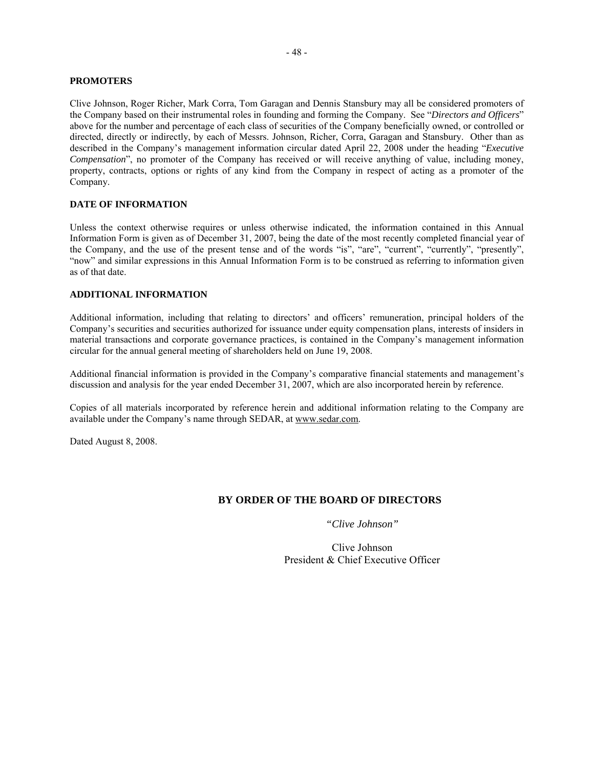### <span id="page-49-0"></span>**PROMOTERS**

Clive Johnson, Roger Richer, Mark Corra, Tom Garagan and Dennis Stansbury may all be considered promoters of the Company based on their instrumental roles in founding and forming the Company. See "*Directors and Officers*" above for the number and percentage of each class of securities of the Company beneficially owned, or controlled or directed, directly or indirectly, by each of Messrs. Johnson, Richer, Corra, Garagan and Stansbury. Other than as described in the Company's management information circular dated April 22, 2008 under the heading "*Executive Compensation*", no promoter of the Company has received or will receive anything of value, including money, property, contracts, options or rights of any kind from the Company in respect of acting as a promoter of the Company.

### **DATE OF INFORMATION**

Unless the context otherwise requires or unless otherwise indicated, the information contained in this Annual Information Form is given as of December 31, 2007, being the date of the most recently completed financial year of the Company, and the use of the present tense and of the words "is", "are", "current", "currently", "presently", "now" and similar expressions in this Annual Information Form is to be construed as referring to information given as of that date.

### **ADDITIONAL INFORMATION**

Additional information, including that relating to directors' and officers' remuneration, principal holders of the Company's securities and securities authorized for issuance under equity compensation plans, interests of insiders in material transactions and corporate governance practices, is contained in the Company's management information circular for the annual general meeting of shareholders held on June 19, 2008.

Additional financial information is provided in the Company's comparative financial statements and management's discussion and analysis for the year ended December 31, 2007, which are also incorporated herein by reference.

Copies of all materials incorporated by reference herein and additional information relating to the Company are available under the Company's name through SEDAR, at www.sedar.com.

Dated August 8, 2008.

## **BY ORDER OF THE BOARD OF DIRECTORS**

## *"Clive Johnson"*

Clive Johnson President & Chief Executive Officer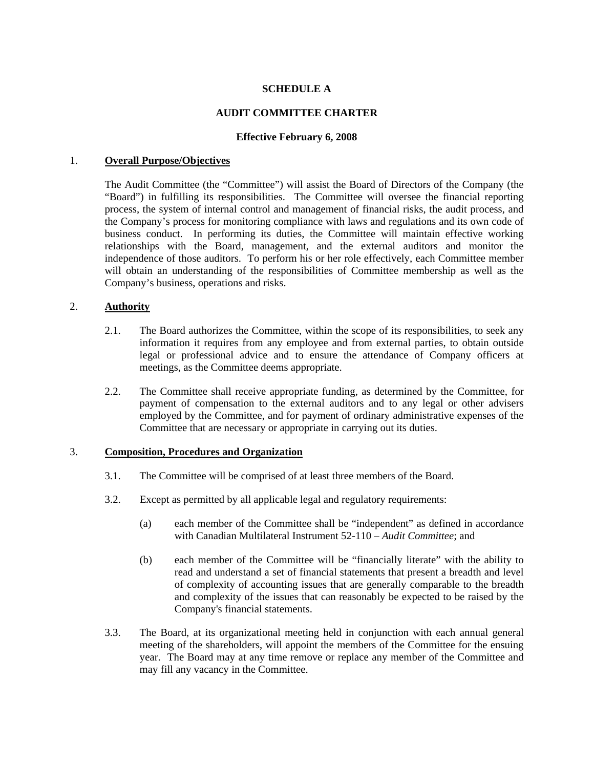# **SCHEDULE A**

# **AUDIT COMMITTEE CHARTER**

# **Effective February 6, 2008**

# 1. **Overall Purpose/Objectives**

The Audit Committee (the "Committee") will assist the Board of Directors of the Company (the "Board") in fulfilling its responsibilities. The Committee will oversee the financial reporting process, the system of internal control and management of financial risks, the audit process, and the Company's process for monitoring compliance with laws and regulations and its own code of business conduct. In performing its duties, the Committee will maintain effective working relationships with the Board, management, and the external auditors and monitor the independence of those auditors. To perform his or her role effectively, each Committee member will obtain an understanding of the responsibilities of Committee membership as well as the Company's business, operations and risks.

# 2. **Authority**

- 2.1. The Board authorizes the Committee, within the scope of its responsibilities, to seek any information it requires from any employee and from external parties, to obtain outside legal or professional advice and to ensure the attendance of Company officers at meetings, as the Committee deems appropriate.
- 2.2. The Committee shall receive appropriate funding, as determined by the Committee, for payment of compensation to the external auditors and to any legal or other advisers employed by the Committee, and for payment of ordinary administrative expenses of the Committee that are necessary or appropriate in carrying out its duties.

## 3. **Composition, Procedures and Organization**

- 3.1. The Committee will be comprised of at least three members of the Board.
- 3.2. Except as permitted by all applicable legal and regulatory requirements:
	- (a) each member of the Committee shall be "independent" as defined in accordance with Canadian Multilateral Instrument 52-110 – *Audit Committee*; and
	- (b) each member of the Committee will be "financially literate" with the ability to read and understand a set of financial statements that present a breadth and level of complexity of accounting issues that are generally comparable to the breadth and complexity of the issues that can reasonably be expected to be raised by the Company's financial statements.
- 3.3. The Board, at its organizational meeting held in conjunction with each annual general meeting of the shareholders, will appoint the members of the Committee for the ensuing year. The Board may at any time remove or replace any member of the Committee and may fill any vacancy in the Committee.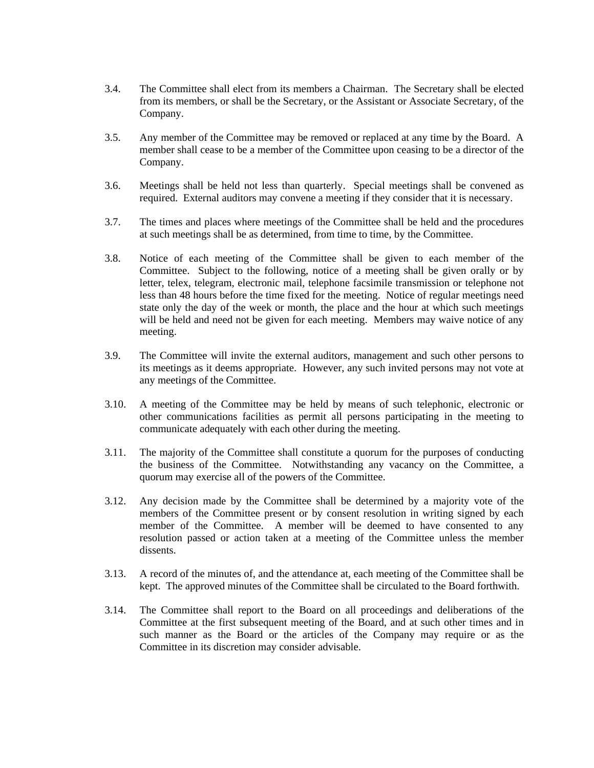- 3.4. The Committee shall elect from its members a Chairman. The Secretary shall be elected from its members, or shall be the Secretary, or the Assistant or Associate Secretary, of the Company.
- 3.5. Any member of the Committee may be removed or replaced at any time by the Board. A member shall cease to be a member of the Committee upon ceasing to be a director of the Company.
- 3.6. Meetings shall be held not less than quarterly. Special meetings shall be convened as required. External auditors may convene a meeting if they consider that it is necessary.
- 3.7. The times and places where meetings of the Committee shall be held and the procedures at such meetings shall be as determined, from time to time, by the Committee.
- 3.8. Notice of each meeting of the Committee shall be given to each member of the Committee. Subject to the following, notice of a meeting shall be given orally or by letter, telex, telegram, electronic mail, telephone facsimile transmission or telephone not less than 48 hours before the time fixed for the meeting. Notice of regular meetings need state only the day of the week or month, the place and the hour at which such meetings will be held and need not be given for each meeting. Members may waive notice of any meeting.
- 3.9. The Committee will invite the external auditors, management and such other persons to its meetings as it deems appropriate. However, any such invited persons may not vote at any meetings of the Committee.
- 3.10. A meeting of the Committee may be held by means of such telephonic, electronic or other communications facilities as permit all persons participating in the meeting to communicate adequately with each other during the meeting.
- 3.11. The majority of the Committee shall constitute a quorum for the purposes of conducting the business of the Committee. Notwithstanding any vacancy on the Committee, a quorum may exercise all of the powers of the Committee.
- 3.12. Any decision made by the Committee shall be determined by a majority vote of the members of the Committee present or by consent resolution in writing signed by each member of the Committee. A member will be deemed to have consented to any resolution passed or action taken at a meeting of the Committee unless the member dissents.
- 3.13. A record of the minutes of, and the attendance at, each meeting of the Committee shall be kept. The approved minutes of the Committee shall be circulated to the Board forthwith.
- 3.14. The Committee shall report to the Board on all proceedings and deliberations of the Committee at the first subsequent meeting of the Board, and at such other times and in such manner as the Board or the articles of the Company may require or as the Committee in its discretion may consider advisable.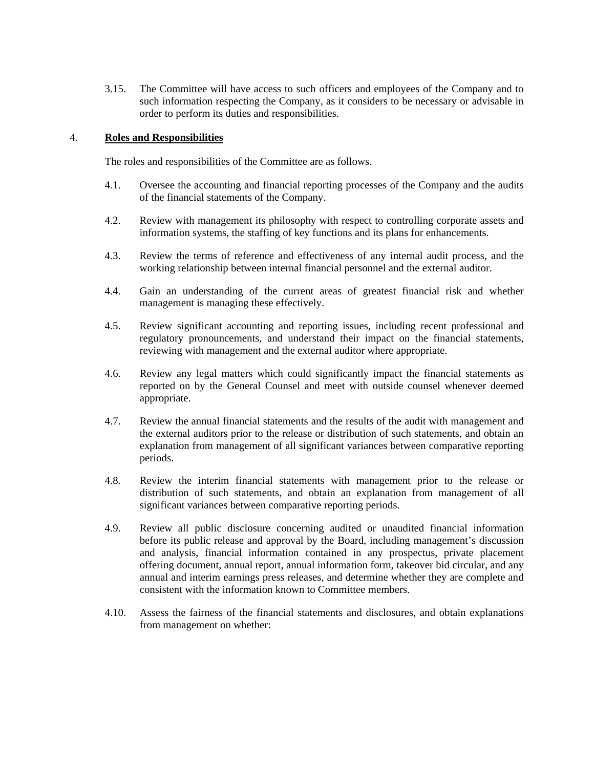3.15. The Committee will have access to such officers and employees of the Company and to such information respecting the Company, as it considers to be necessary or advisable in order to perform its duties and responsibilities.

# 4. **Roles and Responsibilities**

The roles and responsibilities of the Committee are as follows.

- 4.1. Oversee the accounting and financial reporting processes of the Company and the audits of the financial statements of the Company.
- 4.2. Review with management its philosophy with respect to controlling corporate assets and information systems, the staffing of key functions and its plans for enhancements.
- 4.3. Review the terms of reference and effectiveness of any internal audit process, and the working relationship between internal financial personnel and the external auditor.
- 4.4. Gain an understanding of the current areas of greatest financial risk and whether management is managing these effectively.
- 4.5. Review significant accounting and reporting issues, including recent professional and regulatory pronouncements, and understand their impact on the financial statements, reviewing with management and the external auditor where appropriate.
- 4.6. Review any legal matters which could significantly impact the financial statements as reported on by the General Counsel and meet with outside counsel whenever deemed appropriate.
- 4.7. Review the annual financial statements and the results of the audit with management and the external auditors prior to the release or distribution of such statements, and obtain an explanation from management of all significant variances between comparative reporting periods.
- 4.8. Review the interim financial statements with management prior to the release or distribution of such statements, and obtain an explanation from management of all significant variances between comparative reporting periods.
- 4.9. Review all public disclosure concerning audited or unaudited financial information before its public release and approval by the Board, including management's discussion and analysis, financial information contained in any prospectus, private placement offering document, annual report, annual information form, takeover bid circular, and any annual and interim earnings press releases, and determine whether they are complete and consistent with the information known to Committee members.
- 4.10. Assess the fairness of the financial statements and disclosures, and obtain explanations from management on whether: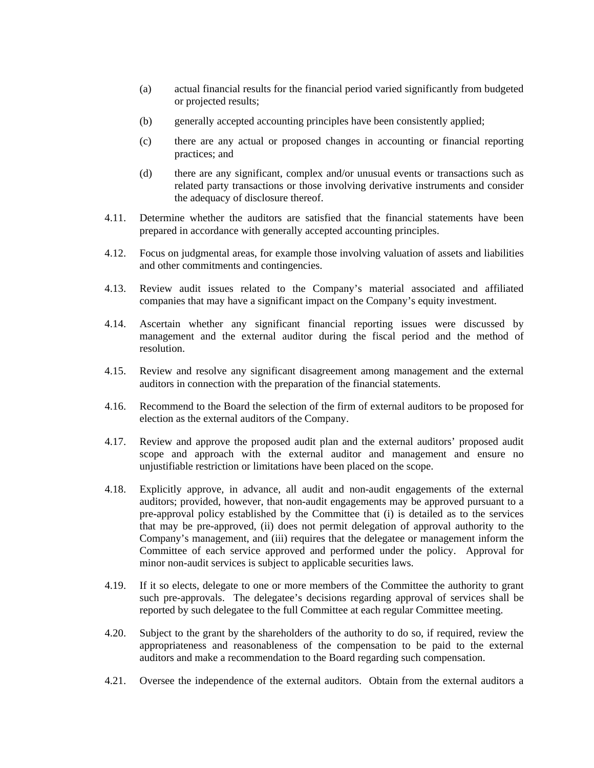- (a) actual financial results for the financial period varied significantly from budgeted or projected results;
- (b) generally accepted accounting principles have been consistently applied;
- (c) there are any actual or proposed changes in accounting or financial reporting practices; and
- (d) there are any significant, complex and/or unusual events or transactions such as related party transactions or those involving derivative instruments and consider the adequacy of disclosure thereof.
- 4.11. Determine whether the auditors are satisfied that the financial statements have been prepared in accordance with generally accepted accounting principles.
- 4.12. Focus on judgmental areas, for example those involving valuation of assets and liabilities and other commitments and contingencies.
- 4.13. Review audit issues related to the Company's material associated and affiliated companies that may have a significant impact on the Company's equity investment.
- 4.14. Ascertain whether any significant financial reporting issues were discussed by management and the external auditor during the fiscal period and the method of resolution.
- 4.15. Review and resolve any significant disagreement among management and the external auditors in connection with the preparation of the financial statements.
- 4.16. Recommend to the Board the selection of the firm of external auditors to be proposed for election as the external auditors of the Company.
- 4.17. Review and approve the proposed audit plan and the external auditors' proposed audit scope and approach with the external auditor and management and ensure no unjustifiable restriction or limitations have been placed on the scope.
- 4.18. Explicitly approve, in advance, all audit and non-audit engagements of the external auditors; provided, however, that non-audit engagements may be approved pursuant to a pre-approval policy established by the Committee that (i) is detailed as to the services that may be pre-approved, (ii) does not permit delegation of approval authority to the Company's management, and (iii) requires that the delegatee or management inform the Committee of each service approved and performed under the policy. Approval for minor non-audit services is subject to applicable securities laws.
- 4.19. If it so elects, delegate to one or more members of the Committee the authority to grant such pre-approvals. The delegatee's decisions regarding approval of services shall be reported by such delegatee to the full Committee at each regular Committee meeting.
- 4.20. Subject to the grant by the shareholders of the authority to do so, if required, review the appropriateness and reasonableness of the compensation to be paid to the external auditors and make a recommendation to the Board regarding such compensation.
- 4.21. Oversee the independence of the external auditors. Obtain from the external auditors a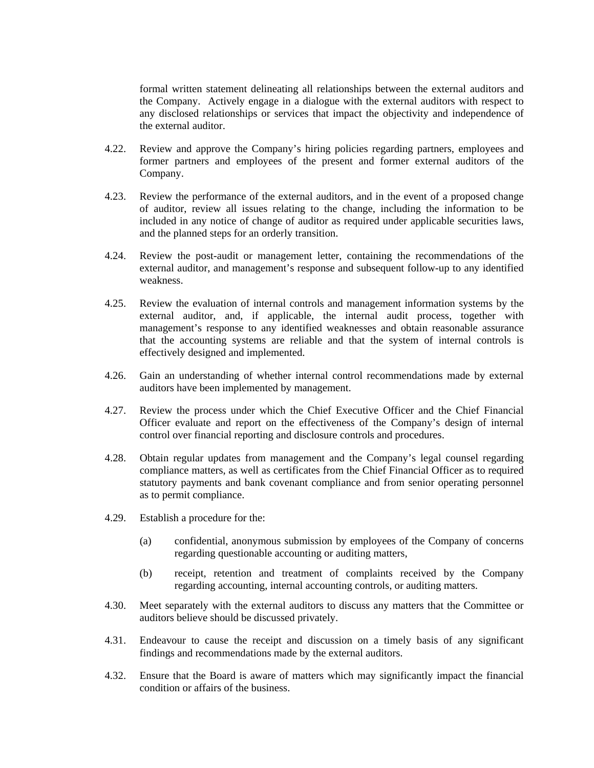formal written statement delineating all relationships between the external auditors and the Company. Actively engage in a dialogue with the external auditors with respect to any disclosed relationships or services that impact the objectivity and independence of the external auditor.

- 4.22. Review and approve the Company's hiring policies regarding partners, employees and former partners and employees of the present and former external auditors of the Company.
- 4.23. Review the performance of the external auditors, and in the event of a proposed change of auditor, review all issues relating to the change, including the information to be included in any notice of change of auditor as required under applicable securities laws, and the planned steps for an orderly transition.
- 4.24. Review the post-audit or management letter, containing the recommendations of the external auditor, and management's response and subsequent follow-up to any identified weakness.
- 4.25. Review the evaluation of internal controls and management information systems by the external auditor, and, if applicable, the internal audit process, together with management's response to any identified weaknesses and obtain reasonable assurance that the accounting systems are reliable and that the system of internal controls is effectively designed and implemented.
- 4.26. Gain an understanding of whether internal control recommendations made by external auditors have been implemented by management.
- 4.27. Review the process under which the Chief Executive Officer and the Chief Financial Officer evaluate and report on the effectiveness of the Company's design of internal control over financial reporting and disclosure controls and procedures.
- 4.28. Obtain regular updates from management and the Company's legal counsel regarding compliance matters, as well as certificates from the Chief Financial Officer as to required statutory payments and bank covenant compliance and from senior operating personnel as to permit compliance.
- 4.29. Establish a procedure for the:
	- (a) confidential, anonymous submission by employees of the Company of concerns regarding questionable accounting or auditing matters,
	- (b) receipt, retention and treatment of complaints received by the Company regarding accounting, internal accounting controls, or auditing matters.
- 4.30. Meet separately with the external auditors to discuss any matters that the Committee or auditors believe should be discussed privately.
- 4.31. Endeavour to cause the receipt and discussion on a timely basis of any significant findings and recommendations made by the external auditors.
- 4.32. Ensure that the Board is aware of matters which may significantly impact the financial condition or affairs of the business.